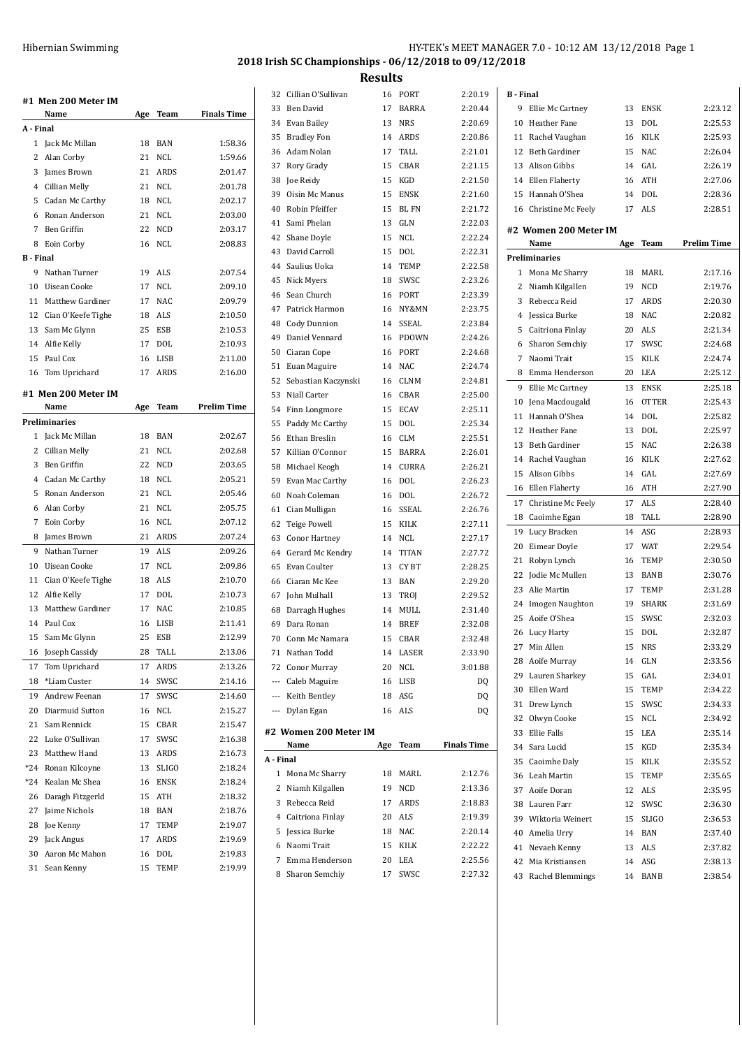|                  | #1 Men 200 Meter IM         |     |             |                    |
|------------------|-----------------------------|-----|-------------|--------------------|
|                  | Name                        | Age | Team        | <b>Finals Time</b> |
| A - Final        |                             |     |             |                    |
| $\mathbf{1}$     | Jack Mc Millan              | 18  | <b>BAN</b>  | 1:58.36            |
| 2                | Alan Corby                  | 21  | <b>NCL</b>  | 1:59.66            |
| 3                | James Brown                 | 21  | <b>ARDS</b> | 2:01.47            |
| 4                | Cillian Melly               | 21  | <b>NCL</b>  | 2:01.78            |
| 5                | Cadan Mc Carthy             | 18  | <b>NCL</b>  | 2:02.17            |
| 6                | Ronan Anderson              | 21  | <b>NCL</b>  | 2:03.00            |
| 7                | Ben Griffin                 | 22  | <b>NCD</b>  | 2:03.17            |
| 8                | Eoin Corby                  | 16  | <b>NCL</b>  | 2:08.83            |
| <b>B</b> - Final |                             |     |             |                    |
| 9                | Nathan Turner               | 19  | <b>ALS</b>  | 2:07.54            |
| 10               | Uisean Cooke                | 17  | <b>NCL</b>  | 2:09.10            |
| 11               | <b>Matthew Gardiner</b>     | 17  | <b>NAC</b>  | 2:09.79            |
| 12               | Cian O'Keefe Tighe          | 18  | ALS         | 2:10.50            |
| 13               | Sam Mc Glynn                | 25  | <b>ESB</b>  | 2:10.53            |
|                  | 14 Alfie Kelly              | 17  | DOL         | 2:10.93            |
| 15               | Paul Cox                    | 16  | LISB        | 2:11.00            |
|                  | 16 Tom Uprichard            | 17  | ARDS        | 2:16.00            |
|                  |                             |     |             |                    |
|                  | #1 Men 200 Meter IM<br>Name |     | Team        | <b>Prelim Time</b> |
|                  | <b>Preliminaries</b>        | Age |             |                    |
|                  |                             |     |             |                    |
| 1                | Jack Mc Millan              | 18  | <b>BAN</b>  | 2:02.67            |
| 2                | Cillian Melly               | 21  | NCL         | 2:02.68            |
| 3                | Ben Griffin                 | 22  | <b>NCD</b>  | 2:03.65            |
| 4                | Cadan Mc Carthy             | 18  | NCL         | 2:05.21            |
| 5                | Ronan Anderson              | 21  | <b>NCL</b>  | 2:05.46            |
| 6                | Alan Corby                  | 21  | NCL         | 2:05.75            |
| 7                | Eoin Corby                  | 16  | NCL         | 2:07.12            |
| 8                | James Brown                 | 21  | ARDS        | 2:07.24            |
| 9                | Nathan Turner               | 19  | <b>ALS</b>  | 2:09.26            |
| 10               | <b>Uisean Cooke</b>         | 17  | <b>NCL</b>  | 2:09.86            |
| 11               | Cian O'Keefe Tighe          | 18  | ALS         | 2:10.70            |
| 12               | Alfie Kelly                 | 17  | DOL         | 2:10.73            |
| 13               | Matthew Gardiner            | 17  | <b>NAC</b>  | 2:10.85            |
| 14               | Paul Cox                    | 16  | LISB        | 2:11.41            |
| 15               | Sam Mc Glynn                | 25  | <b>ESB</b>  | 2:12.99            |
| 16               | Joseph Cassidy              | 28  | TALL        | 2:13.06            |
| 17               | Tom Uprichard               | 17  | ARDS        | 2:13.26            |
| 18               | *Liam Custer                | 14  | SWSC        | 2:14.16            |
| 19               | Andrew Feenan               | 17  | SWSC        | 2:14.60            |
| 20               | Diarmuid Sutton             | 16  | NCL         | 2:15.27            |
| 21               | Sam Rennick                 | 15  | CBAR        | 2:15.47            |
| 22               | Luke O'Sullivan             | 17  | SWSC        | 2:16.38            |
| 23               | Matthew Hand                | 13  | ARDS        | 2:16.73            |
| *24              | Ronan Kilcoyne              | 13  | SLIGO       | 2:18.24            |
| *24              | Kealan Mc Shea              | 16  | ENSK        | 2:18.24            |
| 26               | Daragh Fitzgerld            | 15  | ATH         | 2:18.32            |
| 27               | Jaime Nichols               | 18  | BAN         | 2:18.76            |
| 28               | Joe Kenny                   | 17  | TEMP        | 2:19.07            |
| 29               | Jack Angus                  | 17  | ARDS        | 2:19.69            |
| 30               | Aaron Mc Mahon              | 16  | DOL         | 2:19.83            |
| 31               | Sean Kenny                  | 15  | <b>TEMP</b> | 2:19.99            |

|           | 32 Cillian O'Sullivan |     | 16 PORT      | 2:20.19            | <b>B</b> - Final |                        |     |              |                    |
|-----------|-----------------------|-----|--------------|--------------------|------------------|------------------------|-----|--------------|--------------------|
| 33        | Ben David             | 17  | <b>BARRA</b> | 2:20.44            |                  | 9 Ellie Mc Cartney     | 13  | ENSK         | 2:23.12            |
| 34        | Evan Bailey           | 13  | <b>NRS</b>   | 2:20.69            | 10               | Heather Fane           | 13  | <b>DOL</b>   | 2:25.53            |
| 35        | <b>Bradley Fon</b>    | 14  | ARDS         | 2:20.86            | 11               | Rachel Vaughan         | 16  | <b>KILK</b>  | 2:25.93            |
| 36        | Adam Nolan            | 17  | TALL         | 2:21.01            | 12               | <b>Beth Gardiner</b>   | 15  | <b>NAC</b>   | 2:26.04            |
| 37        | Rory Grady            | 15  | CBAR         | 2:21.15            | 13               | Alison Gibbs           | 14  | GAL          | 2:26.19            |
|           |                       |     | KGD          |                    |                  |                        |     | <b>ATH</b>   |                    |
| 38        | Joe Reidy             | 15  |              | 2:21.50            | 14               | Ellen Flaherty         | 16  |              | 2:27.06            |
| 39        | Oisin Mc Manus        | 15  | <b>ENSK</b>  | 2:21.60            | 15               | Hannah O'Shea          | 14  | DOL          | 2:28.36            |
| 40        | Robin Pfeiffer        | 15  | <b>BL FN</b> | 2:21.72            | 16               | Christine Mc Feely     | 17  | ALS          | 2:28.51            |
| 41        | Sami Phelan           | 13  | GLN          | 2:22.03            |                  | #2 Women 200 Meter IM  |     |              |                    |
| 42        | Shane Doyle           | 15  | <b>NCL</b>   | 2:22.24            |                  | Name                   | Age | Team         | <b>Prelim Time</b> |
| 43        | David Carroll         | 15  | <b>DOL</b>   | 2:22.31            |                  | Preliminaries          |     |              |                    |
| 44        | Saulius Uoka          | 14  | TEMP         | 2:22.58            |                  | 1 Mona Mc Sharry       | 18  | MARL         | 2:17.16            |
| 45        | Nick Myers            | 18  | SWSC         | 2:23.26            | 2                | Niamh Kilgallen        | 19  | <b>NCD</b>   | 2:19.76            |
| 46        | Sean Church           | 16  | PORT         | 2:23.39            | 3                | Rebecca Reid           | 17  | ARDS         | 2:20.30            |
| 47        | Patrick Harmon        | 16  | NY&MN        | 2:23.75            | 4                | Jessica Burke          | 18  | <b>NAC</b>   | 2:20.82            |
| 48        | Cody Dunnion          | 14  | <b>SSEAL</b> | 2:23.84            | 5                | Caitriona Finlay       | 20  | ALS          | 2:21.34            |
| 49        | Daniel Vennard        | 16  | <b>PDOWN</b> | 2:24.26            | 6                | Sharon Semchiy         | 17  | SWSC         | 2:24.68            |
| 50        | Ciaran Cope           | 16  | PORT         | 2:24.68            | 7                | Naomi Trait            | 15  | KILK         | 2:24.74            |
| 51        | Euan Maguire          | 14  | <b>NAC</b>   | 2:24.74            | 8                | Emma Henderson         | 20  | LEA          | 2:25.12            |
| 52        | Sebastian Kaczynski   | 16  | <b>CLNM</b>  | 2:24.81            | 9                | Ellie Mc Cartney       | 13  | <b>ENSK</b>  | 2:25.18            |
| 53        | Niall Carter          | 16  | CBAR         | 2:25.00            | 10               | Jena Macdougald        | 16  | <b>OTTER</b> | 2:25.43            |
| 54        | Finn Longmore         | 15  | <b>ECAV</b>  | 2:25.11            | 11               | Hannah O'Shea          | 14  | <b>DOL</b>   | 2:25.82            |
| 55        | Paddy Mc Carthy       | 15  | <b>DOL</b>   | 2:25.34            | 12               | Heather Fane           |     | <b>DOL</b>   | 2:25.97            |
| 56        | Ethan Breslin         | 16  | <b>CLM</b>   | 2:25.51            |                  |                        | 13  |              |                    |
| 57        | Killian O'Connor      | 15  | <b>BARRA</b> | 2:26.01            | 13               | Beth Gardiner          | 15  | <b>NAC</b>   | 2:26.38            |
| 58        | Michael Keogh         | 14  | <b>CURRA</b> | 2:26.21            | 14               | Rachel Vaughan         | 16  | KILK         | 2:27.62            |
| 59        | Evan Mac Carthy       | 16  | <b>DOL</b>   | 2:26.23            | 15               | Alison Gibbs           | 14  | GAL          | 2:27.69            |
| 60        | Noah Coleman          | 16  | <b>DOL</b>   | 2:26.72            | 16               | Ellen Flaherty         | 16  | ATH          | 2:27.90            |
| 61        | Cian Mulligan         | 16  | <b>SSEAL</b> | 2:26.76            | 17               | Christine Mc Feely     | 17  | <b>ALS</b>   | 2:28.40            |
| 62        | <b>Teige Powell</b>   | 15  | KILK         | 2:27.11            | 18               | Caoimhe Egan           | 18  | <b>TALL</b>  | 2:28.90            |
| 63        | <b>Conor Hartney</b>  | 14  | <b>NCL</b>   | 2:27.17            | 19               | Lucy Bracken           | 14  | ASG          | 2:28.93            |
| 64        | Gerard Mc Kendry      | 14  | TITAN        | 2:27.72            | 20               | Eimear Doyle           | 17  | WAT          | 2:29.54            |
| 65        | Evan Coulter          | 13  | CY BT        | 2:28.25            | 21               | Robyn Lynch            | 16  | <b>TEMP</b>  | 2:30.50            |
| 66        | Ciaran Mc Kee         | 13  | <b>BAN</b>   | 2:29.20            | 22               | Jodie Mc Mullen        | 13  | <b>BANB</b>  | 2:30.76            |
| 67        | John Mulhall          | 13  | <b>TROI</b>  | 2:29.52            | 23               | Alie Martin            | 17  | <b>TEMP</b>  | 2:31.28            |
| 68        | Darragh Hughes        | 14  | MULL         | 2:31.40            | 24               | <b>Imogen Naughton</b> | 19  | <b>SHARK</b> | 2:31.69            |
| 69        | Dara Ronan            | 14  | <b>BREF</b>  | 2:32.08            | 25               | Aoife O'Shea           | 15  | SWSC         | 2:32.03            |
|           | 70   Conn Mc Namara   | 15  | CBAR         | 2:32.48            |                  | 26 Lucy Harty          | 15  | <b>DOL</b>   | 2:32.87            |
|           | 71 Nathan Todd        |     | 14 LASER     | 2:33.90            |                  | 27 Min Allen           | 15  | NRS          | 2:33.29            |
|           | 72 Conor Murray       | 20  | NCL          | 3:01.88            |                  | 28 Aoife Murray        | 14  | GLN          | 2:33.56            |
| ---       | Caleb Maguire         | 16  | LISB         | DQ                 | 29               | Lauren Sharkey         | 15  | GAL          | 2:34.01            |
|           | --- Keith Bentley     | 18  | ASG          | DQ                 | 30               | Ellen Ward             | 15  | TEMP         | 2:34.22            |
|           |                       |     |              |                    |                  | 31 Drew Lynch          | 15  | SWSC         | 2:34.33            |
|           | --- Dylan Egan        |     | 16 ALS       | DQ                 | 32               | Olwyn Cooke            | 15  | NCL          | 2:34.92            |
|           | #2 Women 200 Meter IM |     |              |                    | 33               | Ellie Falls            | 15  | LEA          | 2:35.14            |
|           | Name                  | Age | Team         | <b>Finals Time</b> | 34               | Sara Lucid             | 15  | KGD          | 2:35.34            |
| A - Final |                       |     |              |                    | 35               | Caoimhe Daly           | 15  | KILK         | 2:35.52            |
|           | 1 Mona Mc Sharry      | 18  | MARL         | 2:12.76            |                  | 36 Leah Martin         | 15  | <b>TEMP</b>  | 2:35.65            |
|           | 2 Niamh Kilgallen     | 19  | <b>NCD</b>   | 2:13.36            | 37               | Aoife Doran            | 12  | ALS          | 2:35.95            |
|           | 3 Rebecca Reid        | 17  | ARDS         | 2:18.83            | 38               | Lauren Farr            |     | 12 SWSC      | 2:36.30            |
| 4         | Caitriona Finlay      | 20  | ALS          | 2:19.39            | 39               | Wiktoria Weinert       | 15  | SLIGO        | 2:36.53            |
| 5         | Jessica Burke         | 18  | NAC          | 2:20.14            | 40               | Amelia Urry            | 14  | <b>BAN</b>   | 2:37.40            |
| 6         | Naomi Trait           | 15  | KILK         | 2:22.22            |                  | 41 Nevaeh Kenny        |     | 13 ALS       | 2:37.82            |
| 7         | Emma Henderson        | 20  | LEA          | 2:25.56            |                  |                        |     |              |                    |
| 8         | Sharon Semchiy        | 17  | SWSC         | 2:27.32            | 42               | Mia Kristiansen        |     | 14 ASG       | 2:38.13            |
|           |                       |     |              |                    | 43               | Rachel Blemmings       |     | 14 BANB      | 2:38.54            |
|           |                       |     |              |                    |                  |                        |     |              |                    |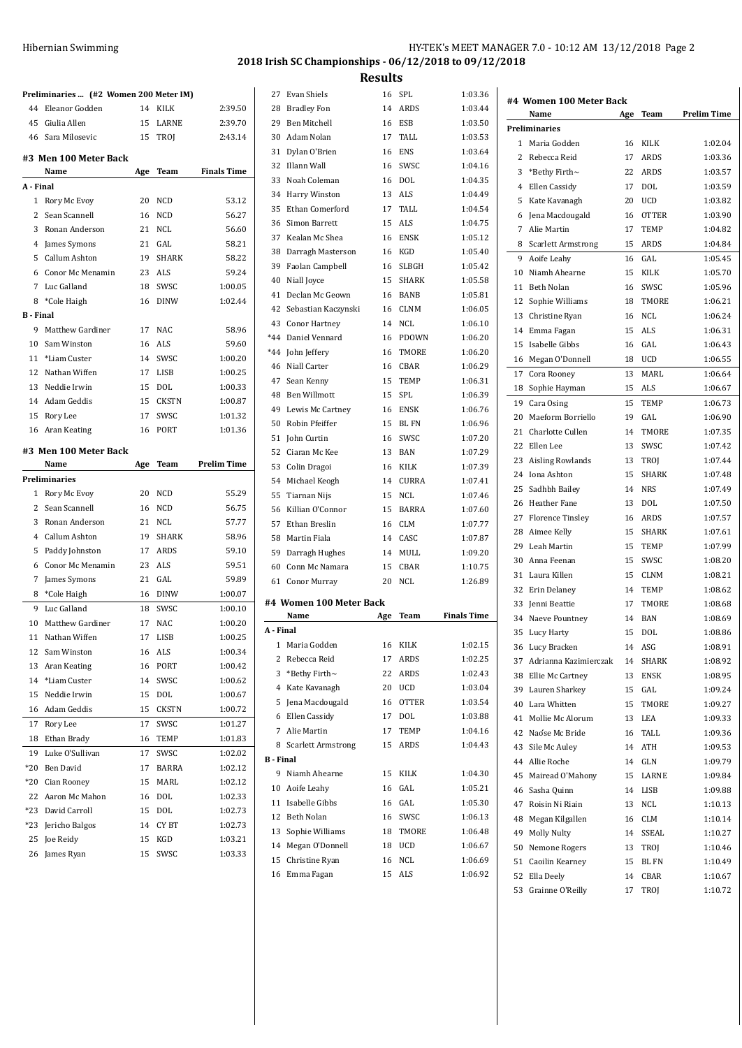|                  | Preliminaries  (#2 Women 200 Meter IM) |     |              |                    |
|------------------|----------------------------------------|-----|--------------|--------------------|
| 44               | Eleanor Godden                         | 14  | <b>KILK</b>  | 2:39.50            |
|                  | 45 Giulia Allen                        | 15  | LARNE        | 2:39.70            |
|                  | 46 Sara Milosevic                      | 15  | TROJ         | 2:43.14            |
|                  | #3 Men 100 Meter Back                  |     |              |                    |
|                  | Name                                   | Age | <b>Team</b>  | <b>Finals Time</b> |
| A - Final        |                                        |     |              |                    |
| 1                | Rory Mc Evoy                           | 20  | <b>NCD</b>   | 53.12              |
| 2                | Sean Scannell                          | 16  | NCD          | 56.27              |
| 3                | Ronan Anderson                         | 21  | NCL          | 56.60              |
| 4                | James Symons                           | 21  | GAL          | 58.21              |
| 5                | Callum Ashton                          | 19  | <b>SHARK</b> | 58.22              |
| 6                | Conor Mc Menamin                       | 23  | ALS          | 59.24              |
|                  | 7 Luc Galland                          | 18  | SWSC         | 1:00.05            |
|                  | 8 *Cole Haigh                          | 16  | <b>DINW</b>  | 1:02.44            |
| <b>B</b> - Final |                                        |     |              |                    |
| 9                | <b>Matthew Gardiner</b>                | 17  | <b>NAC</b>   | 58.96              |
|                  | 10 Sam Winston                         | 16  | <b>ALS</b>   | 59.60              |
|                  | 11 *Liam Custer                        | 14  | SWSC         | 1:00.20            |
|                  | 12 Nathan Wiffen                       | 17  | LISB         | 1:00.25            |
|                  | 13 Neddie Irwin                        | 15  | DOL          | 1:00.33            |
|                  | 14 Adam Geddis                         | 15  | <b>CKSTN</b> | 1:00.87            |
| 15               | Rory Lee                               | 17  | SWSC         | 1:01.32            |
| 16               | Aran Keating                           | 16  | PORT         | 1:01.36            |
|                  | #3 Men 100 Meter Back                  |     |              |                    |
|                  | Name                                   | Age | Team         | <b>Prelim Time</b> |
|                  | Preliminaries                          |     |              |                    |
| 1                | Rory Mc Evoy                           | 20  | NCD          | 55.29              |
| 2                | Sean Scannell                          | 16  | NCD          | 56.75              |
| 3                | Ronan Anderson                         | 21  | <b>NCL</b>   | 57.77              |
| 4                | Callum Ashton                          | 19  | <b>SHARK</b> | 58.96              |
| 5                | Paddy Johnston                         | 17  | ARDS         | 59.10              |
| 6                | Conor Mc Menamin                       | 23  | <b>ALS</b>   | 59.51              |
| 7                | James Symons                           | 21  | GAL          | 59.89              |
| 8                | *Cole Haigh                            | 16  | <b>DINW</b>  | 1:00.07            |
| 9                | Luc Galland                            | 18  | SWSC         | 1:00.10            |
| 10               | <b>Matthew Gardiner</b>                | 17  | <b>NAC</b>   | 1:00.20            |
|                  | 11 Nathan Wiffen                       |     | 17 LISB      | 1:00.25            |
|                  | 12 Sam Winston                         | 16  | <b>ALS</b>   | 1:00.34            |
|                  | 13 Aran Keating                        | 16  | PORT         | 1:00.42            |
|                  | 14 *Liam Custer                        | 14  | SWSC         | 1:00.62            |
| 15               | Neddie Irwin                           | 15  | DOL          | 1:00.67            |
| 16               | Adam Geddis                            | 15  | <b>CKSTN</b> | 1:00.72            |
| 17               | Rory Lee                               | 17  | SWSC         | 1:01.27            |
| 18               | Ethan Brady                            | 16  | TEMP         | 1:01.83            |
| 19               | Luke O'Sullivan                        | 17  | SWSC         | 1:02.02            |
| $*20$            | Ben David                              | 17  | BARRA        | 1:02.12            |
| $*20$            | Cian Rooney                            | 15  | MARL         | 1:02.12            |
| 22               | Aaron Mc Mahon                         | 16  | DOL          | 1:02.33            |
|                  | *23 David Carroll                      | 15  | DOL          | 1:02.73            |
|                  | *23 Jericho Balgos                     | 14  | CY BT        | 1:02.73            |
| 25               | Joe Reidy                              | 15  | KGD          | 1:03.21            |
|                  | 26 James Ryan                          | 15  | SWSC         | 1:03.33            |

27 Evan Shiels 16 SPL 1:03.36 Bradley Fon 14 ARDS 1:03.44 Ben Mitchell 16 ESB 1:03.50 Adam Nolan 17 TALL 1:03.53 Dylan O'Brien 16 ENS 1:03.64 Illann Wall 16 SWSC 1:04.16 Noah Coleman 16 DOL 1:04.35 34 Harry Winston 13 ALS 1:04.49 35 Ethan Comerford 17 TALL 1:04.54 Simon Barrett 15 ALS 1:04.75 Kealan Mc Shea 16 ENSK 1:05.12 Darragh Masterson 16 KGD 1:05.40 Faolan Campbell 16 SLBGH 1:05.42 40 Niall Joyce 15 SHARK 1:05.58 Declan Mc Geown 16 BANB 1:05.81 Sebastian Kaczynski 16 CLNM 1:06.05 Conor Hartney 14 NCL 1:06.10 \*44 Daniel Vennard 16 PDOWN 1:06.20 \*44 John Jeffery 16 TMORE 1:06.20 Niall Carter 16 CBAR 1:06.29 Sean Kenny 15 TEMP 1:06.31 Ben Willmott 15 SPL 1:06.39 49 Lewis Mc Cartney 16 ENSK 1:06.76 Robin Pfeiffer 15 BL FN 1:06.96 John Curtin 16 SWSC 1:07.20 Ciaran Mc Kee 13 BAN 1:07.29 Colin Dragoi 16 KILK 1:07.39 Michael Keogh 14 CURRA 1:07.41 Tiarnan Nijs 15 NCL 1:07.46 Killian O'Connor 15 BARRA 1:07.60 Ethan Breslin 16 CLM 1:07.77 Martin Fiala 14 CASC 1:07.87 Darragh Hughes 14 MULL 1:09.20 Conn Mc Namara 15 CBAR 1:10.75 Conor Murray 20 NCL 1:26.89 **#4 Women 100 Meter Back Name Age Team Finals Time A - Final** Maria Godden 16 KILK 1:02.15 Rebecca Reid 17 ARDS 1:02.25 \*Bethy Firth~ 22 ARDS 1:02.43 4 Kate Kavanagh 20 UCD 1:03.04 Jena Macdougald 16 OTTER 1:03.54 Ellen Cassidy 17 DOL 1:03.88 Alie Martin 17 TEMP 1:04.16 8 Scarlett Armstrong 15 ARDS 1:04.43 **B - Final** 9 Niamh Ahearne 15 KILK 1:04.30 Aoife Leahy 16 GAL 1:05.21 Isabelle Gibbs 16 GAL 1:05.30 Beth Nolan 16 SWSC 1:06.13 Sophie Williams 18 TMORE 1:06.48 Megan O'Donnell 18 UCD 1:06.67 Christine Ryan 16 NCL 1:06.69 Emma Fagan 15 ALS 1:06.92 **#4 Women 100 Meter Back Name Age Team Prelim Time Preliminaries** Maria Godden 16 KILK 1:02.04 Rebecca Reid 17 ARDS 1:03.36 \*Bethy Firth~ 22 ARDS 1:03.57 Ellen Cassidy 17 DOL 1:03.59 Kate Kavanagh 20 UCD 1:03.82 Jena Macdougald 16 OTTER 1:03.90 Alie Martin 17 TEMP 1:04.82 Scarlett Armstrong 15 ARDS 1:04.84 Aoife Leahy 16 GAL 1:05.45 Niamh Ahearne 15 KILK 1:05.70 Beth Nolan 16 SWSC 1:05.96 12 Sophie Williams 18 TMORE 1:06.21 13 Christine Ryan 16 NCL 1:06.24 14 Emma Fagan 15 ALS 1:06.31 Isabelle Gibbs 16 GAL 1:06.43 Megan O'Donnell 18 UCD 1:06.55 Cora Rooney 13 MARL 1:06.64 Sophie Hayman 15 ALS 1:06.67 Cara Osing 15 TEMP 1:06.73 20 Maeform Borriello 19 GAL 1:06.90 21 Charlotte Cullen 14 TMORE 1:07.35 Ellen Lee 13 SWSC 1:07.42 23 Aisling Rowlands 13 TROJ 1:07.44 Iona Ashton 15 SHARK 1:07.48 Sadhbh Bailey 14 NRS 1:07.49 26 Heather Fane 13 DOL 1:07.50 27 Florence Tinsley 16 ARDS 1:07.57 Aimee Kelly 15 SHARK 1:07.61 Leah Martin 15 TEMP 1:07.99 Anna Feenan 15 SWSC 1:08.20 Laura Killen 15 CLNM 1:08.21 Erin Delaney 14 TEMP 1:08.62 Jenni Beattie 17 TMORE 1:08.68 Naeve Pountney 14 BAN 1:08.69 Lucy Harty 15 DOL 1:08.86 Lucy Bracken 14 ASG 1:08.91 Adrianna Kazimierczak 14 SHARK 1:08.92 Ellie Mc Cartney 13 ENSK 1:08.95 39 Lauren Sharkey 15 GAL 1:09.24 Lara Whitten 15 TMORE 1:09.27 Mollie Mc Alorum 13 LEA 1:09.33 42 Naose Mc Bride 16 TALL 1:09.36 Sile Mc Auley 14 ATH 1:09.53 Allie Roche 14 GLN 1:09.79 Mairead O'Mahony 15 LARNE 1:09.84 Sasha Quinn 14 LISB 1:09.88 Roisin Ni Riain 13 NCL 1:10.13 Megan Kilgallen 16 CLM 1:10.14 49 Molly Nulty 14 SSEAL 1:10.27 Nemone Rogers 13 TROJ 1:10.46 Caoilin Kearney 15 BL FN 1:10.49

 Ella Deely 14 CBAR 1:10.67 Grainne O'Reilly 17 TROJ 1:10.72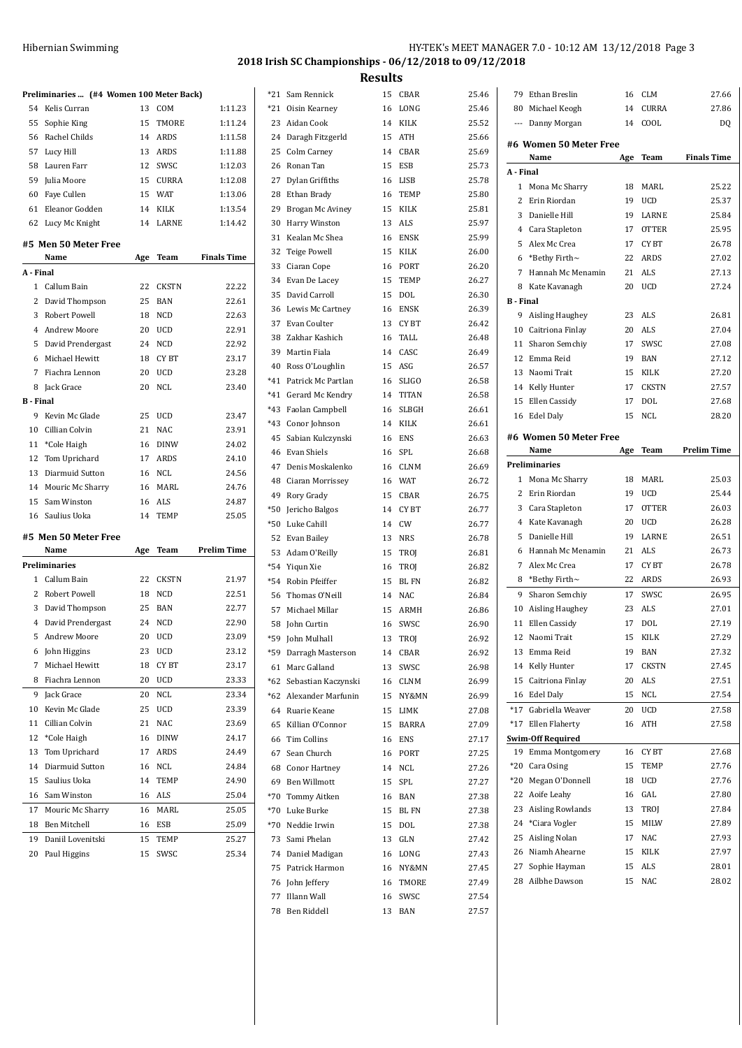| Hibernian Swimming | HY-TEK's MEET MANAGER 7.0 - 10:12 AM 13/12/2018 Page 3 |
|--------------------|--------------------------------------------------------|
|                    | 2018 Irish SC Championships - 06/12/2018 to 09/12/2018 |

|                  | Preliminaries  (#4 Women 100 Meter Back) |    |              |                    | *21 Sam Rennick                  | 15 | CBAR              | 25.46          | 79             | Ethan Breslin            | 16 | <b>CLM</b>   | 27.66              |
|------------------|------------------------------------------|----|--------------|--------------------|----------------------------------|----|-------------------|----------------|----------------|--------------------------|----|--------------|--------------------|
|                  | 54 Kelis Curran                          |    | 13 COM       | 1:11.23            | *21 Oisin Kearney                | 16 | LONG              | 25.46          | 80             | Michael Keogh            | 14 | <b>CURRA</b> | 27.86              |
|                  | 55 Sophie King                           | 15 | TMORE        | 1:11.24            | 23 Aidan Cook                    | 14 | KILK              | 25.52          | $\cdots$       | Danny Morgan             | 14 | COOL         | DQ                 |
|                  | 56 Rachel Childs                         |    | 14 ARDS      | 1:11.58            | 24 Daragh Fitzgerld              | 15 | ATH               | 25.66          |                |                          |    |              |                    |
|                  | 57 Lucy Hill                             |    | 13 ARDS      | 1:11.88            | 25 Colm Carney                   | 14 | CBAR              | 25.69          |                | #6 Women 50 Meter Free   |    |              |                    |
|                  | 58 Lauren Farr                           |    | 12 SWSC      | 1:12.03            | 26 Ronan Tan                     | 15 | ESB               | 25.73          |                | Name                     |    | Age Team     | <b>Finals Time</b> |
|                  | 59 Julia Moore                           | 15 | CURRA        | 1:12.08            | 27 Dylan Griffiths               |    | 16 LISB           | 25.78          | A - Final      |                          |    |              |                    |
|                  | 60 Faye Cullen                           |    | 15 WAT       | 1:13.06            | 28 Ethan Brady                   | 16 | <b>TEMP</b>       | 25.80          |                | 1 Mona Mc Sharry         |    | 18 MARL      | 25.22              |
|                  | 61 Eleanor Godden                        |    | 14 KILK      | 1:13.54            | 29 Brogan Mc Aviney              |    | 15 KILK           | 25.81          |                | 2 Erin Riordan           | 19 | UCD          | 25.37              |
|                  | 62 Lucy Mc Knight                        |    | 14 LARNE     | 1:14.42            | 30 Harry Winston                 |    | 13 ALS            | 25.97          |                | 3 Danielle Hill          |    | 19 LARNE     | 25.84              |
|                  |                                          |    |              |                    | 31 Kealan Mc Shea                | 16 | <b>ENSK</b>       | 25.99          |                | 4 Cara Stapleton         | 17 | <b>OTTER</b> | 25.95              |
|                  | #5 Men 50 Meter Free                     |    |              |                    | 32 Teige Powell                  |    | KILK              | 26.00          |                | 5 Alex Mc Crea           | 17 | CY BT        | 26.78              |
|                  | Name                                     |    | Age Team     | <b>Finals Time</b> |                                  | 15 |                   |                | 6              | *Bethy Firth $\sim$      |    | 22 ARDS      | 27.02              |
| A - Final        |                                          |    |              |                    | 33 Ciaran Cope                   | 16 | PORT              | 26.20          |                | 7 Hannah Mc Menamin      |    | 21 ALS       | 27.13              |
|                  | 1 Callum Bain                            | 22 | <b>CKSTN</b> | 22.22              | 34 Evan De Lacey                 | 15 | TEMP              | 26.27          |                | 8 Kate Kavanagh          | 20 | UCD          | 27.24              |
|                  | 2 David Thompson                         | 25 | BAN          | 22.61              | 35 David Carroll                 | 15 | <b>DOL</b>        | 26.30          | <b>B</b> Final |                          |    |              |                    |
|                  | 3 Robert Powell                          | 18 | NCD          | 22.63              | 36 Lewis Mc Cartney              | 16 | <b>ENSK</b>       | 26.39          |                | 9 Aisling Haughey        |    | 23 ALS       | 26.81              |
| 4                | Andrew Moore                             | 20 | <b>UCD</b>   | 22.91              | 37 Evan Coulter                  | 13 | CY BT             | 26.42          |                | 10 Caitriona Finlay      | 20 | ALS          | 27.04              |
|                  | 5 David Prendergast                      |    | 24 NCD       | 22.92              | 38 Zakhar Kashich                | 16 | TALL              | 26.48          |                | 11 Sharon Semchiy        |    | 17 SWSC      | 27.08              |
|                  | 6 Michael Hewitt                         |    | 18 CYBT      | 23.17              | 39 Martin Fiala                  |    | 14 CASC           | 26.49          |                | 12 Emma Reid             | 19 | <b>BAN</b>   | 27.12              |
|                  | 7 Fiachra Lennon                         |    | 20 UCD       | 23.28              | 40 Ross O'Loughlin               |    | 15 ASG            | 26.57          |                | 13 Naomi Trait           | 15 | KILK         | 27.20              |
|                  |                                          |    |              |                    | *41 Patrick Mc Partlan           |    | 16 SLIGO          | 26.58          |                |                          |    |              |                    |
|                  | 8 Jack Grace                             |    | 20 NCL       | 23.40              | *41 Gerard Mc Kendry             |    | 14 TITAN          | 26.58          |                | 14 Kelly Hunter          | 17 | <b>CKSTN</b> | 27.57              |
| <b>B</b> - Final |                                          |    |              |                    | *43 Faolan Campbell              |    | 16 SLBGH          | 26.61          |                | 15 Ellen Cassidy         | 17 | <b>DOL</b>   | 27.68              |
|                  | 9 Kevin Mc Glade                         | 25 | <b>UCD</b>   | 23.47              | *43 Conor Johnson                |    | 14 KILK           | 26.61          |                | 16 Edel Daly             |    | 15 NCL       | 28.20              |
|                  | 10 Cillian Colvin                        |    | 21 NAC       | 23.91              | 45 Sabian Kulczynski             | 16 | ENS               | 26.63          |                | #6 Women 50 Meter Free   |    |              |                    |
|                  | 11 *Cole Haigh                           | 16 | <b>DINW</b>  | 24.02              | 46 Evan Shiels                   | 16 | SPL               | 26.68          |                | Name                     |    | Age Team     | <b>Prelim Time</b> |
|                  | 12 Tom Uprichard                         |    | 17 ARDS      | 24.10              |                                  |    | CLNM              |                |                | Preliminaries            |    |              |                    |
|                  | 13 Diarmuid Sutton                       |    | 16 NCL       | 24.56              | 47 Denis Moskalenko              | 16 |                   | 26.69          |                | 1 Mona Mc Sharry         | 18 | MARL         | 25.03              |
|                  | 14 Mouric Mc Sharry                      |    | 16 MARL      | 24.76              | 48 Ciaran Morrissey              | 16 | <b>WAT</b>        | 26.72          |                |                          |    |              |                    |
|                  | 15 Sam Winston                           |    | 16 ALS       | 24.87              | 49 Rory Grady                    | 15 | CBAR              | 26.75          |                | 2 Erin Riordan           |    | 19 UCD       | 25.44              |
|                  | 16 Saulius Uoka                          |    | 14 TEMP      | 25.05              | *50 Jericho Balgos               | 14 | CY BT             | 26.77          |                | 3 Cara Stapleton         |    | 17 OTTER     | 26.03              |
|                  |                                          |    |              |                    | *50 Luke Cahill                  |    | 14 CW             | 26.77          |                | 4 Kate Kavanagh          | 20 | UCD          | 26.28              |
|                  |                                          |    |              |                    |                                  |    |                   |                |                |                          |    |              |                    |
|                  | #5 Men 50 Meter Free                     |    |              |                    | 52 Evan Bailey                   |    | 13 NRS            | 26.78          |                | 5 Danielle Hill          | 19 | LARNE        | 26.51              |
|                  | Name                                     |    | Age Team     | <b>Prelim Time</b> | 53 Adam O'Reilly                 |    | 15 TROJ           | 26.81          |                | 6 Hannah Mc Menamin      |    | 21 ALS       | 26.73              |
|                  | Preliminaries                            |    |              |                    | *54 Yiqun Xie                    | 16 | TROJ              | 26.82          |                | 7 Alex Mc Crea           | 17 | CY BT        | 26.78              |
|                  | 1 Callum Bain                            | 22 | CKSTN        | 21.97              | *54 Robin Pfeiffer               | 15 | BL FN             | 26.82          |                | 8 *Bethy Firth~          |    | 22 ARDS      | 26.93              |
|                  | 2 Robert Powell                          | 18 | NCD          | 22.51              | 56 Thomas O'Neill                |    | 14 NAC            | 26.84          |                | 9 Sharon Semchiy         | 17 | SWSC         | 26.95              |
|                  | 3 David Thompson                         | 25 | BAN          | 22.77              | 57 Michael Millar                | 15 | ARMH              |                | 10             | Aisling Haughey          | 23 | ALS          | 27.01              |
|                  | 4 David Prendergast                      | 24 | NCD          | 22.90              |                                  |    |                   | 26.86          | 11             | Ellen Cassidy            | 17 | <b>DOL</b>   | 27.19              |
|                  | 5 Andrew Moore                           |    | 20 UCD       | 23.09              | 58 John Curtin                   | 16 | SWSC              | 26.90          |                |                          |    |              |                    |
|                  |                                          |    |              |                    | *59 - John Mulhall               |    | 13 TROJ           | 26.92          |                | 12 Naomi Trait           | 15 | KILK         | 27.29              |
|                  | 6 John Higgins                           |    | 23 UCD       | 23.12              | *59 Darragh Masterson            | 14 | CBAR              | 26.92          |                | 13 Emma Reid             | 19 | BAN          | 27.32              |
|                  | 7 Michael Hewitt                         |    | 18 CYBT      | 23.17              | 61 Marc Galland                  | 13 | SWSC              | 26.98          |                | 14 Kelly Hunter          | 17 | <b>CKSTN</b> | 27.45              |
|                  | 8 Fiachra Lennon                         |    | 20 UCD       | 23.33              | *62 Sebastian Kaczynski          | 16 | CLNM              | 26.99          |                | 15 Caitriona Finlay      |    | 20 ALS       | 27.51              |
|                  | 9 Jack Grace                             |    | 20 NCL       | 23.34              | *62 Alexander Marfunin           |    | 15 NY&MN          | 26.99          |                | 16 Edel Daly             |    | 15 NCL       | 27.54              |
|                  | 10 Kevin Mc Glade                        | 25 | UCD          | 23.39              | 64 Ruarie Keane                  |    | 15 LIMK           | 27.08          |                | *17 Gabriella Weaver     |    | 20 UCD       | 27.58              |
|                  | 11 Cillian Colvin                        |    | 21 NAC       | 23.69              | 65 Killian O'Connor              |    | 15 BARRA          | 27.09          |                | *17 Ellen Flaherty       |    | 16 ATH       | 27.58              |
|                  | 12 *Cole Haigh                           | 16 | DINW         | 24.17              | 66 Tim Collins                   | 16 | ENS               | 27.17          |                | <b>Swim-Off Required</b> |    |              |                    |
|                  | 13 Tom Uprichard                         |    | 17 ARDS      | 24.49              | 67 Sean Church                   | 16 | PORT              | 27.25          |                | 19 Emma Montgomery       |    | 16 CYBT      | 27.68              |
|                  | 14 Diarmuid Sutton                       |    | 16 NCL       | 24.84              | 68 Conor Hartney                 |    | 14 NCL            | 27.26          | *20            | Cara Osing               | 15 | TEMP         | 27.76              |
|                  | 15 Saulius Uoka                          |    | 14 TEMP      | 24.90              | 69 Ben Willmott                  | 15 | SPL               | 27.27          | *20            | Megan O'Donnell          | 18 | UCD          | 27.76              |
|                  | 16 Sam Winston                           |    | 16 ALS       | 25.04              | *70 Tommy Aitken                 | 16 | <b>BAN</b>        | 27.38          | 22             | Aoife Leahy              | 16 | GAL          | 27.80              |
|                  |                                          |    |              |                    |                                  |    |                   |                | 23             | Aisling Rowlands         | 13 | TROJ         | 27.84              |
|                  | 17 Mouric Mc Sharry                      |    | 16 MARL      | 25.05              | *70 Luke Burke                   | 15 | <b>BLFN</b>       | 27.38          |                |                          |    |              |                    |
|                  | 18 Ben Mitchell                          |    | 16 ESB       | 25.09              | *70 Neddie Irwin                 | 15 | DOL               | 27.38          | 24             | *Ciara Vogler            | 15 | MILW         | 27.89              |
|                  | 19 Daniil Lovenitski                     |    | 15 TEMP      | 25.27              | 73 Sami Phelan                   | 13 | GLN               | 27.42          | 25             | Aisling Nolan            | 17 | NAC          | 27.93              |
|                  | 20 Paul Higgins                          |    | 15 SWSC      | 25.34              | 74 Daniel Madigan                | 16 | LONG              | 27.43          | 26             | Niamh Ahearne            |    | 15 KILK      | 27.97              |
|                  |                                          |    |              |                    | 75 Patrick Harmon                |    | 16 NY&MN          | 27.45          | 27             | Sophie Hayman            |    | 15 ALS       | 28.01              |
|                  |                                          |    |              |                    | 76 John Jeffery                  |    | 16 TMORE          | 27.49          | 28             | Ailbhe Dawson            |    | 15 NAC       | 28.02              |
|                  |                                          |    |              |                    | 77 Illann Wall<br>78 Ben Riddell |    | 16 SWSC<br>13 BAN | 27.54<br>27.57 |                |                          |    |              |                    |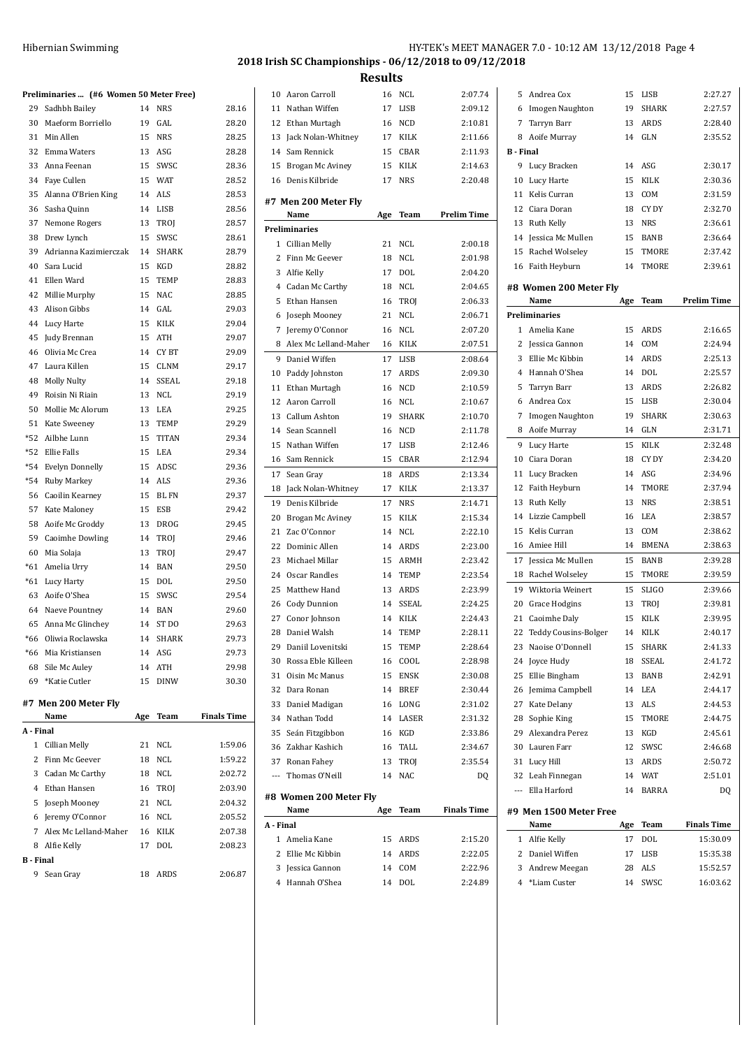| Hibernian Swimming | HY-TEK's MEET MANAGER 7.0 - 10:12 AM 13/12/2018 Page 4 |
|--------------------|--------------------------------------------------------|
|--------------------|--------------------------------------------------------|

## **2018 Irish SC Championships - 06/12/2018 to 09/12/2018 Results**

|                  | Preliminaries  (#6 Women 50 Meter Free) |     |              |                    |
|------------------|-----------------------------------------|-----|--------------|--------------------|
| 29               | Sadhbh Bailey                           | 14  | <b>NRS</b>   | 28.16              |
|                  | 30 Maeform Borriello                    | 19  | GAL          | 28.20              |
|                  | 31 Min Allen                            | 15  | <b>NRS</b>   | 28.25              |
|                  | 32 Emma Waters                          |     | 13 ASG       | 28.28              |
|                  | 33 Anna Feenan                          | 15  | SWSC         | 28.36              |
|                  | 34 Faye Cullen                          |     | 15 WAT       | 28.52              |
|                  | 35 Alanna O'Brien King                  | 14  | ALS          | 28.53              |
|                  | 36 Sasha Quinn                          |     | 14 LISB      | 28.56              |
|                  | 37 Nemone Rogers                        |     | 13 TROJ      | 28.57              |
| 38               | Drew Lynch                              | 15  | SWSC         | 28.61              |
|                  | 39 Adrianna Kazimierczak                | 14  | <b>SHARK</b> | 28.79              |
| 40               | Sara Lucid                              | 15  | KGD          | 28.82              |
| 41               | Ellen Ward                              | 15  | TEMP         | 28.83              |
|                  | 42 Millie Murphy                        | 15  | NAC          | 28.85              |
|                  | 43 Alison Gibbs                         | 14  | GAL          | 29.03              |
|                  | 44 Lucy Harte                           | 15  | KILK         | 29.04              |
| 45               | Judy Brennan                            | 15  | ATH          | 29.07              |
| 46               | Olivia Mc Crea                          | 14  | CY BT        | 29.09              |
| 47               | Laura Killen                            | 15  | CLNM         | 29.17              |
| 48               | Molly Nulty                             | 14  | SSEAL        | 29.18              |
| 49               | Roisin Ni Riain                         |     | 13 NCL       | 29.19              |
| 50               | Mollie Mc Alorum                        |     | 13 LEA       | 29.25              |
|                  | 51 Kate Sweeney                         |     | 13 TEMP      | 29.29              |
|                  | *52 Ailbhe Lunn                         | 15  | <b>TITAN</b> | 29.34              |
| $*52$            | Ellie Falls                             |     | 15 LEA       | 29.34              |
|                  | *54 Evelyn Donnelly                     |     | 15 ADSC      | 29.36              |
|                  | *54 Ruby Markey                         |     | 14 ALS       | 29.36              |
|                  | 56 Caoilin Kearney                      |     | 15 BL FN     | 29.37              |
|                  | 57 Kate Maloney                         |     | 15 ESB       | 29.42              |
| 58               | Aoife Mc Groddy                         | 13  | <b>DROG</b>  | 29.45              |
|                  | 59 Caoimhe Dowling                      |     | 14 TROJ      | 29.46              |
|                  | 60 Mia Solaja                           | 13  | TROJ         | 29.47              |
|                  | *61 Amelia Urry                         |     | 14 BAN       | 29.50              |
| $*61$            | Lucy Harty                              | 15  | DOL          | 29.50              |
| 63               | Aoife O'Shea                            | 15  | SWSC         | 29.54              |
|                  | 64 Naeve Pountney                       |     | 14 BAN       | 29.60              |
|                  | 65 Anna Mc Glinchey                     | 14  | ST DO        | 29.63              |
|                  | *66 Oliwia Roclawska                    | 14  | <b>SHARK</b> | 29.73              |
| *66              | Mia Kristiansen                         | 14  | ASG          | 29.73              |
| 68               | Sile Mc Auley                           | 14  | ATH          | 29.98              |
|                  | 69 *Katie Cutler                        | 15  | <b>DINW</b>  | 30.30              |
|                  |                                         |     |              |                    |
|                  | #7 Men 200 Meter Fly                    |     |              |                    |
|                  | Name                                    | Age | Team         | <b>Finals Time</b> |
| A - Final        |                                         |     |              |                    |
| 1                | Cillian Melly                           | 21  | <b>NCL</b>   | 1:59.06            |
| 2                | Finn Mc Geever                          | 18  | NCL          | 1:59.22            |
| 3                | Cadan Mc Carthy                         | 18  | <b>NCL</b>   | 2:02.72            |
|                  | 4 Ethan Hansen                          | 16  | TROJ         | 2:03.90            |
| 5                | Joseph Mooney                           | 21  | NCL          | 2:04.32            |
| 6                | Jeremy O'Connor                         | 16  | NCL          | 2:05.52            |
| 7                | Alex Mc Lelland-Maher                   | 16  | KILK         | 2:07.38            |
| 8                | Alfie Kelly                             | 17  | DOL          | 2:08.23            |
| <b>B</b> - Final |                                         |     |              |                    |
| 9                | Sean Gray                               | 18  | ARDS         | 2:06.87            |

| 10        | Aaron Carroll                  | 16  | NCL          | 2:07.74            |
|-----------|--------------------------------|-----|--------------|--------------------|
| 11        | Nathan Wiffen                  | 17  | LISB         | 2:09.12            |
|           | 12 Ethan Murtagh               | 16  | NCD          | 2:10.81            |
| 13        | Jack Nolan-Whitney             | 17  | KILK         | 2:11.66            |
|           | 14 Sam Rennick                 | 15  | <b>CBAR</b>  | 2:11.93            |
| 15        | Brogan Mc Aviney               | 15  | KILK         | 2:14.63            |
| 16        | Denis Kilbride                 | 17  | <b>NRS</b>   | 2:20.48            |
|           |                                |     |              |                    |
|           | #7 Men 200 Meter Fly           |     |              |                    |
|           | Name                           | Age | Team         | <b>Prelim Time</b> |
|           | Preliminaries                  |     |              |                    |
|           | 1 Cillian Melly                | 21  | NCL          | 2:00.18            |
|           | 2 Finn Mc Geever               | 18  | <b>NCL</b>   | 2:01.98            |
|           | 3 Alfie Kelly                  | 17  | DOL          | 2:04.20            |
|           | 4 Cadan Mc Carthy              | 18  | <b>NCL</b>   | 2:04.65            |
| 5         | Ethan Hansen                   | 16  | <b>TROI</b>  | 2:06.33            |
| 6         | Joseph Mooney                  | 21  | <b>NCL</b>   | 2:06.71            |
| 7         | Jeremy O'Connor                | 16  | <b>NCL</b>   | 2:07.20            |
| 8         | Alex Mc Lelland-Maher          | 16  | KILK         | 2:07.51            |
| 9         | Daniel Wiffen                  | 17  | LISB         | 2:08.64            |
| 10        | Paddy Johnston                 | 17  | <b>ARDS</b>  | 2:09.30            |
| 11        | Ethan Murtagh                  | 16  | <b>NCD</b>   | 2:10.59            |
| 12        | Aaron Carroll                  | 16  | <b>NCL</b>   | 2:10.67            |
|           | 13 Callum Ashton               | 19  | <b>SHARK</b> | 2:10.70            |
|           | 14 Sean Scannell               | 16  | <b>NCD</b>   | 2:11.78            |
| 15        | Nathan Wiffen                  | 17  | LISB         | 2:12.46            |
| 16        | Sam Rennick                    | 15  | CBAR         | 2:12.94            |
| 17        | Sean Gray                      | 18  | ARDS         | 2:13.34            |
| 18        | Jack Nolan-Whitney             | 17  | KILK         | 2:13.37            |
| 19        | Denis Kilbride                 | 17  | <b>NRS</b>   | 2:14.71            |
| 20        | Brogan Mc Aviney               | 15  | <b>KILK</b>  | 2:15.34            |
| 21        | Zac O'Connor                   | 14  | <b>NCL</b>   | 2:22.10            |
| 22        | Dominic Allen                  | 14  | ARDS         | 2:23.00            |
| 23        | Michael Millar                 | 15  | ARMH         | 2:23.42            |
| 24        | Oscar Randles                  | 14  | TEMP         | 2:23.54            |
| 25        | Matthew Hand                   | 13  | ARDS         | 2:23.99            |
| 26        | Cody Dunnion                   | 14  | <b>SSEAL</b> | 2:24.25            |
| 27        | Conor Johnson                  | 14  | <b>KILK</b>  | 2:24.43            |
| 28        | Daniel Walsh                   | 14  | <b>TEMP</b>  | 2:28.11            |
|           | 29 Daniil Lovenitski           | 15  | TEMP         | 2:28.64            |
| 30        | Rossa Eble Killeen             | 16  | COOL         | 2:28.98            |
|           | 31 Oisin Mc Manus              | 15  | <b>ENSK</b>  | 2:30.08            |
|           | 32 Dara Ronan                  |     | 14 BREF      | 2:30.44            |
|           | 33 Daniel Madigan              |     | 16 LONG      | 2:31.02            |
|           | 34 Nathan Todd                 |     | 14 LASER     | 2:31.32            |
|           | 35 Seán Fitzgibbon             |     | 16 KGD       | 2:33.86            |
|           | 36 Zakhar Kashich              |     | 16 TALL      | 2:34.67            |
|           | 37 Ronan Fahey                 | 13  | TROJ         | 2:35.54            |
|           | --- Thomas O'Neill             | 14  | <b>NAC</b>   | DQ                 |
|           |                                |     |              |                    |
|           | #8 Women 200 Meter Fly<br>Name |     | Team         | <b>Finals Time</b> |
| A - Final |                                | Age |              |                    |
|           | 1 Amelia Kane                  | 15  | ARDS         | 2:15.20            |
|           | 2 Ellie Mc Kibbin              |     | 14 ARDS      | 2:22.05            |
|           | 3 Jessica Gannon               |     | 14 COM       | 2:22.96            |
|           | 4 Hannah O'Shea                |     | 14 DOL       | 2:24.89            |
|           |                                |     |              |                    |

| 5                | Andrea Cox                  | 15  | LISB         | 2:27.27            |
|------------------|-----------------------------|-----|--------------|--------------------|
| 6                | Imogen Naughton             | 19  | <b>SHARK</b> | 2:27.57            |
| 7                | Tarryn Barr                 | 13  | ARDS         | 2:28.40            |
| 8                | Aoife Murray                | 14  | GLN          | 2:35.52            |
| <b>B</b> - Final |                             |     |              |                    |
| 9                | Lucy Bracken                | 14  | ASG          | 2:30.17            |
| 10               | Lucy Harte                  | 15  | <b>KILK</b>  | 2:30.36            |
| 11               | Kelis Curran                | 13  | COM          | 2:31.59            |
| 12               | Ciara Doran                 | 18  | CY DY        | 2:32.70            |
|                  | 13 Ruth Kelly               | 13  | <b>NRS</b>   | 2:36.61            |
|                  | 14 Jessica Mc Mullen        | 15  | <b>BANB</b>  | 2:36.64            |
| 15               | Rachel Wolseley             | 15  | <b>TMORE</b> | 2:37.42            |
|                  | 16 Faith Heyburn            | 14  | TMORE        | 2:39.61            |
|                  | #8 Women 200 Meter Fly      |     |              |                    |
|                  | Name                        | Age | <b>Team</b>  | <b>Prelim Time</b> |
|                  | <b>Preliminaries</b>        |     |              |                    |
| $\mathbf{1}$     | Amelia Kane                 | 15  | ARDS         | 2:16.65            |
| 2                | Jessica Gannon              | 14  | COM          | 2:24.94            |
| 3                | Ellie Mc Kibbin             | 14  | ARDS         | 2:25.13            |
| 4                | Hannah O'Shea               | 14  | DOL          | 2:25.57            |
| 5                | Tarryn Barr                 | 13  | <b>ARDS</b>  | 2:26.82            |
| 6                | Andrea Cox                  | 15  | LISB         | 2:30.04            |
| 7                | Imogen Naughton             | 19  | <b>SHARK</b> | 2:30.63            |
| 8                | Aoife Murray                | 14  | GLN          | 2:31.71            |
| 9                | Lucy Harte                  | 15  | KILK         | 2:32.48            |
| 10               | Ciara Doran                 | 18  | CY DY        | 2:34.20            |
| 11               | Lucy Bracken                | 14  | ASG          | 2:34.96            |
| 12               | Faith Heyburn               | 14  | TMORE        | 2:37.94            |
| 13               | Ruth Kelly                  | 13  | <b>NRS</b>   | 2:38.51            |
| 14               | Lizzie Campbell             | 16  | LEA          | 2:38.57            |
| 15               | Kelis Curran                | 13  | COM          | 2:38.62            |
| 16               | Amiee Hill                  | 14  | <b>BMENA</b> | 2:38.63            |
| 17               | Jessica Mc Mullen           | 15  | BANB         | 2:39.28            |
| 18               | Rachel Wolseley             | 15  | TMORE        | 2:39.59            |
| 19               | Wiktoria Weinert            | 15  | SLIGO        | 2:39.66            |
| 20               | Grace Hodgins               | 13  | TROJ         | 2:39.81            |
| 21               | Caoimhe Daly                | 15  | KILK         | 2:39.95            |
| 22               | <b>Teddy Cousins-Bolger</b> | 14  | <b>KILK</b>  | 2:40.17            |
|                  | 23 Naoise O'Donnell         | 15  | SHARK        | 2:41.33            |
| 24               | Joyce Hudy                  | 18  | SSEAL        | 2:41.72            |
| 25               | Ellie Bingham               | 13  | BANB         | 2:42.91            |
| 26               | Jemima Campbell             | 14  | LEA          | 2:44.17            |
|                  | 27 Kate Delany              | 13  | <b>ALS</b>   | 2:44.53            |
| 28               | Sophie King                 | 15  | TMORE        | 2:44.75            |
| 29               | Alexandra Perez             | 13  | KGD          | 2:45.61            |
| 30               | Lauren Farr                 | 12  | SWSC         | 2:46.68            |
|                  | 31 Lucy Hill                | 13  | ARDS         | 2:50.72            |
|                  | 32 Leah Finnegan            | 14  | <b>WAT</b>   | 2:51.01            |
|                  | --- Ella Harford            | 14  | BARRA        | DQ                 |
|                  | #9 Men 1500 Meter Free      |     |              |                    |
|                  | Name                        | Age | Team         | <b>Finals Time</b> |
|                  | 1 Alfie Kelly               | 17  | DOL          | 15:30.09           |
|                  | 2 Daniel Wiffen             | 17  | LISB         | 15:35.38           |
|                  | 3 Andrew Meegan             | 28  | ALS          | 15:52.57           |
|                  | 4 *Liam Custer              | 14  | SWSC         | 16:03.62           |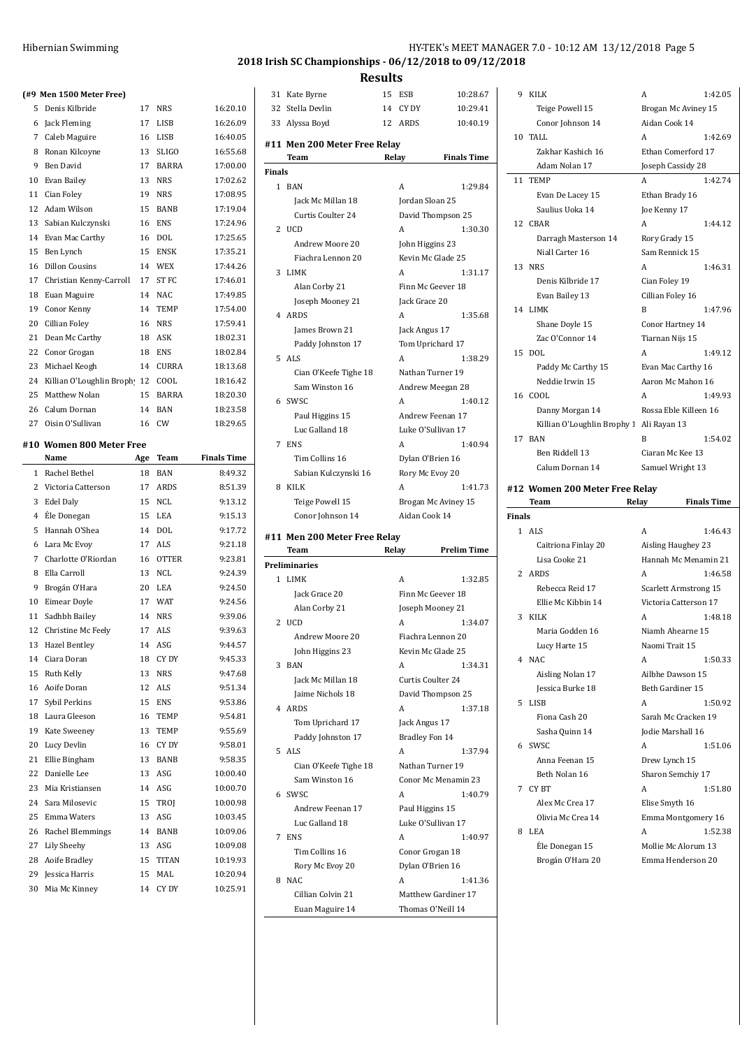|    | (#9 Men 1500 Meter Free)             |          |              |                      |
|----|--------------------------------------|----------|--------------|----------------------|
|    | 5 Denis Kilbride                     | 17       | NRS          | 16:20.10             |
|    | 6 Jack Fleming                       |          | 17 LISB      | 16:26.09             |
|    | 7 Caleb Maguire                      |          | 16 LISB      | 16:40.05             |
|    | 8 Ronan Kilcoyne                     |          | 13 SLIGO     | 16:55.68             |
| 9  | Ben David                            |          | 17 BARRA     | 17:00.00             |
|    | 10 Evan Bailey                       | 13       | NRS          | 17:02.62             |
|    | 11 Cian Foley                        | 19       | NRS          | 17:08.95             |
|    | 12 Adam Wilson                       | 15       | BANB         | 17:19.04             |
|    | 13 Sabian Kulczynski                 | 16       | <b>ENS</b>   | 17:24.96             |
|    | 14 Evan Mac Carthy                   | 16       | DOL          | 17:25.65             |
|    | 15 Ben Lynch                         | 15       | ENSK         | 17:35.21             |
| 16 | <b>Dillon Cousins</b>                |          | 14 WEX       | 17:44.26             |
|    | 17 Christian Kenny-Carroll           |          | 17 ST FC     | 17:46.01             |
| 18 | Euan Maguire                         |          | 14 NAC       | 17:49.85             |
|    | 19 Conor Kenny                       |          | 14 TEMP      | 17:54.00             |
|    | 20 Cillian Foley                     | 16       | NRS          | 17:59.41             |
|    | 21 Dean Mc Carthy                    | 18       | ASK          | 18:02.31             |
|    | 22 Conor Grogan                      | 18       | ENS          | 18:02.84             |
|    | 23 Michael Keogh                     |          | 14 CURRA     | 18:13.68             |
|    | 24 Killian O'Loughlin Brophy 12 COOL |          |              | 18:16.42             |
| 25 | Matthew Nolan                        | 15       | <b>BARRA</b> | 18:20.30             |
|    | 26 Calum Dornan                      |          | 14 BAN       | 18:23.58             |
|    | 27 Oisin O'Sullivan                  | 16       | CW           | 18:29.65             |
|    |                                      |          |              |                      |
|    | #10 Women 800 Meter Free<br>Name     |          | Age Team     | <b>Finals Time</b>   |
|    | 1 Rachel Bethel                      | 18       | <b>BAN</b>   | 8:49.32              |
|    | 2 Victoria Catterson                 | 17       | ARDS         | 8:51.39              |
|    | 3 Edel Daly                          | 15       | NCL          | 9:13.12              |
|    | 4 Éle Donegan                        | 15       | LEA          | 9:15.13              |
| 5  | Hannah O'Shea                        |          | 14 DOL       | 9:17.72              |
| 6  | Lara Mc Evoy                         |          | 17 ALS       | 9:21.18              |
|    | 7 Charlotte O'Riordan                | 16       | OTTER        | 9:23.81              |
| 8  | Ella Carroll                         |          | 13 NCL       | 9:24.39              |
| 9  | Brogán O'Hara                        |          | 20 LEA       | 9:24.50              |
|    | 10 Eimear Doyle                      |          | 17 WAT       | 9:24.56              |
|    | 11 Sadhbh Bailey                     |          | 14 NRS       | 9:39.06              |
|    | 12 Christine Mc Feely                |          | 17 ALS       | 9:39.63              |
|    | 13 Hazel Bentley                     |          | 14 ASG       | 9:44.57              |
| 14 | Ciara Doran                          | 18       | CY DY        | 9:45.33              |
| 15 | Ruth Kelly                           | 13       | <b>NRS</b>   | 9:47.68              |
| 16 | Aoife Doran                          | 12       | <b>ALS</b>   | 9:51.34              |
|    | 17 Sybil Perkins                     | 15       | ENS          | 9:53.86              |
| 18 | Laura Gleeson                        | 16       | TEMP         | 9:54.81              |
| 19 | Kate Sweenev                         | 13       | TEMP         | 9:55.69              |
| 20 | Lucy Devlin                          | 16       | CY DY        | 9:58.01              |
| 21 | Ellie Bingham                        | 13       | BANB         | 9:58.35              |
| 22 | Danielle Lee                         | 13       | ASG          | 10:00.40             |
| 23 | Mia Kristiansen                      | 14       | ASG          | 10:00.70             |
|    | 24 Sara Milosevic                    |          | TROJ         | 10:00.98             |
| 25 | Emma Waters                          | 15<br>13 | ASG          | 10:03.45             |
| 26 |                                      |          | BANB         | 10:09.06             |
|    | Rachel Blemmings                     | 14       |              |                      |
| 27 | Lily Sheehy                          | 13       | ASG          | 10:09.08             |
| 28 | Aoife Bradley                        | 15       | <b>TITAN</b> | 10:19.93             |
| 29 | Jessica Harris<br>Mia Mc Kinney      | 15<br>14 | MAL<br>CY DY | 10:20.94<br>10:25.91 |
| 30 |                                      |          |              |                      |

## Hibernian Swimming HY-TEK's MEET MANAGER 7.0 - 10:12 AM 13/12/2018 Page 5

**2018 Irish SC Championships - 06/12/2018 to 09/12/2018**

**Results**

31 Kate Byrne 15 ESB 10:28.67 32 Stella Devlin 14 CY DY 10:29.41 33 Alyssa Boyd 12 ARDS 10:40.19 **#11 Men 200 Meter Free Relay Team Relay Finals Time Finals** 1 BAN A 1:29.84 Jack Mc Millan 18 Jordan Sloan 25 Curtis Coulter 24 David Thompson 25 2 UCD A 1:30.30 Andrew Moore 20 John Higgins 23 Fiachra Lennon 20 Kevin Mc Glade 25 3 LIMK A 1:31.17 Alan Corby 21 Finn Mc Geever 18 Joseph Mooney 21 Jack Grace 20 4 ARDS A 1:35.68 James Brown 21 Jack Angus 17 Paddy Johnston 17 Tom Uprichard 17 5 ALS A 1:38.29 Cian O'Keefe Tighe 18 Nathan Turner 19 Sam Winston 16 Andrew Meegan 28 6 SWSC A 1:40.12 Paul Higgins 15 Andrew Feenan 17 Luc Galland 18 Luke O'Sullivan 17 7 ENS A 1:40.94 Tim Collins 16 Dylan O'Brien 16 Sabian Kulczynski 16 Rory Mc Evoy 20 8 KILK A 1:41.73 Teige Powell 15 Brogan Mc Aviney 15 Conor Johnson 14 Aidan Cook 14 **#11 Men 200 Meter Free Relay Team Relay Prelim Time Preliminaries** 1 LIMK A 1:32.85 Jack Grace 20 Finn Mc Geever 18 Alan Corby 21 Joseph Mooney 21 2 UCD A 1:34.07 Andrew Moore 20 Fiachra Lennon 20 John Higgins 23 Kevin Mc Glade 25 3 BAN A 1:34.31 Jack Mc Millan 18 Curtis Coulter 24 Jaime Nichols 18 David Thompson 25 4 ARDS A 1:37.18 Tom Uprichard 17 Jack Angus 17 Paddy Johnston 17 Bradley Fon 14 5 ALS A 1:37.94 Cian O'Keefe Tighe 18 Nathan Turner 19 Sam Winston 16 Conor Mc Menamin 23 6 SWSC A 1:40.79 Andrew Feenan 17 Paul Higgins 15 Luc Galland 18 Luke O'Sullivan 17 7 ENS A 1:40.97 Tim Collins 16 Conor Grogan 18 Rory Mc Evoy 20 Dylan O'Brien 16 8 NAC A 1:41.36 Cillian Colvin 21 Matthew Gardiner 17 Euan Maguire 14 Thomas O'Neill 14

| 9              | KILK                                     | A                     | 1:42.05            |
|----------------|------------------------------------------|-----------------------|--------------------|
|                | Teige Powell 15                          | Brogan Mc Aviney 15   |                    |
|                | Conor Johnson 14                         | Aidan Cook 14         |                    |
| 10             | TALL                                     | A                     | 1:42.69            |
|                | Zakhar Kashich 16                        | Ethan Comerford 17    |                    |
|                | Adam Nolan 17                            | Joseph Cassidy 28     |                    |
| 11             | <b>TEMP</b>                              | A                     | 1:42.74            |
|                | Evan De Lacey 15                         | Ethan Brady 16        |                    |
|                | Saulius Uoka 14                          | Joe Kenny 17          |                    |
|                | 12 CBAR                                  | A                     | 1:44.12            |
|                | Darragh Masterson 14                     | Rory Grady 15         |                    |
|                | Niall Carter 16                          | Sam Rennick 15        |                    |
|                | 13 NRS                                   | A                     | 1:46.31            |
|                | Denis Kilbride 17                        | Cian Foley 19         |                    |
|                | Evan Bailey 13                           | Cillian Foley 16      |                    |
|                | 14 LIMK                                  | B                     | 1:47.96            |
|                | Shane Doyle 15                           | Conor Hartney 14      |                    |
|                | Zac O'Connor 14                          | Tiarnan Nijs 15       |                    |
|                | 15 DOL                                   | A                     | 1:49.12            |
|                | Paddy Mc Carthy 15                       | Evan Mac Carthy 16    |                    |
|                | Neddie Irwin 15                          | Aaron Mc Mahon 16     |                    |
|                | 16 COOL                                  | A                     | 1:49.93            |
|                | Danny Morgan 14                          | Rossa Eble Killeen 16 |                    |
|                | Killian O'Loughlin Brophy 1 Ali Rayan 13 |                       |                    |
|                | 17 BAN                                   | B                     | 1:54.02            |
|                |                                          |                       |                    |
|                |                                          |                       |                    |
|                | Ben Riddell 13                           | Ciaran Mc Kee 13      |                    |
|                | Calum Dornan 14                          | Samuel Wright 13      |                    |
|                | #12 Women 200 Meter Free Relay           |                       |                    |
|                | Team                                     | Relay                 | <b>Finals Time</b> |
| Finals         |                                          |                       |                    |
|                | 1 ALS                                    | А                     | 1:46.43            |
|                | Caitriona Finlay 20                      | Aisling Haughey 23    |                    |
|                | Lisa Cooke 21                            | Hannah Mc Menamin 21  |                    |
| $\overline{2}$ | ARDS                                     | А                     | 1:46.58            |
|                | Rebecca Reid 17                          | Scarlett Armstrong 15 |                    |
|                | Ellie Mc Kibbin 14                       | Victoria Catterson 17 |                    |
| 3              | <b>KILK</b>                              | А                     | 1:48.18            |
|                | Maria Godden 16                          | Niamh Ahearne 15      |                    |
|                | Lucy Harte 15                            | Naomi Trait 15        |                    |
|                | 4 NAC                                    | Α                     | 1:50.33            |
|                | Aisling Nolan 17                         | Ailbhe Dawson 15      |                    |
|                | Jessica Burke 18                         | Beth Gardiner 15      |                    |
| 5              | <b>LISB</b>                              | А                     | 1:50.92            |
|                | Fiona Cash 20                            | Sarah Mc Cracken 19   |                    |
|                | Sasha Quinn 14                           | Jodie Marshall 16     |                    |
| 6              | SWSC                                     | Α                     | 1:51.06            |
|                | Anna Feenan 15                           | Drew Lynch 15         |                    |
|                | Beth Nolan 16                            | Sharon Semchiy 17     |                    |
| 7              | CY BT<br>Alex Mc Crea 17                 | Α<br>Elise Smyth 16   | 1:51.80            |

Olivia Mc Crea 14 Emma Montgomery 16 8 LEA A 1:52.38 EÉle Donegan 15 Mollie Mc Alorum 13 Brogaín O'Hara 20 Emma Henderson 20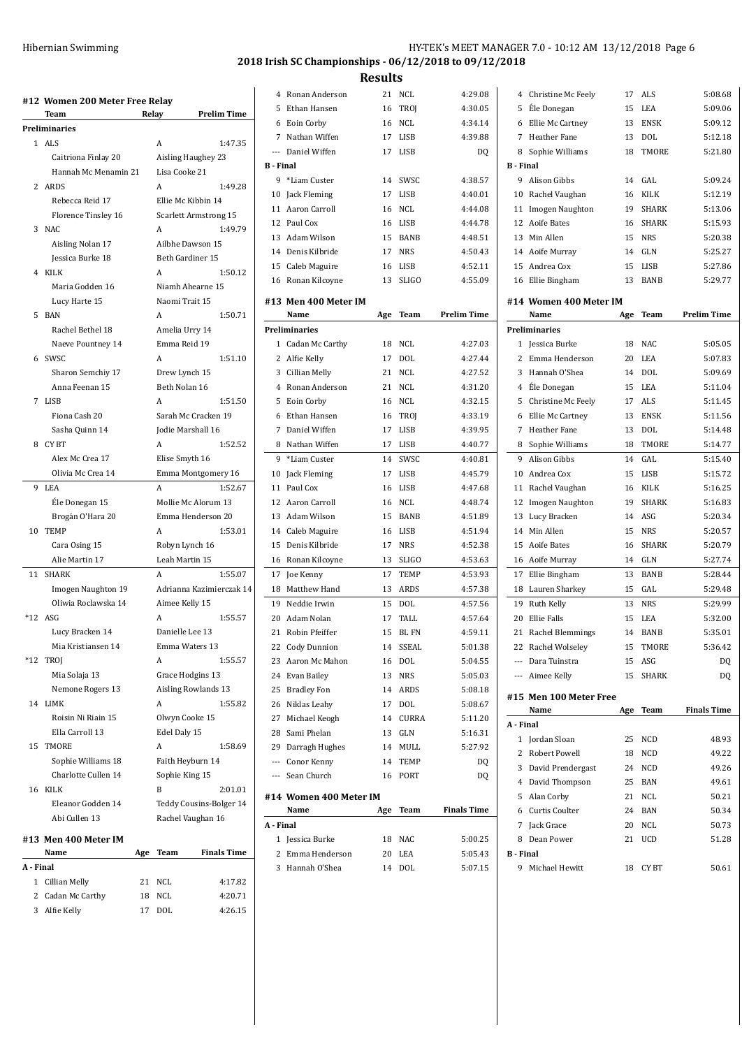| Hibernian Swimming | HY-TEK's MEET MANAGER 7.0 - 10:12 AM 13/12/2018 Page 6 |
|--------------------|--------------------------------------------------------|
|                    | 2018 Irish SC Championships - 06/12/2018 to 09/12/2018 |

|                | #12 Women 200 Meter Free Relay<br>Team | Relay |                    | <b>Prelim Time</b>           |
|----------------|----------------------------------------|-------|--------------------|------------------------------|
|                | Preliminaries                          |       |                    |                              |
| 1              | ALS                                    |       | Α                  | 1:47.35                      |
|                | Caitriona Finlay 20                    |       | Aisling Haughey 23 |                              |
|                | Hannah Mc Menamin 21                   |       | Lisa Cooke 21      |                              |
| $\overline{2}$ | ARDS                                   |       | A                  | 1:49.28                      |
|                | Rebecca Reid 17                        |       | Ellie Mc Kibbin 14 |                              |
|                | Florence Tinsley 16                    |       |                    | <b>Scarlett Armstrong 15</b> |
| 3              | NAC                                    |       | A                  | 1:49.79                      |
|                | Aisling Nolan 17                       |       | Ailbhe Dawson 15   |                              |
|                | Jessica Burke 18                       |       | Beth Gardiner 15   |                              |
|                | 4 KILK                                 |       | A                  | 1:50.12                      |
|                |                                        |       |                    |                              |
|                | Maria Godden 16                        |       | Niamh Ahearne 15   |                              |
|                | Lucy Harte 15                          |       | Naomi Trait 15     |                              |
| 5              | BAN                                    |       | A                  | 1:50.71                      |
|                | Rachel Bethel 18                       |       | Amelia Urry 14     |                              |
|                | Naeve Pountney 14                      |       | Emma Reid 19       |                              |
| 6              | SWSC                                   |       | A                  | 1:51.10                      |
|                | Sharon Semchiy 17                      |       | Drew Lynch 15      |                              |
|                | Anna Feenan 15                         |       | Beth Nolan 16      |                              |
| 7              | <b>LISB</b>                            |       | A                  | 1:51.50                      |
|                | Fiona Cash 20                          |       |                    | Sarah Mc Cracken 19          |
|                | Sasha Quinn 14                         |       | Jodie Marshall 16  |                              |
| 8              | CY BT                                  |       | Α                  | 1:52.52                      |
|                | Alex Mc Crea 17                        |       | Elise Smyth 16     |                              |
|                | Olivia Mc Crea 14                      |       |                    | Emma Montgomery 16           |
| 9              | LEA                                    |       | A                  | 1:52.67                      |
|                | Ele Donegan 15                         |       |                    | Mollie Mc Alorum 13          |
|                | Brogán O'Hara 20                       |       |                    | Emma Henderson 20            |
| 10             | TEMP                                   |       | A                  | 1:53.01                      |
|                | Cara Osing 15                          |       | Robyn Lynch 16     |                              |
|                | Alie Martin 17                         |       | Leah Martin 15     |                              |
| 11             | <b>SHARK</b>                           |       | A                  | 1:55.07                      |
|                | Imogen Naughton 19                     |       |                    | Adrianna Kazimierczak 14     |
|                | Oliwia Roclawska 14                    |       | Aimee Kelly 15     |                              |
|                | $*12$ ASG                              |       | A                  | 1:55.57                      |
|                | Lucy Bracken 14                        |       | Danielle Lee 13    |                              |
|                | Mia Kristiansen 14                     |       | Emma Waters 13     |                              |
| *12            | TROJ                                   |       | A                  | 1:55.57                      |
|                | Mia Solaja 13                          |       | Grace Hodgins 13   |                              |
|                | Nemone Rogers 13                       |       |                    | Aisling Rowlands 13          |
| 14             | LIMK                                   |       | Α                  | 1:55.82                      |
|                | Roisin Ni Riain 15                     |       | Olwyn Cooke 15     |                              |
|                | Ella Carroll 13                        |       | Edel Daly 15       |                              |
|                |                                        |       |                    |                              |
| 15             | TMORE                                  |       | Α                  | 1:58.69                      |
|                | Sophie Williams 18                     |       | Faith Heyburn 14   |                              |
|                | Charlotte Cullen 14                    |       | Sophie King 15     |                              |
| 16             | <b>KILK</b>                            |       | B                  | 2:01.01                      |
|                | Eleanor Godden 14                      |       |                    | Teddy Cousins-Bolger 14      |
|                | Abi Cullen 13                          |       | Rachel Vaughan 16  |                              |
|                | #13 Men 400 Meter IM                   |       |                    |                              |
|                | Name                                   | Age   | Team               | <b>Finals Time</b>           |
| A - Final      |                                        |       |                    |                              |
| 1              | Cillian Melly                          | 21    | NCL                | 4:17.82                      |
| 2              | Cadan Mc Carthy                        | 18    | NCL                | 4:20.71                      |
| 3              | Alfie Kelly                            | 17    | DOL                | 4:26.15                      |

| 4                | Ronan Anderson               | 21  | NCL         | 4:29.08            |
|------------------|------------------------------|-----|-------------|--------------------|
| 5                | Ethan Hansen                 | 16  | TROJ        | 4:30.05            |
| 6                | Eoin Corby                   | 16  | NCL         | 4:34.14            |
| 7                | Nathan Wiffen                | 17  | <b>LISB</b> | 4:39.88            |
| ---              | Daniel Wiffen                | 17  | LISB        | DQ                 |
| <b>B</b> - Final |                              |     |             |                    |
| 9                | *Liam Custer                 | 14  | SWSC        | 4:38.57            |
| 10               | Jack Fleming                 | 17  | LISB        | 4:40.01            |
| 11               | Aaron Carroll                | 16  | <b>NCL</b>  | 4:44.08            |
| 12               | Paul Cox                     | 16  | LISB        | 4:44.78            |
| 13               | Adam Wilson                  | 15  | <b>BANB</b> | 4:48.51            |
| 14               | Denis Kilbride               | 17  | <b>NRS</b>  | 4:50.43            |
| 15               | Caleb Maguire                | 16  | LISB        | 4:52.11            |
|                  | 16 Ronan Kilcoyne            | 13  | SLIGO       | 4:55.09            |
|                  |                              |     |             |                    |
|                  | #13 Men 400 Meter IM<br>Name |     | Team        | Prelim Time        |
|                  | <b>Preliminaries</b>         | Age |             |                    |
|                  |                              | 18  | <b>NCL</b>  |                    |
| $\overline{2}$   | 1 Cadan Mc Carthy            |     |             | 4:27.03            |
|                  | Alfie Kelly                  | 17  | DOL         | 4:27.44            |
| 3                | Cillian Melly                | 21  | <b>NCL</b>  | 4:27.52            |
| 4                | Ronan Anderson               | 21  | <b>NCL</b>  | 4:31.20            |
| 5                | Eoin Corby                   | 16  | NCL         | 4:32.15            |
| 6                | Ethan Hansen                 | 16  | TROJ        | 4:33.19            |
| 7                | Daniel Wiffen                | 17  | LISB        | 4:39.95            |
| 8                | Nathan Wiffen                | 17  | LISB        | 4:40.77            |
| 9                | *Liam Custer                 | 14  | SWSC        | 4:40.81            |
| 10               | Jack Fleming                 | 17  | <b>LISB</b> | 4:45.79            |
| 11               | Paul Cox                     | 16  | <b>LISB</b> | 4:47.68            |
| 12               | Aaron Carroll                | 16  | NCL         | 4:48.74            |
| 13               | Adam Wilson                  | 15  | <b>BANB</b> | 4:51.89            |
|                  | 14 Caleb Maguire             | 16  | LISB        | 4:51.94            |
| 15               | Denis Kilbride               | 17  | <b>NRS</b>  | 4:52.38            |
| 16               | Ronan Kilcoyne               | 13  | SLIGO       | 4:53.63            |
| 17               | Joe Kenny                    | 17  | TEMP        | 4:53.93            |
| 18               | Matthew Hand                 | 13  | <b>ARDS</b> | 4:57.38            |
| 19               | Neddie Irwin                 | 15  | DOL         | 4:57.56            |
| 20               | Adam Nolan                   | 17  | TALL        | 4:57.64            |
| 21               | Robin Pfeiffer               | 15  | BL FN       | 4:59.11            |
| 22               | Cody Dunnion                 | 14  | SSEAL       | 5:01.38            |
| 23               | Aaron Mc Mahon               | 16  | DOL         | 5:04.55            |
| 24               | Evan Bailey                  | 13  | NRS         | 5:05.03            |
|                  | 25 Bradley Fon               | 14  | ARDS        | 5:08.18            |
|                  | 26 Niklas Leahy              | 17  | DOL         | 5:08.67            |
|                  | 27 Michael Keogh             | 14  | CURRA       | 5:11.20            |
| 28               | Sami Phelan                  |     | 13 GLN      | 5:16.31            |
|                  | 29 Darragh Hughes            |     | 14 MULL     | 5:27.92            |
|                  | --- Conor Kenny              |     | 14 TEMP     | DQ                 |
|                  | --- Sean Church              | 16  | PORT        | DQ                 |
|                  | #14 Women 400 Meter IM       |     |             |                    |
|                  | Name                         | Age | Team        | <b>Finals Time</b> |
| A - Final        |                              |     |             |                    |
| $\mathbf{1}$     | Jessica Burke                | 18  | NAC         | 5:00.25            |
| 2                | Emma Henderson               | 20  | LEA         | 5:05.43            |
|                  | 3 Hannah O'Shea              | 14  | DOL         | 5:07.15            |

| 6                        | Ellie Mc Cartney               | 13  | <b>ENSK</b>  | 5:09.12            |
|--------------------------|--------------------------------|-----|--------------|--------------------|
| 7                        | <b>Heather Fane</b>            | 13  | DOL          | 5:12.18            |
| 8                        | Sophie Williams                | 18  | TMORE        | 5:21.80            |
| <b>B</b> - Final         |                                |     |              |                    |
| 9                        | Alison Gibbs                   | 14  | GAL          | 5:09.24            |
| 10                       | Rachel Vaughan                 | 16  | <b>KILK</b>  | 5:12.19            |
| 11                       | Imogen Naughton                | 19  | <b>SHARK</b> | 5:13.06            |
|                          | 12 Aoife Bates                 | 16  | SHARK        | 5:15.93            |
|                          | 13 Min Allen                   |     | 15 NRS       | 5:20.38            |
|                          | 14 Aoife Murray                |     | 14 GLN       | 5:25.27            |
| 15                       | Andrea Cox                     | 15  | LISB         | 5:27.86            |
|                          | 16 Ellie Bingham               | 13  | <b>BANB</b>  | 5:29.77            |
|                          | #14 Women 400 Meter IM         |     |              |                    |
|                          | Name                           | Age | Team         | <b>Prelim Time</b> |
|                          | <b>Preliminaries</b>           |     |              |                    |
| 1                        | Jessica Burke                  | 18  | <b>NAC</b>   | 5:05.05            |
| $\overline{c}$           | Emma Henderson                 | 20  | LEA          | 5:07.83            |
| 3                        | Hannah O'Shea                  | 14  | <b>DOL</b>   | 5:09.69            |
|                          | 4 Éle Donegan                  | 15  | LEA          | 5:11.04            |
| 5                        | Christine Mc Feely             | 17  | ALS          | 5:11.45            |
| 6                        | Ellie Mc Cartney               | 13  | <b>ENSK</b>  | 5:11.56            |
| 7                        | Heather Fane                   | 13  | <b>DOL</b>   | 5:14.48            |
|                          | 8 Sophie Williams              | 18  | TMORE        | 5:14.77            |
| 9                        | Alison Gibbs                   | 14  | GAL          | 5:15.40            |
| 10 <sup>1</sup>          | Andrea Cox                     | 15  | <b>LISB</b>  | 5:15.72            |
| 11                       | Rachel Vaughan                 | 16  | KILK         | 5:16.25            |
| 12                       | Imogen Naughton                | 19  | <b>SHARK</b> | 5:16.83            |
| 13                       | Lucy Bracken                   | 14  | ASG          | 5:20.34            |
| 14                       | Min Allen                      | 15  | <b>NRS</b>   | 5:20.57            |
| 15                       | Aoife Bates                    | 16  | <b>SHARK</b> | 5:20.79            |
| 16                       | Aoife Murray                   | 14  | GLN          | 5:27.74            |
| 17                       | Ellie Bingham                  | 13  | <b>BANB</b>  | 5:28.44            |
| 18                       | Lauren Sharkey                 | 15  | GAL          | 5:29.48            |
| 19                       | Ruth Kelly                     | 13  | <b>NRS</b>   | 5:29.99            |
| 20                       | Ellie Falls                    | 15  | LEA          | 5:32.00            |
|                          | 21 Rachel Blemmings            | 14  | BANB         | 5:35.01            |
|                          | 22 Rachel Wolseley             | 15  | TMORE        | 5:36.42            |
| $\overline{\phantom{a}}$ | Dara Tuinstra                  | 15  | ASG          | DQ                 |
|                          | --- Aimee Kelly                | 15  | SHARK        | DQ                 |
|                          |                                |     |              |                    |
|                          | #15 Men 100 Meter Free<br>Name | Age | Team         | <b>Finals Time</b> |
| A - Final                |                                |     |              |                    |
|                          | 1 Jordan Sloan                 | 25  | NCD          | 48.93              |
|                          | 2 Robert Powell                | 18  | NCD          | 49.22              |
|                          | 3 David Prendergast            | 24  | NCD          | 49.26              |
|                          | 4 David Thompson               | 25  | BAN          | 49.61              |
|                          | 5 Alan Corby                   |     | 21 NCL       | 50.21              |
|                          | 6 Curtis Coulter               | 24  | BAN          | 50.34              |
|                          | 7 Jack Grace                   | 20  | NCL          | 50.73              |
| 8                        | Dean Power                     | 21  | UCD          | 51.28              |
| <b>B</b> Final           |                                |     |              |                    |
|                          | 9 Michael Hewitt               |     | 18 CYBT      | 50.61              |

 Christine Mc Feely 17 ALS 5:08.68 EÉle Donegan 15 LEA 5:09.06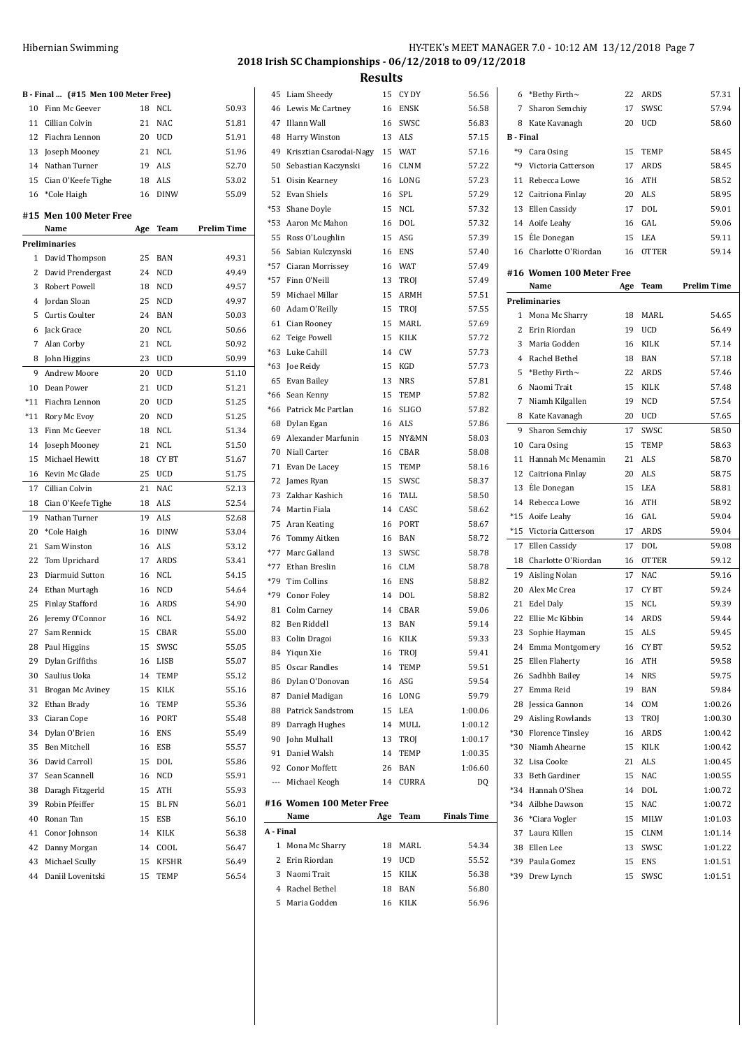|                | B - Final  (#15 Men 100 Meter Free) |     |              |                    |
|----------------|-------------------------------------|-----|--------------|--------------------|
| 10             | Finn Mc Geever                      | 18  | NCL          | 50.93              |
| 11             | Cillian Colvin                      | 21  | <b>NAC</b>   | 51.81              |
|                | 12 Fiachra Lennon                   | 20  | <b>UCD</b>   | 51.91              |
|                | 13 Joseph Mooney                    | 21  | NCL          | 51.96              |
|                | 14 Nathan Turner                    | 19  | ALS          | 52.70              |
| 15             | Cian O'Keefe Tighe                  |     | 18 ALS       | 53.02              |
|                | 16 *Cole Haigh                      | 16  | <b>DINW</b>  | 55.09              |
|                | #15 Men 100 Meter Free              |     |              |                    |
|                | Name                                | Age | Team         | <b>Prelim Time</b> |
|                | Preliminaries                       |     |              |                    |
| 1              | David Thompson                      | 25  | <b>BAN</b>   | 49.31              |
| $\overline{2}$ | David Prendergast                   | 24  | <b>NCD</b>   | 49.49              |
| 3              | Robert Powell                       | 18  | <b>NCD</b>   | 49.57              |
| 4              | Jordan Sloan                        | 25  | <b>NCD</b>   | 49.97              |
| 5              | Curtis Coulter                      | 24  | <b>BAN</b>   | 50.03              |
| 6              | Jack Grace                          | 20  | NCL          | 50.66              |
| 7              | Alan Corby                          | 21  | <b>NCL</b>   | 50.92              |
| 8              | John Higgins                        | 23  | UCD          | 50.99              |
| 9              | Andrew Moore                        | 20  | <b>UCD</b>   | 51.10              |
| 10             | Dean Power                          | 21  | <b>UCD</b>   | 51.21              |
| $*11$          | Fiachra Lennon                      | 20  | <b>UCD</b>   | 51.25              |
| $*11$          | Rory Mc Evoy                        | 20  | <b>NCD</b>   | 51.25              |
| 13             | Finn Mc Geever                      | 18  | <b>NCL</b>   | 51.34              |
| 14             | Joseph Mooney                       | 21  | <b>NCL</b>   | 51.50              |
| 15             | Michael Hewitt                      | 18  | CY BT        | 51.67              |
| 16             | Kevin Mc Glade                      | 25  | <b>UCD</b>   | 51.75              |
| 17             | Cillian Colvin                      | 21  | NAC          | 52.13              |
| 18             | Cian O'Keefe Tighe                  | 18  | ALS          | 52.54              |
| 19             | Nathan Turner                       | 19  | ALS          | 52.68              |
| 20             | *Cole Haigh                         | 16  | <b>DINW</b>  | 53.04              |
| 21             | Sam Winston                         | 16  | ALS          | 53.12              |
| 22             | Tom Uprichard                       | 17  | ARDS         | 53.41              |
| 23             | Diarmuid Sutton                     | 16  | NCL          | 54.15              |
| 24             | Ethan Murtagh                       | 16  | NCD          | 54.64              |
| 25             | <b>Finlay Stafford</b>              |     | 16 ARDS      | 54.90              |
| 26             | Jeremy O'Connor                     | 16  | <b>NCL</b>   | 54.92              |
| 27             | Sam Rennick                         | 15  | CBAR         | 55.00              |
| 28             | Paul Higgins                        | 15  | SWSC         | 55.05              |
| 29             | Dylan Griffiths                     | 16  | LISB         | 55.07              |
| 30             | Saulius Uoka                        | 14  | TEMP         | 55.12              |
| 31             | Brogan Mc Aviney                    | 15  | KILK         | 55.16              |
| 32             | Ethan Brady                         | 16  | TEMP         | 55.36              |
| 33             | Ciaran Cope                         | 16  | PORT         | 55.48              |
| 34             | Dylan O'Brien                       | 16  | <b>ENS</b>   | 55.49              |
| 35             | <b>Ben Mitchell</b>                 | 16  | <b>ESB</b>   | 55.57              |
|                | David Carroll                       |     |              |                    |
| 36             |                                     | 15  | DOL          | 55.86              |
| 37             | Sean Scannell                       | 16  | NCD          | 55.91              |
| 38             | Daragh Fitzgerld                    | 15  | ATH          | 55.93              |
| 39             | Robin Pfeiffer                      | 15  | BL FN        | 56.01              |
| 40             | Ronan Tan                           | 15  | ESB          | 56.10              |
| 41             | Conor Johnson                       | 14  | KILK         | 56.38              |
| 42             | Danny Morgan                        | 14  | COOL         | 56.47              |
| 43             | Michael Scully                      | 15  | <b>KFSHR</b> | 56.49              |
| 44             | Daniil Lovenitski                   | 15  | TEMP         | 56.54              |

 $58.45$  $58.45$  $58.52$ 58.95  $59.01$ 59.06  $59.11$ 59.14

 $54.65$  $56.49$  $57.14$  $57.18$  $57.46$ 57.48 57.54  $57.65$  $58.50$  $58.63$ 58.70 58.75  $58.81$ 58.92 59.04 59.04  $159.08$ 

 $59.16$  $59.24$ 59.39 59.44 59.45 59.52 59.58 59.75 59.84  $1:00.26$  $1:00.30$  $1:00.42$  $1:00.42$  $1:00.45$  $1:00.55$  $1:00.72$  $1:00.72$  $1:01.03$  $1:01.14$  $1:01.22$  $1:01.51$  $1:01.51$ 

|           | 45 Liam Sheedy           | 15  | CY DY        | 56.56              | 6                | *Bethy Firth~            | 22  | ARDS         | 57.31              |
|-----------|--------------------------|-----|--------------|--------------------|------------------|--------------------------|-----|--------------|--------------------|
|           | 46 Lewis Mc Cartney      |     | 16 ENSK      | 56.58              | 7                | Sharon Semchiy           | 17  | SWSC         | 57.94              |
| 47        | Illann Wall              | 16  | SWSC         | 56.83              | 8                | Kate Kavanagh            | 20  | <b>UCD</b>   | 58.60              |
| 48        | Harry Winston            | 13  | ALS          | 57.15              | <b>B</b> - Final |                          |     |              |                    |
| 49        | Krisztian Csarodai-Nagy  | 15  | WAT          | 57.16              | *9               | Cara Osing               | 15  | TEMP         | 58.45              |
| 50        | Sebastian Kaczynski      | 16  | CLNM         | 57.22              | *9               | Victoria Catterson       | 17  | ARDS         | 58.45              |
|           |                          |     | LONG         | 57.23              |                  | Rebecca Lowe             |     | <b>ATH</b>   | 58.52              |
| 51        | Oisin Kearney            | 16  |              |                    | 11               |                          | 16  |              |                    |
| 52        | Evan Shiels              | 16  | SPL          | 57.29              | 12               | Caitriona Finlay         | 20  | ALS          | 58.95              |
| $*53$     | Shane Doyle              | 15  | NCL          | 57.32              | 13               | Ellen Cassidy            | 17  | DOL          | 59.01              |
| *53       | Aaron Mc Mahon           | 16  | DOL          | 57.32              | 14               | Aoife Leahy              | 16  | GAL          | 59.06              |
| 55        | Ross O'Loughlin          | 15  | ASG          | 57.39              | 15               | Éle Donegan              | 15  | LEA          | 59.11              |
|           | 56 Sabian Kulczynski     | 16  | <b>ENS</b>   | 57.40              | 16               | Charlotte O'Riordan      | 16  | <b>OTTER</b> | 59.14              |
| *57       | Ciaran Morrissey         | 16  | WAT          | 57.49              |                  | #16 Women 100 Meter Free |     |              |                    |
| *57       | Finn O'Neill             | 13  | TROJ         | 57.49              |                  | Name                     | Age | Team         | <b>Prelim Time</b> |
| 59        | Michael Millar           | 15  | ARMH         | 57.51              |                  | Preliminaries            |     |              |                    |
| 60        | Adam O'Reilly            | 15  | TROJ         | 57.55              |                  | 1 Mona Mc Sharry         | 18  | MARL         | 54.65              |
| 61        | Cian Rooney              | 15  | MARL         | 57.69              | 2                | Erin Riordan             | 19  | <b>UCD</b>   | 56.49              |
| 62        | <b>Teige Powell</b>      | 15  | KILK         | 57.72              | 3                | Maria Godden             |     | 16 KILK      | 57.14              |
| $*63$     | Luke Cahill              | 14  | CW           | 57.73              | 4                | Rachel Bethel            | 18  | BAN          | 57.18              |
| $*63$     | Joe Reidy                | 15  | KGD          | 57.73              |                  | *Bethy Firth~            |     | 22 ARDS      |                    |
| 65        | Evan Bailey              | 13  | NRS          | 57.81              | 5                |                          |     |              | 57.46              |
| *66       | Sean Kenny               | 15  | <b>TEMP</b>  | 57.82              | 6                | Naomi Trait              |     | 15 KILK      | 57.48              |
|           | *66 Patrick Mc Partlan   | 16  | <b>SLIGO</b> | 57.82              | 7                | Niamh Kilgallen          | 19  | <b>NCD</b>   | 57.54              |
| 68        | Dylan Egan               | 16  | ALS          | 57.86              | 8                | Kate Kavanagh            | 20  | <b>UCD</b>   | 57.65              |
| 69        | Alexander Marfunin       | 15  | NY&MN        | 58.03              | 9                | Sharon Semchiy           | 17  | SWSC         | 58.50              |
| 70        | Niall Carter             | 16  | CBAR         | 58.08              | 10               | Cara Osing               | 15  | TEMP         | 58.63              |
| 71        | Evan De Lacey            | 15  | TEMP         | 58.16              | 11               | Hannah Mc Menamin        | 21  | ALS          | 58.70              |
| 72        | James Ryan               | 15  | SWSC         | 58.37              | 12               | Caitriona Finlay         | 20  | ALS          | 58.75              |
| 73        | Zakhar Kashich           | 16  | TALL         | 58.50              | 13               | Éle Donegan              |     | 15 LEA       | 58.81              |
| 74        | Martin Fiala             | 14  | CASC         | 58.62              | 14               | Rebecca Lowe             |     | 16 ATH       | 58.92              |
| 75        | Aran Keating             | 16  | PORT         | 58.67              | $*15$            | Aoife Leahy              | 16  | GAL          | 59.04              |
| 76        | Tommy Aitken             | 16  | BAN          | 58.72              | $*15$            | Victoria Catterson       | 17  | <b>ARDS</b>  | 59.04              |
| $*77$     | Marc Galland             | 13  | SWSC         | 58.78              | 17               | Ellen Cassidy            | 17  | <b>DOL</b>   | 59.08              |
| $*77$     | Ethan Breslin            |     | <b>CLM</b>   | 58.78              | 18               | Charlotte O'Riordan      | 16  | <b>OTTER</b> | 59.12              |
| $*79$     |                          | 16  |              |                    | 19               | Aisling Nolan            | 17  | NAC          | 59.16              |
|           | Tim Collins              | 16  | ENS          | 58.82              | 20               | Alex Mc Crea             | 17  | CY BT        | 59.24              |
| $*79$     | Conor Foley              | 14  | DOL          | 58.82              |                  | 21 Edel Daly             | 15  | NCL          | 59.39              |
|           | 81 Colm Carney           | 14  | CBAR         | 59.06              | 22               | Ellie Mc Kibbin          | 14  | ARDS         | 59.44              |
|           | 82 Ben Riddell           | 13  | BAN          | 59.14              |                  | 23 Sophie Hayman         | 15  | ALS          | 59.45              |
|           | 83 Colin Dragoi          |     | 16 KILK      | 59.33              |                  | 24 Emma Montgomery       |     | 16 CYBT      | 59.52              |
|           | 84 Yiqun Xie             | 16  | TROJ         | 59.41              |                  | 25 Ellen Flaherty        |     | 16 ATH       | 59.58              |
| 85        | Oscar Randles            | 14  | <b>TEMP</b>  | 59.51              | 26               | Sadhbh Bailey            |     | 14 NRS       | 59.75              |
| 86        | Dylan O'Donovan          |     | 16 ASG       | 59.54              | 27               | Emma Reid                |     | 19 BAN       | 59.84              |
| 87        | Daniel Madigan           | 16  | LONG         | 59.79              | 28               | Jessica Gannon           |     | 14 COM       | 1:00.26            |
| 88        | Patrick Sandstrom        | 15  | LEA          | 1:00.06            | 29               | <b>Aisling Rowlands</b>  |     | 13 TROJ      | 1:00.30            |
| 89        | Darragh Hughes           | 14  | MULL         | 1:00.12            |                  | <b>Florence Tinsley</b>  |     | 16 ARDS      | 1:00.42            |
| 90        | John Mulhall             | 13  | TROJ         | 1:00.17            | $*30$            |                          |     |              | 1:00.42            |
| 91        | Daniel Walsh             | 14  | <b>TEMP</b>  | 1:00.35            | *30              | Niamh Ahearne            |     | 15 KILK      |                    |
| 92        | Conor Moffett            | 26  | BAN          | 1:06.60            |                  | 32 Lisa Cooke            |     | 21 ALS       | 1:00.45            |
| ---       | Michael Keogh            | 14  | CURRA        | DQ                 |                  | 33 Beth Gardiner         |     | 15 NAC       | 1:00.55            |
|           |                          |     |              |                    |                  | *34 Hannah O'Shea        | 14  | DOL          | 1:00.72            |
|           | #16 Women 100 Meter Free |     | Team         |                    | *34              | Ailbhe Dawson            | 15  | <b>NAC</b>   | 1:00.72            |
|           | Name                     | Age |              | <b>Finals Time</b> | 36               | *Ciara Vogler            | 15  | MILW         | 1:01.03            |
| A - Final |                          |     |              |                    | 37               | Laura Killen             | 15  | CLNM         | 1:01.14            |
|           | 1 Mona Mc Sharry         | 18  | MARL         | 54.34              | 38               | Ellen Lee                | 13  | SWSC         | 1:01.22            |
| 2         | Erin Riordan             | 19  | <b>UCD</b>   | 55.52              | *39              | Paula Gomez              |     | 15 ENS       | 1:01.51            |
| 3         | Naomi Trait              | 15  | KILK         | 56.38              |                  | *39 Drew Lynch           | 15  | SWSC         | 1:01.51            |
| 4         | Rachel Bethel            | 18  | <b>BAN</b>   | 56.80              |                  |                          |     |              |                    |
|           | 5 Maria Godden           |     | 16 KILK      | 56.96              |                  |                          |     |              |                    |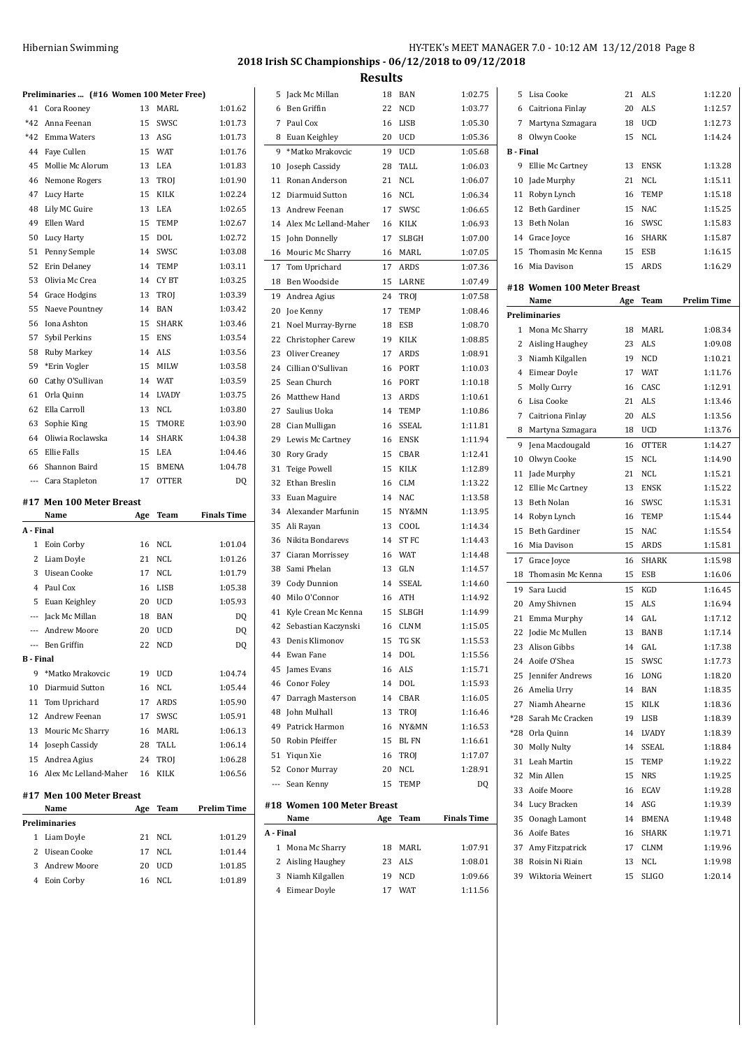## HY-TEK's MEET MANAGER 7.0 - 10:12 AM 13/12/2018 Page 8 **2018 Irish SC Championships - 06/12/2018 to 09/12/2018**

|                          | Preliminaries  (#16 Women 100 Meter Free) |     |              |                    |
|--------------------------|-------------------------------------------|-----|--------------|--------------------|
| 41                       | Cora Rooney                               | 13  | MARL         | 1:01.62            |
|                          | *42 Anna Feenan                           | 15  | SWSC         | 1:01.73            |
| *42                      | Emma Waters                               |     | 13 ASG       | 1:01.73            |
| 44                       | Faye Cullen                               | 15  | <b>WAT</b>   | 1:01.76            |
| 45                       | Mollie Mc Alorum                          | 13  | LEA          | 1:01.83            |
| 46                       | Nemone Rogers                             | 13  | TROJ         | 1:01.90            |
| 47                       | Lucy Harte                                | 15  | <b>KILK</b>  | 1:02.24            |
| 48                       | Lily MC Guire                             | 13  | LEA          | 1:02.65            |
| 49                       | Ellen Ward                                | 15  | <b>TEMP</b>  | 1:02.67            |
| 50                       | Lucy Harty                                | 15  | DOL          | 1:02.72            |
| 51                       | Penny Semple                              |     | 14 SWSC      | 1:03.08            |
| 52                       | Erin Delaney                              | 14  | TEMP         | 1:03.11            |
| 53                       | Olivia Mc Crea                            | 14  | CY BT        | 1:03.25            |
| 54                       | Grace Hodgins                             | 13  | TROJ         | 1:03.39            |
| 55                       | Naeve Pountney                            | 14  | <b>BAN</b>   | 1:03.42            |
| 56                       | Iona Ashton                               | 15  | <b>SHARK</b> | 1:03.46            |
| 57                       | Sybil Perkins                             | 15  | ENS          | 1:03.54            |
| 58                       | Ruby Markey                               |     | 14 ALS       | 1:03.56            |
| 59                       | *Erin Vogler                              | 15  | MILW         | 1:03.58            |
| 60                       | Cathy O'Sullivan                          | 14  | WAT          | 1:03.59            |
| 61                       | Orla Quinn                                | 14  | <b>LVADY</b> | 1:03.75            |
| 62                       | Ella Carroll                              | 13  | <b>NCL</b>   | 1:03.80            |
| 63                       | Sophie King                               | 15  | TMORE        | 1:03.90            |
| 64                       | Oliwia Roclawska                          | 14  | SHARK        | 1:04.38            |
| 65                       | Ellie Falls                               | 15  | LEA          | 1:04.46            |
| 66                       | Shannon Baird                             |     | 15 BMENA     | 1:04.78            |
|                          | --- Cara Stapleton                        | 17  | <b>OTTER</b> | DQ                 |
|                          |                                           |     |              |                    |
|                          | #17 Men 100 Meter Breast                  |     |              |                    |
|                          | Name                                      | Age | Team         | <b>Finals Time</b> |
| A - Final                |                                           |     |              |                    |
| 1                        | Eoin Corby                                | 16  | NCL          | 1:01.04            |
| $\overline{2}$           | Liam Doyle                                | 21  | NCL.         | 1:01.26            |
| 3                        | Uisean Cooke                              | 17  | <b>NCL</b>   | 1:01.79            |
| $\overline{4}$           | Paul Cox                                  | 16  | LISB         | 1:05.38            |
| 5                        | Euan Keighley                             |     | 20 UCD       | 1:05.93            |
| $\overline{\phantom{a}}$ | Jack Mc Millan                            | 18  | <b>BAN</b>   | DQ                 |
|                          | --- Andrew Moore                          |     | 20 UCD       | DO.                |
|                          | Ben Griffin                               | 22  | NCD          | DQ                 |
| <b>B</b> - Final         |                                           |     |              |                    |
| 9                        | *Matko Mrakovcic                          | 19  | UCD          | 1:04.74            |
| 10                       | Diarmuid Sutton                           | 16  | NCL          | 1:05.44            |
| 11                       | Tom Uprichard                             | 17  | ARDS         | 1:05.90            |
| 12                       | Andrew Feenan                             | 17  | SWSC         | 1:05.91            |
| 13                       | Mouric Mc Sharry                          | 16  | MARL         | 1:06.13            |
|                          | 14 Joseph Cassidy                         | 28  | TALL         | 1:06.14            |
| 15                       | Andrea Agius                              | 24  | TROJ         | 1:06.28            |
| 16                       | Alex Mc Lelland-Maher                     | 16  | KILK         | 1:06.56            |
|                          | #17 Men 100 Meter Breast                  |     |              |                    |
|                          | Name                                      | Age | Team         | <b>Prelim Time</b> |
|                          | Preliminaries                             |     |              |                    |
| 1                        | Liam Doyle                                | 21  | NCL          | 1:01.29            |
| 2                        | <b>Uisean Cooke</b>                       | 17  | NCL          | 1:01.44            |
| 3                        | Andrew Moore                              | 20  | UCD          | 1:01.85            |

| 5         | Jack Mc Millan                     | 18  | <b>BAN</b>   | 1:02.75            |
|-----------|------------------------------------|-----|--------------|--------------------|
| 6         | Ben Griffin                        | 22  | NCD          | 1:03.77            |
| 7         | Paul Cox                           | 16  | LISB         | 1:05.30            |
| 8         | Euan Keighley                      | 20  | UCD          | 1:05.36            |
| 9         | *Matko Mrakovcic                   | 19  | UCD          | 1:05.68            |
| 10        | Joseph Cassidy                     | 28  | TALL         | 1:06.03            |
| 11        | Ronan Anderson                     | 21  | NCL          | 1:06.07            |
| 12        | Diarmuid Sutton                    | 16  | NCL          | 1:06.34            |
|           | 13 Andrew Feenan                   | 17  | SWSC         | 1:06.65            |
|           | 14 Alex Mc Lelland-Maher           | 16  | KILK         | 1:06.93            |
| 15        | John Donnelly                      | 17  | SLBGH        | 1:07.00            |
| 16        | Mouric Mc Sharry                   | 16  | MARL         | 1:07.05            |
| 17        | Tom Uprichard                      | 17  | ARDS         | 1:07.36            |
| 18        | Ben Woodside                       | 15  | LARNE        | 1:07.49            |
| 19        | Andrea Agius                       | 24  | TROJ         | 1:07.58            |
| 20        | Joe Kenny                          | 17  | TEMP         | 1:08.46            |
| 21        | Noel Murray-Byrne                  | 18  | ESB          | 1:08.70            |
| 22        | Christopher Carew                  | 19  | KILK         | 1:08.85            |
| 23        | Oliver Creaney                     | 17  | ARDS         | 1:08.91            |
| 24        | Cillian O'Sullivan                 | 16  | PORT         | 1:10.03            |
| 25        | Sean Church                        | 16  | PORT         | 1:10.18            |
| 26        | Matthew Hand                       | 13  | ARDS         | 1:10.61            |
| 27        | Saulius Uoka                       |     | 14 TEMP      | 1:10.86            |
| 28        |                                    | 16  | <b>SSEAL</b> | 1:11.81            |
|           | Cian Mulligan                      |     | <b>ENSK</b>  |                    |
| 29        | Lewis Mc Cartney                   | 16  |              | 1:11.94            |
| 30        | Rory Grady                         | 15  | CBAR         | 1:12.41            |
| 31        | <b>Teige Powell</b>                | 15  | KILK         | 1:12.89            |
| 32        | Ethan Breslin                      | 16  | CLM          | 1:13.22            |
| 33        | Euan Maguire                       |     | 14 NAC       | 1:13.58            |
|           | 34 Alexander Marfunin              | 15  | NY&MN        | 1:13.95            |
| 35        | Ali Rayan                          | 13  | COOL         | 1:14.34            |
| 36        | Nikita Bondarevs                   | 14  | ST FC        | 1:14.43            |
|           | 37 Ciaran Morrissey                |     | 16 WAT       | 1:14.48            |
| 38        | Sami Phelan                        | 13  | GLN          | 1:14.57            |
| 39        | Cody Dunnion                       | 14  | SSEAL        | 1:14.60            |
| 40        | Milo O'Connor                      |     | 16 ATH       | 1:14.92            |
| 41        | Kyle Crean Mc Kenna                | 15  | <b>SLBGH</b> | 1:14.99            |
| 42        | Sebastian Kaczynski                | 16  | <b>CLNM</b>  | 1:15.05            |
|           | 43 Denis Klimonov                  | 15  | TG SK        | 1:15.53            |
| 44        | Ewan Fane                          | 14  | DOL          | 1:15.56            |
| 45        | James Evans                        | 16  | <b>ALS</b>   | 1:15.71            |
| 46        | Conor Foley                        | 14  | DOL          | 1:15.93            |
| 47        | Darragh Masterson                  | 14  | CBAR         | 1:16.05            |
| 48        | John Mulhall                       | 13  | TROI         | 1:16.46            |
| 49        | Patrick Harmon                     | 16  | NY&MN        | 1:16.53            |
| 50        | Robin Pfeiffer                     | 15  | <b>BLFN</b>  | 1:16.61            |
|           | 51 Yigun Xie                       | 16  | TROJ         | 1:17.07            |
| 52        | Conor Murray                       | 20  | NCL          | 1:28.91            |
|           | --- Sean Kenny                     | 15  | TEMP         | DQ                 |
|           | #18 Women 100 Meter Breast<br>Name |     |              | <b>Finals Time</b> |
| A - Final |                                    | Age | Team         |                    |
| 1         |                                    |     |              |                    |
| 2         | Mona Mc Sharry                     | 18  | MARL         | 1:07.91            |
|           | Aisling Haughey                    | 23  | ALS          | 1:08.01            |
| 3         | Niamh Kilgallen                    | 19  | <b>NCD</b>   | 1:09.66            |
| 4         | Eimear Doyle                       | 17  | <b>WAT</b>   | 1:11.56            |

| 5                | Lisa Cooke                   | 21  | ALS          | 1:12.20            |
|------------------|------------------------------|-----|--------------|--------------------|
| 6                | Caitriona Finlay             | 20  | <b>ALS</b>   | 1:12.57            |
| 7                | Martyna Szmagara             | 18  | UCD          | 1:12.73            |
| 8                | Olwyn Cooke                  | 15  | NCL          | 1:14.24            |
| <b>B</b> - Final |                              |     |              |                    |
| 9                | Ellie Mc Cartney             | 13  | ENSK         | 1:13.28            |
| 10               | Jade Murphy                  | 21  | NCL          | 1:15.11            |
| 11               | Robyn Lynch                  | 16  | <b>TEMP</b>  | 1:15.18            |
| 12               | Beth Gardiner                | 15  | <b>NAC</b>   | 1:15.25            |
| 13               | Beth Nolan                   | 16  | SWSC         | 1:15.83            |
| 14               | Grace Joyce                  | 16  | SHARK        | 1:15.87            |
| 15               | Thomasin Mc Kenna            | 15  | ESB          | 1:16.15            |
| 16               | Mia Davison                  | 15  | <b>ARDS</b>  | 1:16.29            |
|                  |                              |     |              |                    |
|                  | #18 Women 100 Meter Breast   |     |              | <b>Prelim Time</b> |
|                  | Name<br><b>Preliminaries</b> | Age | Team         |                    |
|                  |                              |     |              |                    |
| 1                | Mona Mc Sharry               | 18  | MARL         | 1:08.34            |
| $\overline{2}$   | Aisling Haughey              | 23  | <b>ALS</b>   | 1:09.08            |
| 3                | Niamh Kilgallen              | 19  | <b>NCD</b>   | 1:10.21            |
| 4                | Eimear Doyle                 | 17  | <b>WAT</b>   | 1:11.76            |
| 5                | Molly Curry                  | 16  | CASC         | 1:12.91            |
| 6                | Lisa Cooke                   | 21  | ALS          | 1:13.46            |
| 7                | Caitriona Finlay             | 20  | ALS          | 1:13.56            |
| 8                | Martyna Szmagara             | 18  | UCD          | 1:13.76            |
| 9                | Jena Macdougald              | 16  | <b>OTTER</b> | 1:14.27            |
| 10               | Olwyn Cooke                  | 15  | NCL          | 1:14.90            |
| 11               | Jade Murphy                  | 21  | NCL          | 1:15.21            |
| 12               | Ellie Mc Cartney             | 13  | ENSK         | 1:15.22            |
| 13               | Beth Nolan                   | 16  | SWSC         | 1:15.31            |
| 14               | Robyn Lynch                  | 16  | TEMP         | 1:15.44            |
| 15               | Beth Gardiner                | 15  | <b>NAC</b>   | 1:15.54            |
| 16               | Mia Davison                  | 15  | ARDS         | 1:15.81            |
| 17               | Grace Joyce                  | 16  | SHARK        | 1:15.98            |
| 18               | Thomasin Mc Kenna            | 15  | ESB          | 1:16.06            |
| 19               | Sara Lucid                   | 15  | KGD          | 1:16.45            |
| 20               | Amy Shivnen                  | 15  | <b>ALS</b>   | 1:16.94            |
| 21               | Emma Murphy                  | 14  | GAL          | 1:17.12            |
| 22               | Jodie Mc Mullen              | 13  | <b>BANB</b>  | 1:17.14            |
|                  | 23 Alison Gibbs              | 14  | GAL          | 1:17.38            |
|                  | 24 Aoife O'Shea              | 15  | SWSC         | 1:17.73            |
| 25               | Jennifer Andrews             | 16  | LONG         | 1:18.20            |
| 26               | Amelia Urry                  | 14  | BAN          | 1:18.35            |
| 27               | Niamh Ahearne                | 15  | KILK         | 1:18.36            |
| *28              | Sarah Mc Cracken             | 19  | LISB         | 1:18.39            |
| $*28$            | Orla Quinn                   | 14  | LVADY        | 1:18.39            |
| 30               | Molly Nulty                  | 14  | SSEAL        | 1:18.84            |
| 31               | Leah Martin                  | 15  | TEMP         | 1:19.22            |
| 32               | Min Allen                    | 15  | NRS          | 1:19.25            |
| 33               | Aoife Moore                  | 16  | ECAV         | 1:19.28            |
| 34               | Lucy Bracken                 | 14  | ASG          | 1:19.39            |
| 35               | Oonagh Lamont                | 14  | BMENA        | 1:19.48            |
| 36               | Aoife Bates                  | 16  | SHARK        | 1:19.71            |
| 37               | Amy Fitzpatrick              | 17  | CLNM         | 1:19.96            |
| 38               | Roisin Ni Riain              | 13  | NCL          | 1:19.98            |
| 39               | Wiktoria Weinert             | 15  | SLIGO        | 1:20.14            |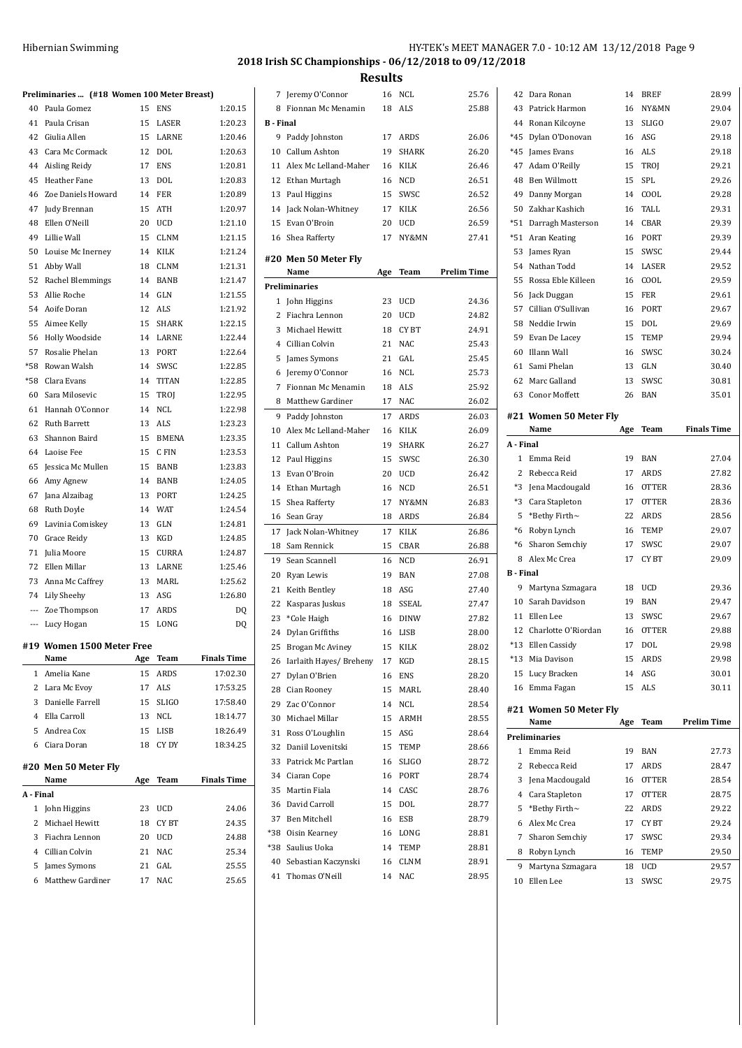## **2018 Irish SC Championships - 06/12/2018 to 09/12/2018**

**Results**

|                | Preliminaries  (#18 Women 100 Meter Breast) |          |              |                    |
|----------------|---------------------------------------------|----------|--------------|--------------------|
| 40             | Paula Gomez                                 | 15       | <b>ENS</b>   | 1:20.15            |
| 41             | Paula Crisan                                | 15       | LASER        | 1:20.23            |
| 42             | Giulia Allen                                | 15       | LARNE        | 1:20.46            |
| 43             | Cara Mc Cormack                             |          | 12 DOL       | 1:20.63            |
|                | 44 Aisling Reidy                            | 17       | <b>ENS</b>   | 1:20.81            |
| 45             | Heather Fane                                | 13       | <b>DOL</b>   | 1:20.83            |
| 46             | Zoe Daniels Howard                          | 14       | FER          | 1:20.89            |
| 47             | Judy Brennan                                | 15       | ATH          | 1:20.97            |
| 48             | Ellen O'Neill                               | 20       | UCD          | 1:21.10            |
| 49             | Lillie Wall                                 | 15       | <b>CLNM</b>  | 1:21.15            |
| 50             | Louise Mc Inerney                           | 14       | KILK         | 1:21.24            |
| 51             | Abby Wall                                   | 18       | <b>CLNM</b>  | 1:21.31            |
| 52             | Rachel Blemmings                            | 14       | <b>BANB</b>  | 1:21.47            |
| 53             | Allie Roche                                 | 14       | GLN          | 1:21.55            |
|                | 54 Aoife Doran                              |          | 12 ALS       | 1:21.92            |
| 55             | Aimee Kelly                                 | 15       | SHARK        | 1:22.15            |
| 56             | Holly Woodside                              |          | 14 LARNE     | 1:22.44            |
| 57             | Rosalie Phelan                              | 13       | PORT         | 1:22.64            |
| $*58$          | Rowan Walsh                                 | 14       | SWSC         | 1:22.85            |
| $*58$          | Clara Evans                                 | 14       | <b>TITAN</b> | 1:22.85            |
| 60             | Sara Milosevic                              | 15       | TROJ         | 1:22.95            |
| 61             | Hannah O'Connor                             | 14       | <b>NCL</b>   | 1:22.98            |
| 62             | Ruth Barrett                                | 13       | <b>ALS</b>   | 1:23.23            |
| 63             | Shannon Baird                               | 15       | BMENA        | 1:23.35            |
|                | 64 Laoise Fee                               | 15       | C FIN        | 1:23.53            |
| 65             | Jessica Mc Mullen                           | 15       | <b>BANB</b>  | 1:23.83            |
| 66             | Amy Agnew                                   | 14       | BANB         | 1:24.05            |
| 67             | Jana Alzaibag                               | 13       | PORT         | 1:24.25            |
| 68             | Ruth Doyle                                  | 14       | <b>WAT</b>   | 1:24.54            |
| 69             | Lavinia Comiskey                            | 13       | GLN          | 1:24.81            |
| 70             | Grace Reidy                                 | 13       | KGD          | 1:24.85            |
| 71             | Julia Moore                                 | 15       |              |                    |
|                |                                             |          | <b>CURRA</b> | 1:24.87            |
| 72             | Ellen Millar                                | 13       | LARNE        | 1:25.46            |
| 73             | Anna Mc Caffrey                             | 13       | MARL         | 1:25.62            |
|                | 74 Lily Sheehy                              | 13       | ASG          | 1:26.80            |
|                | --- Zoe Thompson                            | 17       | ARDS         | DQ                 |
|                | --- Lucy Hogan                              | 15       | LONG         | DQ                 |
|                |                                             |          |              |                    |
|                | #19 Women 1500 Meter Free<br>Name           | Age      | Team         | <b>Finals Time</b> |
| 1              | Amelia Kane                                 | 15       | <b>ARDS</b>  | 17:02.30           |
| 2              | Lara Mc Evov                                | 17       | ALS          | 17:53.25           |
| 3              | Danielle Farrell                            | 15       | <b>SLIGO</b> | 17:58.40           |
|                | 4 Ella Carroll                              | 13       | NCL          | 18:14.77           |
| 5              | Andrea Cox                                  | 15       | LISB         | 18:26.49           |
| 6              | Ciara Doran                                 | 18       | CY DY        | 18:34.25           |
|                |                                             |          |              |                    |
|                | #20 Men 50 Meter Fly                        |          |              |                    |
|                | Name                                        | Age      | <b>Team</b>  | <b>Finals Time</b> |
| A - Final      |                                             |          |              |                    |
| 1              | John Higgins                                | 23       | UCD          | 24.06              |
| $\overline{2}$ | Michael Hewitt                              | 18       | CY BT        | 24.35              |
| 3              | Fiachra Lennon                              | 20       | UCD          | 24.88              |
|                | 4 Cillian Colvin                            | 21       | NAC          | 25.34              |
| 5<br>6         | James Symons<br><b>Matthew Gardiner</b>     | 21<br>17 | GAL<br>NAC   | 25.55<br>25.65     |

| Fionnan Mc Menamin<br>8<br>18<br>ALS<br><b>B</b> - Final<br>9<br>Paddy Johnston<br>17<br>ARDS<br>10 Callum Ashton<br>19<br><b>SHARK</b><br>Alex Mc Lelland-Maher<br>11<br>16<br>KILK<br>12 Ethan Murtagh<br>16<br>NCD<br>13<br>Paul Higgins<br>SWSC<br>15<br>Jack Nolan-Whitney<br>14<br>17<br>KILK<br>Evan O'Broin<br>15<br>20<br>UCD<br>Shea Rafferty<br>17<br>NY&MN<br>16<br>#20 Men 50 Meter Fly<br>Prelim Time<br>Name<br>Age<br>Team<br><b>Preliminaries</b><br>$\mathbf{1}$<br>John Higgins<br>23<br>UCD<br>$\overline{2}$<br>Fiachra Lennon<br>20<br>UCD<br>3<br>Michael Hewitt<br>18<br>CY BT<br>$\overline{4}$<br>Cillian Colvin<br>21<br><b>NAC</b><br>GAL<br>5<br>James Symons<br>21<br>Jeremy O'Connor<br><b>NCL</b><br>6<br>16<br>7<br>Fionnan Mc Menamin<br><b>ALS</b><br>18<br>Matthew Gardiner<br><b>NAC</b><br>8<br>17<br>9<br>Paddy Johnston<br>17<br>ARDS<br>Alex Mc Lelland-Maher<br>10<br>16<br><b>KILK</b><br>Callum Ashton<br>19<br>11<br><b>SHARK</b><br>12<br>Paul Higgins<br>15<br>SWSC<br>Evan O'Broin<br>13<br>20<br><b>UCD</b><br>14<br>Ethan Murtagh<br>16<br>NCD<br>15<br>Shea Rafferty<br>17<br>NY&MN<br>ARDS<br>16<br>Sean Gray<br>18<br>17<br>Jack Nolan-Whitney<br>17<br>KILK<br>CBAR<br>18<br>Sam Rennick<br>15<br>19<br>Sean Scannell<br><b>NCD</b><br>16<br>20<br>Ryan Lewis<br>19<br>BAN<br>21<br>Keith Bentley<br>ASG<br>18<br>22<br>Kasparas Juskus<br>18<br>SSEAL<br>23<br>*Cole Haigh<br>16<br>DINW<br>Dylan Griffiths<br>24<br>16<br>LISB<br>15<br>KILK<br>25 Brogan Mc Aviney<br>26<br>Iarlaith Hayes/ Breheny<br>17<br>KGD<br>27<br>Dylan O'Brien<br>16<br>ENS<br>28 Cian Rooney<br>15<br>MARL<br>Zac O'Connor<br>29<br>14<br>NCL<br>Michael Millar<br>30<br>15<br>ARMH<br>31<br>Ross O'Loughlin<br>ASG<br>15<br>32<br>Daniil Lovenitski<br>15<br>TEMP<br>33<br>Patrick Mc Partlan<br>16<br>SLIGO<br>34<br>Ciaran Cope<br>PORT<br>16<br>35<br>Martin Fiala<br>CASC<br>14<br>36<br>David Carroll<br>15<br>DOL<br>37<br>Ben Mitchell<br>16<br>ESB | 7 | Jeremy O'Connor | 16 | NCL | 25.76 |
|------------------------------------------------------------------------------------------------------------------------------------------------------------------------------------------------------------------------------------------------------------------------------------------------------------------------------------------------------------------------------------------------------------------------------------------------------------------------------------------------------------------------------------------------------------------------------------------------------------------------------------------------------------------------------------------------------------------------------------------------------------------------------------------------------------------------------------------------------------------------------------------------------------------------------------------------------------------------------------------------------------------------------------------------------------------------------------------------------------------------------------------------------------------------------------------------------------------------------------------------------------------------------------------------------------------------------------------------------------------------------------------------------------------------------------------------------------------------------------------------------------------------------------------------------------------------------------------------------------------------------------------------------------------------------------------------------------------------------------------------------------------------------------------------------------------------------------------------------------------------------------------------------------------------------------------------------------------------------------------------|---|-----------------|----|-----|-------|
|                                                                                                                                                                                                                                                                                                                                                                                                                                                                                                                                                                                                                                                                                                                                                                                                                                                                                                                                                                                                                                                                                                                                                                                                                                                                                                                                                                                                                                                                                                                                                                                                                                                                                                                                                                                                                                                                                                                                                                                                |   |                 |    |     | 25.88 |
|                                                                                                                                                                                                                                                                                                                                                                                                                                                                                                                                                                                                                                                                                                                                                                                                                                                                                                                                                                                                                                                                                                                                                                                                                                                                                                                                                                                                                                                                                                                                                                                                                                                                                                                                                                                                                                                                                                                                                                                                |   |                 |    |     |       |
|                                                                                                                                                                                                                                                                                                                                                                                                                                                                                                                                                                                                                                                                                                                                                                                                                                                                                                                                                                                                                                                                                                                                                                                                                                                                                                                                                                                                                                                                                                                                                                                                                                                                                                                                                                                                                                                                                                                                                                                                |   |                 |    |     | 26.06 |
|                                                                                                                                                                                                                                                                                                                                                                                                                                                                                                                                                                                                                                                                                                                                                                                                                                                                                                                                                                                                                                                                                                                                                                                                                                                                                                                                                                                                                                                                                                                                                                                                                                                                                                                                                                                                                                                                                                                                                                                                |   |                 |    |     | 26.20 |
|                                                                                                                                                                                                                                                                                                                                                                                                                                                                                                                                                                                                                                                                                                                                                                                                                                                                                                                                                                                                                                                                                                                                                                                                                                                                                                                                                                                                                                                                                                                                                                                                                                                                                                                                                                                                                                                                                                                                                                                                |   |                 |    |     | 26.46 |
|                                                                                                                                                                                                                                                                                                                                                                                                                                                                                                                                                                                                                                                                                                                                                                                                                                                                                                                                                                                                                                                                                                                                                                                                                                                                                                                                                                                                                                                                                                                                                                                                                                                                                                                                                                                                                                                                                                                                                                                                |   |                 |    |     | 26.51 |
|                                                                                                                                                                                                                                                                                                                                                                                                                                                                                                                                                                                                                                                                                                                                                                                                                                                                                                                                                                                                                                                                                                                                                                                                                                                                                                                                                                                                                                                                                                                                                                                                                                                                                                                                                                                                                                                                                                                                                                                                |   |                 |    |     | 26.52 |
|                                                                                                                                                                                                                                                                                                                                                                                                                                                                                                                                                                                                                                                                                                                                                                                                                                                                                                                                                                                                                                                                                                                                                                                                                                                                                                                                                                                                                                                                                                                                                                                                                                                                                                                                                                                                                                                                                                                                                                                                |   |                 |    |     | 26.56 |
|                                                                                                                                                                                                                                                                                                                                                                                                                                                                                                                                                                                                                                                                                                                                                                                                                                                                                                                                                                                                                                                                                                                                                                                                                                                                                                                                                                                                                                                                                                                                                                                                                                                                                                                                                                                                                                                                                                                                                                                                |   |                 |    |     | 26.59 |
|                                                                                                                                                                                                                                                                                                                                                                                                                                                                                                                                                                                                                                                                                                                                                                                                                                                                                                                                                                                                                                                                                                                                                                                                                                                                                                                                                                                                                                                                                                                                                                                                                                                                                                                                                                                                                                                                                                                                                                                                |   |                 |    |     | 27.41 |
|                                                                                                                                                                                                                                                                                                                                                                                                                                                                                                                                                                                                                                                                                                                                                                                                                                                                                                                                                                                                                                                                                                                                                                                                                                                                                                                                                                                                                                                                                                                                                                                                                                                                                                                                                                                                                                                                                                                                                                                                |   |                 |    |     |       |
|                                                                                                                                                                                                                                                                                                                                                                                                                                                                                                                                                                                                                                                                                                                                                                                                                                                                                                                                                                                                                                                                                                                                                                                                                                                                                                                                                                                                                                                                                                                                                                                                                                                                                                                                                                                                                                                                                                                                                                                                |   |                 |    |     |       |
|                                                                                                                                                                                                                                                                                                                                                                                                                                                                                                                                                                                                                                                                                                                                                                                                                                                                                                                                                                                                                                                                                                                                                                                                                                                                                                                                                                                                                                                                                                                                                                                                                                                                                                                                                                                                                                                                                                                                                                                                |   |                 |    |     |       |
|                                                                                                                                                                                                                                                                                                                                                                                                                                                                                                                                                                                                                                                                                                                                                                                                                                                                                                                                                                                                                                                                                                                                                                                                                                                                                                                                                                                                                                                                                                                                                                                                                                                                                                                                                                                                                                                                                                                                                                                                |   |                 |    |     |       |
|                                                                                                                                                                                                                                                                                                                                                                                                                                                                                                                                                                                                                                                                                                                                                                                                                                                                                                                                                                                                                                                                                                                                                                                                                                                                                                                                                                                                                                                                                                                                                                                                                                                                                                                                                                                                                                                                                                                                                                                                |   |                 |    |     | 24.36 |
|                                                                                                                                                                                                                                                                                                                                                                                                                                                                                                                                                                                                                                                                                                                                                                                                                                                                                                                                                                                                                                                                                                                                                                                                                                                                                                                                                                                                                                                                                                                                                                                                                                                                                                                                                                                                                                                                                                                                                                                                |   |                 |    |     | 24.82 |
|                                                                                                                                                                                                                                                                                                                                                                                                                                                                                                                                                                                                                                                                                                                                                                                                                                                                                                                                                                                                                                                                                                                                                                                                                                                                                                                                                                                                                                                                                                                                                                                                                                                                                                                                                                                                                                                                                                                                                                                                |   |                 |    |     | 24.91 |
|                                                                                                                                                                                                                                                                                                                                                                                                                                                                                                                                                                                                                                                                                                                                                                                                                                                                                                                                                                                                                                                                                                                                                                                                                                                                                                                                                                                                                                                                                                                                                                                                                                                                                                                                                                                                                                                                                                                                                                                                |   |                 |    |     | 25.43 |
|                                                                                                                                                                                                                                                                                                                                                                                                                                                                                                                                                                                                                                                                                                                                                                                                                                                                                                                                                                                                                                                                                                                                                                                                                                                                                                                                                                                                                                                                                                                                                                                                                                                                                                                                                                                                                                                                                                                                                                                                |   |                 |    |     | 25.45 |
|                                                                                                                                                                                                                                                                                                                                                                                                                                                                                                                                                                                                                                                                                                                                                                                                                                                                                                                                                                                                                                                                                                                                                                                                                                                                                                                                                                                                                                                                                                                                                                                                                                                                                                                                                                                                                                                                                                                                                                                                |   |                 |    |     | 25.73 |
|                                                                                                                                                                                                                                                                                                                                                                                                                                                                                                                                                                                                                                                                                                                                                                                                                                                                                                                                                                                                                                                                                                                                                                                                                                                                                                                                                                                                                                                                                                                                                                                                                                                                                                                                                                                                                                                                                                                                                                                                |   |                 |    |     | 25.92 |
|                                                                                                                                                                                                                                                                                                                                                                                                                                                                                                                                                                                                                                                                                                                                                                                                                                                                                                                                                                                                                                                                                                                                                                                                                                                                                                                                                                                                                                                                                                                                                                                                                                                                                                                                                                                                                                                                                                                                                                                                |   |                 |    |     | 26.02 |
|                                                                                                                                                                                                                                                                                                                                                                                                                                                                                                                                                                                                                                                                                                                                                                                                                                                                                                                                                                                                                                                                                                                                                                                                                                                                                                                                                                                                                                                                                                                                                                                                                                                                                                                                                                                                                                                                                                                                                                                                |   |                 |    |     | 26.03 |
|                                                                                                                                                                                                                                                                                                                                                                                                                                                                                                                                                                                                                                                                                                                                                                                                                                                                                                                                                                                                                                                                                                                                                                                                                                                                                                                                                                                                                                                                                                                                                                                                                                                                                                                                                                                                                                                                                                                                                                                                |   |                 |    |     | 26.09 |
|                                                                                                                                                                                                                                                                                                                                                                                                                                                                                                                                                                                                                                                                                                                                                                                                                                                                                                                                                                                                                                                                                                                                                                                                                                                                                                                                                                                                                                                                                                                                                                                                                                                                                                                                                                                                                                                                                                                                                                                                |   |                 |    |     | 26.27 |
|                                                                                                                                                                                                                                                                                                                                                                                                                                                                                                                                                                                                                                                                                                                                                                                                                                                                                                                                                                                                                                                                                                                                                                                                                                                                                                                                                                                                                                                                                                                                                                                                                                                                                                                                                                                                                                                                                                                                                                                                |   |                 |    |     | 26.30 |
|                                                                                                                                                                                                                                                                                                                                                                                                                                                                                                                                                                                                                                                                                                                                                                                                                                                                                                                                                                                                                                                                                                                                                                                                                                                                                                                                                                                                                                                                                                                                                                                                                                                                                                                                                                                                                                                                                                                                                                                                |   |                 |    |     | 26.42 |
|                                                                                                                                                                                                                                                                                                                                                                                                                                                                                                                                                                                                                                                                                                                                                                                                                                                                                                                                                                                                                                                                                                                                                                                                                                                                                                                                                                                                                                                                                                                                                                                                                                                                                                                                                                                                                                                                                                                                                                                                |   |                 |    |     | 26.51 |
|                                                                                                                                                                                                                                                                                                                                                                                                                                                                                                                                                                                                                                                                                                                                                                                                                                                                                                                                                                                                                                                                                                                                                                                                                                                                                                                                                                                                                                                                                                                                                                                                                                                                                                                                                                                                                                                                                                                                                                                                |   |                 |    |     | 26.83 |
|                                                                                                                                                                                                                                                                                                                                                                                                                                                                                                                                                                                                                                                                                                                                                                                                                                                                                                                                                                                                                                                                                                                                                                                                                                                                                                                                                                                                                                                                                                                                                                                                                                                                                                                                                                                                                                                                                                                                                                                                |   |                 |    |     | 26.84 |
|                                                                                                                                                                                                                                                                                                                                                                                                                                                                                                                                                                                                                                                                                                                                                                                                                                                                                                                                                                                                                                                                                                                                                                                                                                                                                                                                                                                                                                                                                                                                                                                                                                                                                                                                                                                                                                                                                                                                                                                                |   |                 |    |     | 26.86 |
|                                                                                                                                                                                                                                                                                                                                                                                                                                                                                                                                                                                                                                                                                                                                                                                                                                                                                                                                                                                                                                                                                                                                                                                                                                                                                                                                                                                                                                                                                                                                                                                                                                                                                                                                                                                                                                                                                                                                                                                                |   |                 |    |     | 26.88 |
|                                                                                                                                                                                                                                                                                                                                                                                                                                                                                                                                                                                                                                                                                                                                                                                                                                                                                                                                                                                                                                                                                                                                                                                                                                                                                                                                                                                                                                                                                                                                                                                                                                                                                                                                                                                                                                                                                                                                                                                                |   |                 |    |     | 26.91 |
|                                                                                                                                                                                                                                                                                                                                                                                                                                                                                                                                                                                                                                                                                                                                                                                                                                                                                                                                                                                                                                                                                                                                                                                                                                                                                                                                                                                                                                                                                                                                                                                                                                                                                                                                                                                                                                                                                                                                                                                                |   |                 |    |     | 27.08 |
|                                                                                                                                                                                                                                                                                                                                                                                                                                                                                                                                                                                                                                                                                                                                                                                                                                                                                                                                                                                                                                                                                                                                                                                                                                                                                                                                                                                                                                                                                                                                                                                                                                                                                                                                                                                                                                                                                                                                                                                                |   |                 |    |     | 27.40 |
|                                                                                                                                                                                                                                                                                                                                                                                                                                                                                                                                                                                                                                                                                                                                                                                                                                                                                                                                                                                                                                                                                                                                                                                                                                                                                                                                                                                                                                                                                                                                                                                                                                                                                                                                                                                                                                                                                                                                                                                                |   |                 |    |     | 27.47 |
|                                                                                                                                                                                                                                                                                                                                                                                                                                                                                                                                                                                                                                                                                                                                                                                                                                                                                                                                                                                                                                                                                                                                                                                                                                                                                                                                                                                                                                                                                                                                                                                                                                                                                                                                                                                                                                                                                                                                                                                                |   |                 |    |     | 27.82 |
|                                                                                                                                                                                                                                                                                                                                                                                                                                                                                                                                                                                                                                                                                                                                                                                                                                                                                                                                                                                                                                                                                                                                                                                                                                                                                                                                                                                                                                                                                                                                                                                                                                                                                                                                                                                                                                                                                                                                                                                                |   |                 |    |     | 28.00 |
|                                                                                                                                                                                                                                                                                                                                                                                                                                                                                                                                                                                                                                                                                                                                                                                                                                                                                                                                                                                                                                                                                                                                                                                                                                                                                                                                                                                                                                                                                                                                                                                                                                                                                                                                                                                                                                                                                                                                                                                                |   |                 |    |     | 28.02 |
|                                                                                                                                                                                                                                                                                                                                                                                                                                                                                                                                                                                                                                                                                                                                                                                                                                                                                                                                                                                                                                                                                                                                                                                                                                                                                                                                                                                                                                                                                                                                                                                                                                                                                                                                                                                                                                                                                                                                                                                                |   |                 |    |     | 28.15 |
|                                                                                                                                                                                                                                                                                                                                                                                                                                                                                                                                                                                                                                                                                                                                                                                                                                                                                                                                                                                                                                                                                                                                                                                                                                                                                                                                                                                                                                                                                                                                                                                                                                                                                                                                                                                                                                                                                                                                                                                                |   |                 |    |     | 28.20 |
|                                                                                                                                                                                                                                                                                                                                                                                                                                                                                                                                                                                                                                                                                                                                                                                                                                                                                                                                                                                                                                                                                                                                                                                                                                                                                                                                                                                                                                                                                                                                                                                                                                                                                                                                                                                                                                                                                                                                                                                                |   |                 |    |     | 28.40 |
|                                                                                                                                                                                                                                                                                                                                                                                                                                                                                                                                                                                                                                                                                                                                                                                                                                                                                                                                                                                                                                                                                                                                                                                                                                                                                                                                                                                                                                                                                                                                                                                                                                                                                                                                                                                                                                                                                                                                                                                                |   |                 |    |     | 28.54 |
|                                                                                                                                                                                                                                                                                                                                                                                                                                                                                                                                                                                                                                                                                                                                                                                                                                                                                                                                                                                                                                                                                                                                                                                                                                                                                                                                                                                                                                                                                                                                                                                                                                                                                                                                                                                                                                                                                                                                                                                                |   |                 |    |     | 28.55 |
|                                                                                                                                                                                                                                                                                                                                                                                                                                                                                                                                                                                                                                                                                                                                                                                                                                                                                                                                                                                                                                                                                                                                                                                                                                                                                                                                                                                                                                                                                                                                                                                                                                                                                                                                                                                                                                                                                                                                                                                                |   |                 |    |     | 28.64 |
|                                                                                                                                                                                                                                                                                                                                                                                                                                                                                                                                                                                                                                                                                                                                                                                                                                                                                                                                                                                                                                                                                                                                                                                                                                                                                                                                                                                                                                                                                                                                                                                                                                                                                                                                                                                                                                                                                                                                                                                                |   |                 |    |     | 28.66 |
|                                                                                                                                                                                                                                                                                                                                                                                                                                                                                                                                                                                                                                                                                                                                                                                                                                                                                                                                                                                                                                                                                                                                                                                                                                                                                                                                                                                                                                                                                                                                                                                                                                                                                                                                                                                                                                                                                                                                                                                                |   |                 |    |     | 28.72 |
|                                                                                                                                                                                                                                                                                                                                                                                                                                                                                                                                                                                                                                                                                                                                                                                                                                                                                                                                                                                                                                                                                                                                                                                                                                                                                                                                                                                                                                                                                                                                                                                                                                                                                                                                                                                                                                                                                                                                                                                                |   |                 |    |     | 28.74 |
|                                                                                                                                                                                                                                                                                                                                                                                                                                                                                                                                                                                                                                                                                                                                                                                                                                                                                                                                                                                                                                                                                                                                                                                                                                                                                                                                                                                                                                                                                                                                                                                                                                                                                                                                                                                                                                                                                                                                                                                                |   |                 |    |     | 28.76 |
|                                                                                                                                                                                                                                                                                                                                                                                                                                                                                                                                                                                                                                                                                                                                                                                                                                                                                                                                                                                                                                                                                                                                                                                                                                                                                                                                                                                                                                                                                                                                                                                                                                                                                                                                                                                                                                                                                                                                                                                                |   |                 |    |     | 28.77 |
|                                                                                                                                                                                                                                                                                                                                                                                                                                                                                                                                                                                                                                                                                                                                                                                                                                                                                                                                                                                                                                                                                                                                                                                                                                                                                                                                                                                                                                                                                                                                                                                                                                                                                                                                                                                                                                                                                                                                                                                                |   |                 |    |     | 28.79 |
| *38<br>Oisin Kearney<br>16<br>LONG                                                                                                                                                                                                                                                                                                                                                                                                                                                                                                                                                                                                                                                                                                                                                                                                                                                                                                                                                                                                                                                                                                                                                                                                                                                                                                                                                                                                                                                                                                                                                                                                                                                                                                                                                                                                                                                                                                                                                             |   |                 |    |     | 28.81 |
| Saulius Uoka<br>*38<br>14<br>TEMP                                                                                                                                                                                                                                                                                                                                                                                                                                                                                                                                                                                                                                                                                                                                                                                                                                                                                                                                                                                                                                                                                                                                                                                                                                                                                                                                                                                                                                                                                                                                                                                                                                                                                                                                                                                                                                                                                                                                                              |   |                 |    |     | 28.81 |
| Sebastian Kaczynski<br><b>CLNM</b><br>40<br>16                                                                                                                                                                                                                                                                                                                                                                                                                                                                                                                                                                                                                                                                                                                                                                                                                                                                                                                                                                                                                                                                                                                                                                                                                                                                                                                                                                                                                                                                                                                                                                                                                                                                                                                                                                                                                                                                                                                                                 |   |                 |    |     | 28.91 |
| Thomas O'Neill<br>41<br>14<br>NAC                                                                                                                                                                                                                                                                                                                                                                                                                                                                                                                                                                                                                                                                                                                                                                                                                                                                                                                                                                                                                                                                                                                                                                                                                                                                                                                                                                                                                                                                                                                                                                                                                                                                                                                                                                                                                                                                                                                                                              |   |                 |    |     | 28.95 |

| 42               | Dara Ronan                      | 14       | BREF                         | 28.99              |
|------------------|---------------------------------|----------|------------------------------|--------------------|
| 43               | Patrick Harmon                  | 16       | NY&MN                        | 29.04              |
| 44               | Ronan Kilcoyne                  | 13       | <b>SLIGO</b>                 | 29.07              |
| $*45$            | Dylan O'Donovan                 | 16       | ASG                          | 29.18              |
| *45              | James Evans                     | 16       | ALS                          | 29.18              |
| 47               | Adam O'Reilly                   | 15       | TROJ                         | 29.21              |
| 48               | <b>Ben Willmott</b>             | 15       | SPL                          | 29.26              |
| 49               | Danny Morgan                    | 14       | COOL                         | 29.28              |
| 50               | Zakhar Kashich                  | 16       | TALL                         | 29.31              |
| *51              | Darragh Masterson               | 14       | CBAR                         | 29.39              |
| $*51$            | Aran Keating                    | 16       | PORT                         | 29.39              |
| 53               | James Ryan                      | 15       | SWSC                         | 29.44              |
| 54               | Nathan Todd                     | 14       | LASER                        | 29.52              |
| 55               | Rossa Eble Killeen              | 16       | COOL                         | 29.59              |
| 56               | Jack Duggan                     | 15       | FER                          | 29.61              |
| 57               | Cillian O'Sullivan              | 16       | PORT                         | 29.67              |
| 58               | Neddie Irwin                    | 15       | DOL                          | 29.69              |
| 59               | Evan De Lacey                   | 15       | <b>TEMP</b>                  | 29.94              |
| 60               | Illann Wall                     | 16       | SWSC                         | 30.24              |
| 61               | Sami Phelan                     | 13       | <b>GLN</b>                   | 30.40              |
| 62               | Marc Galland                    | 13       | SWSC                         | 30.81              |
| 63               | <b>Conor Moffett</b>            | 26       | BAN                          | 35.01              |
|                  |                                 |          |                              |                    |
|                  | #21 Women 50 Meter Fly<br>Name  | Age      | <b>Team</b>                  | <b>Finals Time</b> |
| A - Final        |                                 |          |                              |                    |
| 1                | Emma Reid                       | 19       | <b>BAN</b>                   | 27.04              |
|                  |                                 |          | ARDS                         | 27.82              |
| 2                |                                 | 17       |                              |                    |
|                  | Rebecca Reid                    |          |                              |                    |
| *3               | Jena Macdougald                 | 16<br>17 | <b>OTTER</b><br><b>OTTER</b> | 28.36              |
| *3               | Cara Stapleton                  | 22       | ARDS                         | 28.36              |
| 5<br>$*6$        | *Bethy Firth~                   | 16       | TEMP                         | 28.56<br>29.07     |
| *6               | Robyn Lynch                     | 17       | SWSC                         |                    |
| 8                | Sharon Semchiy<br>Alex Mc Crea  | 17       | CY BT                        | 29.07<br>29.09     |
| <b>B</b> - Final |                                 |          |                              |                    |
| 9                | Martyna Szmagara                | 18       | <b>UCD</b>                   | 29.36              |
| 10               | Sarah Davidson                  | 19       | BAN                          | 29.47              |
| 11               | Ellen Lee                       | 13       | SWSC                         | 29.67              |
| 12               | Charlotte O'Riordan             | 16       | <b>OTTER</b>                 | 29.88              |
| $*13$            | Ellen Cassidy                   | 17       | DOL                          | 29.98              |
| *13              | Mia Davison                     | 15       | ARDS                         | 29.98              |
| 15               | Lucy Bracken                    | 14       | ASG                          | 30.01              |
| 16               | Emma Fagan                      | 15       | ALS                          | 30.11              |
|                  |                                 |          |                              |                    |
|                  | #21 Women 50 Meter Fly          |          |                              |                    |
|                  | Name                            | Age      | Team                         | Prelim Time        |
|                  | <b>Preliminaries</b>            |          |                              |                    |
| 1                | Emma Reid                       | 19       | <b>BAN</b>                   | 27.73              |
| 2<br>3           | Rebecca Reid                    | 17       | ARDS<br><b>OTTER</b>         | 28.47              |
|                  | Jena Macdougald                 | 16       |                              | 28.54              |
| $\overline{4}$   | Cara Stapleton                  | 17       | <b>OTTER</b>                 | 28.75              |
| 5                | *Bethy Firth~                   | 22       | <b>ARDS</b>                  | 29.22              |
| 6                | Alex Mc Crea                    | 17       | CY BT                        | 29.24              |
| 7<br>8           | Sharon Semchiy                  | 17<br>16 | SWSC                         | 29.34              |
| 9                | Robyn Lynch<br>Martyna Szmagara | 18       | TEMP<br>UCD                  | 29.50<br>29.57     |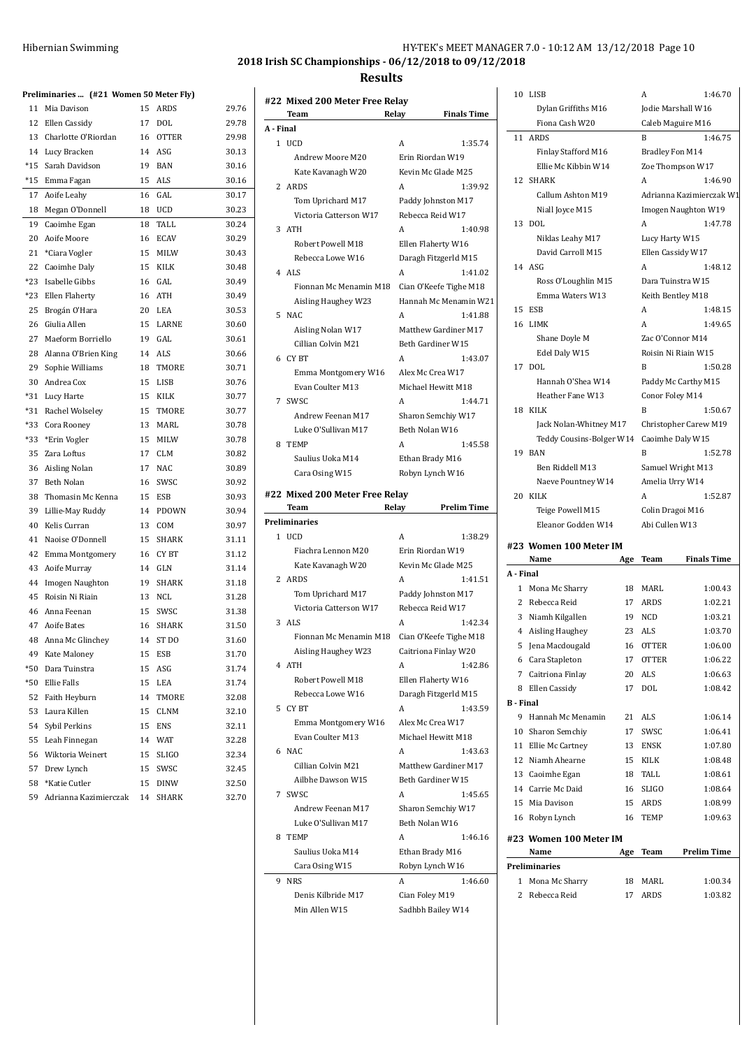| Hibernian Swimming | HY-TEK's MEET MANAGER 7.0 - 10:12 AM 13/12/2018 Page 10 |
|--------------------|---------------------------------------------------------|
|                    | 2018 Irish SC Championships - 06/12/2018 to 09/12/2018  |

|       | Preliminaries  (#21 Women 50 Meter Fly) |    |              |       |
|-------|-----------------------------------------|----|--------------|-------|
| 11    | Mia Davison                             | 15 | ARDS         | 29.76 |
| 12    | Ellen Cassidy                           | 17 | DOL          | 29.78 |
|       | 13 Charlotte O'Riordan                  | 16 | <b>OTTER</b> | 29.98 |
|       | 14 Lucy Bracken                         | 14 | ASG          | 30.13 |
| $*15$ | Sarah Davidson                          |    | 19 BAN       | 30.16 |
| $*15$ | Emma Fagan                              | 15 | ALS          | 30.16 |
| 17    | Aoife Leahy                             | 16 | GAL          | 30.17 |
| 18    | Megan O'Donnell                         | 18 | UCD          | 30.23 |
| 19    | Caoimhe Egan                            | 18 | TALL         | 30.24 |
|       | 20 Aoife Moore                          |    | 16 ECAV      | 30.29 |
| 21    | *Ciara Vogler                           |    | 15 MILW      | 30.43 |
| 22    | Caoimhe Daly                            | 15 | KILK         | 30.48 |
| $*23$ | Isabelle Gibbs                          |    | 16 GAL       | 30.49 |
|       | *23 Ellen Flaherty                      | 16 | ATH          | 30.49 |
| 25    | Brogán O'Hara                           |    | 20 LEA       | 30.53 |
|       | 26 Giulia Allen                         |    | 15 LARNE     | 30.60 |
| 27    | Maeform Borriello                       | 19 | GAL          | 30.61 |
|       | 28 Alanna O'Brien King                  | 14 | ALS          | 30.66 |
|       | 29 Sophie Williams                      |    | 18 TMORE     | 30.71 |
|       | 30 Andrea Cox                           | 15 | LISB         | 30.76 |
|       | *31 Lucy Harte                          | 15 | KILK         | 30.77 |
|       | *31 Rachel Wolseley                     | 15 | TMORE        | 30.77 |
| *33   | Cora Rooney                             |    | 13 MARL      | 30.78 |
| $*33$ | *Erin Vogler                            |    | 15 MILW      | 30.78 |
| 35    | Zara Loftus                             |    | 17 CLM       | 30.82 |
|       | 36 Aisling Nolan                        |    | 17 NAC       | 30.89 |
|       | 37 Beth Nolan                           | 16 | SWSC         | 30.92 |
| 38    | Thomasin Mc Kenna                       | 15 | ESB          | 30.93 |
| 39    | Lillie-May Ruddy                        |    | 14 PDOWN     | 30.94 |
| 40    | Kelis Curran                            | 13 | COM          | 30.97 |
| 41    | Naoise O'Donnell                        | 15 | SHARK        | 31.11 |
| 42    | Emma Montgomery                         |    | 16 CYBT      | 31.12 |
|       | 43 Aoife Murray                         |    | 14 GLN       | 31.14 |
| 44    | Imogen Naughton                         |    | 19 SHARK     | 31.18 |
| 45    | Roisin Ni Riain                         |    | 13 NCL       | 31.28 |
| 46    | Anna Feenan                             | 15 | SWSC         | 31.38 |
| 47    | <b>Aoife Bates</b>                      | 16 | <b>SHARK</b> | 31.50 |
| 48    | Anna Mc Glinchey                        | 14 | ST DO        | 31.60 |
| 49    | Kate Maloney                            | 15 | <b>ESB</b>   | 31.70 |
| $*50$ | Dara Tuinstra                           | 15 | ASG          | 31.74 |
| $*50$ | Ellie Falls                             | 15 | LEA          | 31.74 |
| 52    | Faith Heyburn                           | 14 | TMORE        | 32.08 |
| 53    | Laura Killen                            | 15 | <b>CLNM</b>  | 32.10 |
| 54    | Sybil Perkins                           | 15 | <b>ENS</b>   | 32.11 |
| 55    | Leah Finnegan                           | 14 | WAT          | 32.28 |
| 56    | Wiktoria Weinert                        | 15 | SLIGO        | 32.34 |
| 57    | Drew Lynch                              | 15 | SWSC         | 32.45 |
| 58    | *Katie Cutler                           | 15 | DINW         | 32.50 |
| 59    | Adrianna Kazimierczak                   | 14 | SHARK        | 32.70 |

|           | #22 Mixed 200 Meter Free Relay<br>Team | Relay                                | <b>Finals Time</b> |
|-----------|----------------------------------------|--------------------------------------|--------------------|
| A - Final |                                        |                                      |                    |
|           | 1 UCD                                  | A                                    | 1:35.74            |
|           | Andrew Moore M20                       | Erin Riordan W19                     |                    |
|           | Kate Kavanagh W20                      | Kevin Mc Glade M25                   |                    |
| 2         | ARDS                                   | A                                    | 1:39.92            |
|           | Tom Uprichard M17                      | Paddy Johnston M17                   |                    |
|           | Victoria Catterson W17                 | Rebecca Reid W17                     |                    |
| 3         | ATH                                    | A                                    | 1:40.98            |
|           | Robert Powell M18                      | Ellen Flaherty W16                   |                    |
|           | Rebecca Lowe W16                       | Daragh Fitzgerld M15                 |                    |
|           | 4 ALS                                  | A                                    | 1:41.02            |
|           | Fionnan Mc Menamin M18                 | Cian O'Keefe Tighe M18               |                    |
|           | Aisling Haughey W23                    | Hannah Mc Menamin W21                |                    |
| 5         | <b>NAC</b>                             | A                                    | 1:41.88            |
|           | Aisling Nolan W17                      | Matthew Gardiner M17                 |                    |
|           | Cillian Colvin M21                     | Beth Gardiner W15                    |                    |
| 6         | CY BT                                  | A                                    | 1:43.07            |
|           | Emma Montgomery W16                    | Alex Mc Crea W17                     |                    |
|           | Evan Coulter M13                       | Michael Hewitt M18                   |                    |
| 7         | SWSC                                   | A                                    | 1:44.71            |
|           | Andrew Feenan M17                      |                                      |                    |
|           |                                        | Sharon Semchiy W17<br>Beth Nolan W16 |                    |
| 8         | Luke O'Sullivan M17<br><b>TEMP</b>     | A                                    | 1:45.58            |
|           |                                        |                                      |                    |
|           | Saulius Uoka M14                       | Ethan Brady M16                      |                    |
|           | Cara Osing W15                         | Robyn Lynch W16                      |                    |
|           | #22 Mixed 200 Meter Free Relay         |                                      |                    |
|           | Team                                   | Relay                                | <b>Prelim Time</b> |
|           | <b>Preliminaries</b>                   |                                      |                    |
| 1         | <b>UCD</b>                             | A                                    | 1:38.29            |
|           | Fiachra Lennon M20                     | Erin Riordan W19                     |                    |
|           | Kate Kavanagh W20                      | Kevin Mc Glade M25                   |                    |
| 2         | ARDS                                   | A                                    | 1:41.51            |
|           | Tom Uprichard M17                      | Paddy Johnston M17                   |                    |
|           | Victoria Catterson W17                 | Rebecca Reid W17                     |                    |
| 3         | ALS                                    | А                                    | 1:42.34            |
|           | Fionnan Mc Menamin M18                 | Cian O'Keefe Tighe M18               |                    |
|           | Aisling Haughey W23                    | Caitriona Finlay W20                 |                    |
|           | 4 ATH                                  | A                                    | 1:42.86            |
|           | Robert Powell M18                      | Ellen Flaherty W16                   |                    |
|           | Rebecca Lowe W16                       | Daragh Fitzgerld M15                 |                    |
| 5         | <b>CYBT</b>                            | A                                    | 1:43.59            |
|           | Emma Montgomery W16                    | Alex Mc Crea W17                     |                    |
|           | Evan Coulter M13                       | Michael Hewitt M18                   |                    |
| 6         | <b>NAC</b>                             | A                                    | 1:43.63            |
|           | Cillian Colvin M21                     | Matthew Gardiner M17                 |                    |
|           | Ailbhe Dawson W15                      | Beth Gardiner W15                    |                    |
| 7         | SWSC                                   | A                                    | 1:45.65            |
|           | Andrew Feenan M17                      | Sharon Semchiy W17                   |                    |
|           | Luke O'Sullivan M17                    | Beth Nolan W16                       |                    |
| 8         | <b>TEMP</b>                            | A                                    | 1:46.16            |
|           | Saulius Uoka M14                       | Ethan Brady M16                      |                    |
|           | Cara Osing W15                         | Robyn Lynch W16                      |                    |
| 9         | <b>NRS</b>                             | A                                    |                    |
|           |                                        |                                      | 1:46.60            |
|           | Denis Kilbride M17                     | Cian Foley M19                       |                    |
|           | Min Allen W15                          | Sadhbh Bailey W14                    |                    |

| Jodie Marshall W16       |  |
|--------------------------|--|
| Caleb Maguire M16        |  |
| 1:46.75                  |  |
| Bradley Fon M14          |  |
| Zoe Thompson W17         |  |
| 1:46.90                  |  |
| Adrianna Kazimierczak W1 |  |
| Imogen Naughton W19      |  |
| 1:47.78                  |  |
| Lucy Harty W15           |  |
| Ellen Cassidy W17        |  |
| 1:48.12                  |  |
| Dara Tuinstra W15        |  |
| Keith Bentley M18        |  |
| 1:48.15                  |  |
| 1:49.65                  |  |
| Zac O'Connor M14         |  |
| Roisin Ni Riain W15      |  |
| 1:50.28                  |  |
| Paddy Mc Carthy M15      |  |
| Conor Foley M14          |  |
| 1:50.67                  |  |
| Christopher Carew M19    |  |
| Caoimhe Daly W15         |  |
| 1:52.78                  |  |
| Samuel Wright M13        |  |
| Amelia Urry W14          |  |
|                          |  |
| 1:52.87                  |  |
| Colin Dragoi M16         |  |
| Abi Cullen W13           |  |
|                          |  |
|                          |  |
| <b>Finals Time</b>       |  |
| 1:00.43                  |  |
| 1:02.21                  |  |
| 1:03.21                  |  |
| 1:03.70                  |  |
| 1:06.00                  |  |
| 1:06.22                  |  |
| 1:06.63                  |  |
| 1:08.42                  |  |
|                          |  |
| 1:06.14                  |  |
| 1:06.41                  |  |
| 1:07.80                  |  |
| 1:08.48                  |  |
| 1:08.61                  |  |
| 1:08.64                  |  |
| 1:08.99                  |  |
| 1:09.63                  |  |
|                          |  |
| <b>Prelim Time</b>       |  |
|                          |  |
| 1:00.34                  |  |
|                          |  |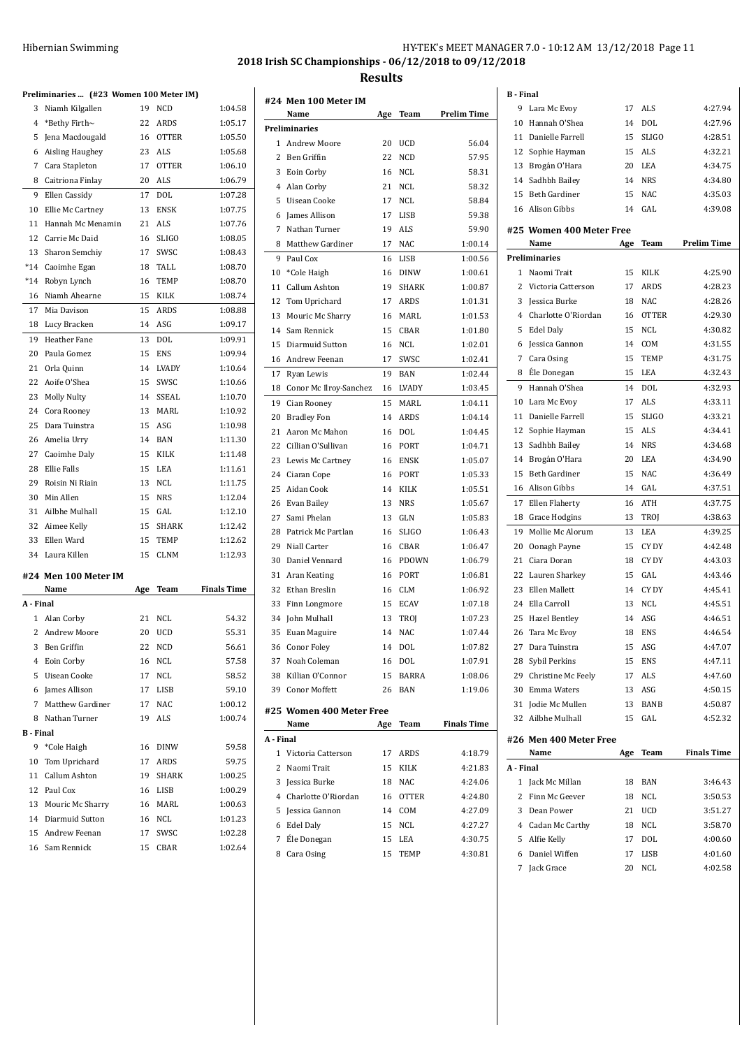## Hibernian Swimming HY-TEK's MEET MANAGER 7.0 - 10:12 AM 13/12/2018 Page 11

**2018 Irish SC Championships - 06/12/2018 to 09/12/2018 Results**

|                  | Preliminaries  (#23 Women 100 Meter IM) |     |              |                                          |
|------------------|-----------------------------------------|-----|--------------|------------------------------------------|
| 3                | Niamh Kilgallen                         | 19  | <b>NCD</b>   | 1:04.58                                  |
|                  | 4 *Bethy Firth~                         | 22  | ARDS         | 1:05.17                                  |
| 5                | Jena Macdougald                         | 16  | <b>OTTER</b> | 1:05.50                                  |
|                  | 6 Aisling Haughey                       | 23  | ALS          | 1:05.68                                  |
| 7                | Cara Stapleton                          | 17  | <b>OTTER</b> | 1:06.10                                  |
|                  | 8 Caitriona Finlay                      | 20  | ALS          | 1:06.79                                  |
| 9                | Ellen Cassidy                           | 17  | DOL          | 1:07.28                                  |
|                  | 10 Ellie Mc Cartney                     | 13  | <b>ENSK</b>  | 1:07.75                                  |
| 11               | Hannah Mc Menamin                       | 21  | <b>ALS</b>   | 1:07.76                                  |
| 12               | Carrie Mc Daid                          | 16  | <b>SLIGO</b> | 1:08.05                                  |
| 13               | Sharon Semchiy                          | 17  | SWSC         | 1:08.43                                  |
|                  | *14 Caoimhe Egan                        | 18  | TALL         | 1:08.70                                  |
|                  | *14 Robyn Lynch                         | 16  | TEMP         | 1:08.70                                  |
| 16               | Niamh Ahearne                           | 15  | KILK         | 1:08.74                                  |
| 17               | Mia Davison                             | 15  | ARDS         | 1:08.88                                  |
| 18               | Lucy Bracken                            | 14  | ASG          | 1:09.17                                  |
| 19               | Heather Fane                            | 13  | DOL          | 1:09.91                                  |
| 20               | Paula Gomez                             | 15  | <b>ENS</b>   | 1:09.94                                  |
| 21               | Orla Quinn                              | 14  | <b>LVADY</b> | 1:10.64                                  |
| 22               | Aoife O'Shea                            | 15  | SWSC         | 1:10.66                                  |
| 23               | Molly Nulty                             | 14  | <b>SSEAL</b> | 1:10.70                                  |
|                  | 24 Cora Rooney                          | 13  | MARL         | 1:10.92                                  |
| 25               | Dara Tuinstra                           | 15  | ASG          | 1:10.98                                  |
|                  | 26 Amelia Urry                          | 14  | BAN          | 1:11.30                                  |
|                  | 27 Caoimhe Daly                         | 15  | KILK         | 1:11.48                                  |
|                  | 28 Ellie Falls                          | 15  | LEA          | 1:11.61                                  |
| 29               | Roisin Ni Riain                         | 13  | <b>NCL</b>   | 1:11.75                                  |
| 30               | Min Allen                               | 15  | <b>NRS</b>   | 1:12.04                                  |
| 31               | Ailbhe Mulhall                          | 15  | GAL          | 1:12.10                                  |
|                  | 32 Aimee Kelly                          | 15  | SHARK        | 1:12.42                                  |
| 33               | Ellen Ward                              | 15  | TEMP         | 1:12.62                                  |
|                  | 34 Laura Killen                         | 15  | CLNM         | 1:12.93                                  |
|                  | #24 Men 100 Meter IM<br>Name            | Age | Team         | <b>Finals Time</b>                       |
| A - Final        |                                         |     |              |                                          |
| $\mathbf{1}$     | Alan Corby                              | 21  | NCL          | 54.32                                    |
| $\overline{2}$   | <b>Andrew Moore</b>                     | 20  | UCD          | 55.31                                    |
|                  | 3 Ben Griffin                           | 22  | <b>NCD</b>   | 56.61                                    |
|                  | 4 Eoin Corby                            | 16  | NCL          | 57.58                                    |
|                  | 5 Uisean Cooke                          | 17  | NCL          | 58.52                                    |
|                  | 6 James Allison                         | 17  | <b>LISB</b>  | 59.10                                    |
|                  | 7 Matthew Gardiner                      | 17  | NAC          | 1:00.12                                  |
| 8                | Nathan Turner                           | 19  | ALS          | 1:00.74                                  |
|                  |                                         |     |              |                                          |
| <b>B</b> - Final | *Cole Haigh                             | 16  | <b>DINW</b>  | 59.58                                    |
| 9                |                                         | 17  | ARDS         | 59.75                                    |
| 10               | Tom Uprichard                           |     | <b>SHARK</b> | 1:00.25                                  |
| 11               | Callum Ashton                           | 19  |              |                                          |
|                  | 12 Paul Cox                             | 16  | LISB         | 1:00.29                                  |
|                  | 13 Mouric Mc Sharry                     |     | 16 MARL      |                                          |
|                  | 14 Diarmuid Sutton                      |     | 16 NCL       |                                          |
|                  | 15 Andrew Feenan                        | 17  | SWSC         |                                          |
|                  | 16 Sam Rennick                          | 15  | CBAR         | 1:00.63<br>1:01.23<br>1:02.28<br>1:02.64 |

|                | #24 Men 100 Meter IM     |     |              |                    |
|----------------|--------------------------|-----|--------------|--------------------|
|                | Name                     | Age | Team         | Prelim Time        |
|                | Preliminaries            |     |              |                    |
| 1              | <b>Andrew Moore</b>      | 20  | UCD          | 56.04              |
| $\overline{c}$ | Ben Griffin              | 22  | NCD          | 57.95              |
| 3              | Eoin Corby               | 16  | <b>NCL</b>   | 58.31              |
| 4              | Alan Corby               | 21  | NCL          | 58.32              |
| 5              | Uisean Cooke             | 17  | <b>NCL</b>   | 58.84              |
| 6              | James Allison            | 17  | LISB         | 59.38              |
| 7              | Nathan Turner            | 19  | ALS          | 59.90              |
| 8              | Matthew Gardiner         | 17  | <b>NAC</b>   | 1:00.14            |
| 9              | Paul Cox                 | 16  | LISB         | 1:00.56            |
| 10             | *Cole Haigh              | 16  | DINW         | 1:00.61            |
| 11             | Callum Ashton            | 19  | SHARK        | 1:00.87            |
| 12             | Tom Uprichard            | 17  | ARDS         | 1:01.31            |
| 13             | Mouric Mc Sharry         | 16  | <b>MARL</b>  | 1:01.53            |
| 14             | Sam Rennick              | 15  | CBAR         | 1:01.80            |
| 15             | Diarmuid Sutton          | 16  | NCL          | 1:02.01            |
| 16             | Andrew Feenan            | 17  | SWSC         | 1:02.41            |
| 17             | Ryan Lewis               | 19  | <b>BAN</b>   | 1:02.44            |
| 18             | Conor Mc Ilroy-Sanchez   | 16  | LVADY        | 1:03.45            |
| 19             | Cian Rooney              | 15  | MARL         | 1:04.11            |
| 20             | <b>Bradley Fon</b>       | 14  | <b>ARDS</b>  | 1:04.14            |
| 21             | Aaron Mc Mahon           | 16  | <b>DOL</b>   | 1:04.45            |
| 22             | Cillian O'Sullivan       | 16  | PORT         | 1:04.71            |
| 23             | Lewis Mc Cartney         | 16  | <b>ENSK</b>  | 1:05.07            |
| 24             | Ciaran Cope              | 16  | PORT         | 1:05.33            |
| 25             | Aidan Cook               | 14  | KILK         | 1:05.51            |
| 26             | Evan Bailey              | 13  | <b>NRS</b>   | 1:05.67            |
| 27             | Sami Phelan              | 13  | GLN          | 1:05.83            |
| 28             | Patrick Mc Partlan       | 16  | SLIGO        | 1:06.43            |
| 29             | Niall Carter             | 16  | CBAR         | 1:06.47            |
| 30             | Daniel Vennard           | 16  | PDOWN        | 1:06.79            |
| 31             | Aran Keating             | 16  | PORT         | 1:06.81            |
| 32             | Ethan Breslin            | 16  | <b>CLM</b>   | 1:06.92            |
| 33             | Finn Longmore            | 15  | <b>ECAV</b>  | 1:07.18            |
| 34             | John Mulhall             | 13  | TROJ         | 1:07.23            |
| 35             | Euan Maguire             | 14  | <b>NAC</b>   | 1:07.44            |
| 36             | Conor Foley              | 14  | <b>DOL</b>   | 1:07.82            |
| 37             | Noah Coleman             | 16  | DOL          | 1:07.91            |
| 38             | Killian O'Connor         | 15  | BARRA        | 1:08.06            |
| 39             | Conor Moffett            | 26  | <b>BAN</b>   | 1:19.06            |
|                |                          |     |              |                    |
|                | #25 Women 400 Meter Free |     |              |                    |
|                | Name                     | Age | Team         | <b>Finals Time</b> |
| A - Final      |                          |     |              |                    |
| 1              | Victoria Catterson       | 17  | ARDS         | 4:18.79            |
| 2              | Naomi Trait              | 15  | KILK         | 4:21.83            |
| 3              | <b>Jessica Burke</b>     | 18  | <b>NAC</b>   | 4:24.06            |
| 4              | Charlotte O'Riordan      | 16  | <b>OTTER</b> | 4:24.80            |
| 5              | Jessica Gannon           | 14  | COM          | 4:27.09            |
| 6              | Edel Daly                | 15  | <b>NCL</b>   | 4:27.27            |
| 7              | Éle Donegan              | 15  | LEA          | 4:30.75            |
| 8              | Cara Osing               | 15  | <b>TEMP</b>  | 4:30.81            |

| <b>B</b> - Final |                              |     |              |                    |
|------------------|------------------------------|-----|--------------|--------------------|
| 9                | Lara Mc Evoy                 | 17  | ALS          | 4:27.94            |
| 10               | Hannah O'Shea                | 14  | DOL          | 4:27.96            |
|                  | 11 Danielle Farrell          | 15  | <b>SLIGO</b> | 4:28.51            |
| 12               | Sophie Hayman                | 15  | <b>ALS</b>   | 4:32.21            |
| 13               | Brogán O'Hara                | 20  | LEA          | 4:34.75            |
|                  | 14 Sadhbh Bailey             | 14  | <b>NRS</b>   | 4:34.80            |
| 15               | Beth Gardiner                | 15  | <b>NAC</b>   | 4:35.03            |
| 16               | Alison Gibbs                 | 14  | GAL          | 4:39.08            |
|                  |                              |     |              |                    |
|                  | #25 Women 400 Meter Free     |     |              |                    |
|                  | Name<br><b>Preliminaries</b> | Age | Team         | <b>Prelim Time</b> |
| 1                | Naomi Trait                  | 15  | KILK         | 4:25.90            |
| 2                | Victoria Catterson           | 17  | <b>ARDS</b>  | 4:28.23            |
| 3                | Jessica Burke                | 18  | <b>NAC</b>   | 4:28.26            |
| 4                | Charlotte O'Riordan          | 16  | <b>OTTER</b> | 4:29.30            |
| 5                | Edel Daly                    | 15  | <b>NCL</b>   | 4:30.82            |
| 6                | <b>Jessica Gannon</b>        | 14  | COM          | 4:31.55            |
| 7                | Cara Osing                   | 15  | TEMP         | 4:31.75            |
| 8                | Éle Donegan                  | 15  | LEA          | 4:32.43            |
|                  |                              |     |              |                    |
| 9                | Hannah O'Shea                | 14  | <b>DOL</b>   | 4:32.93            |
| 10               | Lara Mc Evov                 | 17  | <b>ALS</b>   | 4:33.11<br>4:33.21 |
| 11               | Danielle Farrell             | 15  | <b>SLIGO</b> |                    |
| 12               | Sophie Hayman                | 15  | <b>ALS</b>   | 4:34.41            |
| 13               | Sadhbh Bailey                | 14  | <b>NRS</b>   | 4:34.68            |
| 14               | Brogán O'Hara                | 20  | <b>LEA</b>   | 4:34.90            |
| 15               | <b>Beth Gardiner</b>         | 15  | <b>NAC</b>   | 4:36.49            |
| 16               | Alison Gibbs                 | 14  | GAL          | 4:37.51            |
| 17               | Ellen Flaherty               | 16  | <b>ATH</b>   | 4:37.75            |
| 18               | Grace Hodgins                | 13  | TROJ         | 4:38.63            |
| 19               | Mollie Mc Alorum             | 13  | LEA          | 4:39.25            |
| 20               | Oonagh Payne                 | 15  | CY DY        | 4:42.48            |
| 21               | Ciara Doran                  | 18  | CY DY        | 4:43.03            |
| 22               | Lauren Sharkey               | 15  | GAL          | 4:43.46            |
| 23               | Ellen Mallett                | 14  | CY DY        | 4:45.41            |
| 24               | Ella Carroll                 | 13  | <b>NCL</b>   | 4:45.51            |
| 25               | <b>Hazel Bentley</b>         | 14  | ASG          | 4:46.51            |
| 26               | Tara Mc Evoy                 | 18  | <b>ENS</b>   | 4:46.54            |
| 27               | Dara Tuinstra                | 15  | ASG          | 4:47.07            |
| 28               | Sybil Perkins                | 15  | ENS          | 4:47.11            |
| 29               | Christine Mc Feely           | 17  | ALS          | 4:47.60            |
| 30               | Emma Waters                  | 13  | ASG          | 4:50.15            |
| 31               | Jodie Mc Mullen              | 13  | BANB         | 4:50.87            |
| 32               | Ailbhe Mulhall               | 15  | GAL          | 4:52.32            |
|                  | #26 Men 400 Meter Free       |     |              |                    |
|                  | Name                         | Age | Team         | <b>Finals Time</b> |
| A - Final        |                              |     |              |                    |
| 1                | Jack Mc Millan               | 18  | BAN          | 3:46.43            |
| 2                | Finn Mc Geever               | 18  | <b>NCL</b>   | 3:50.53            |
| 3                | Dean Power                   | 21  | UCD          | 3:51.27            |
|                  | 4 Cadan Mc Carthy            | 18  | NCL          | 3:58.70            |
|                  | 5 Alfie Kelly                | 17  | DOL          | 4:00.60            |
| 6                | Daniel Wiffen                | 17  | LISB         | 4:01.60            |
| 7                | Jack Grace                   | 20  | NCL          | 4:02.58            |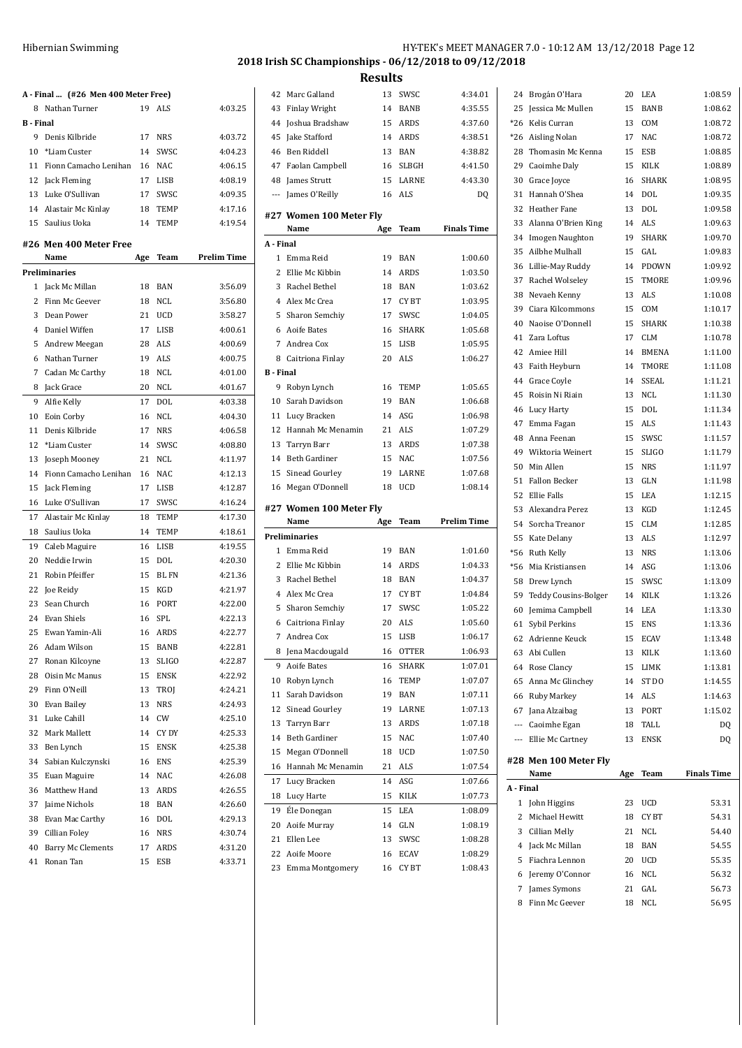|                  | A - Final  (#26 Men 400 Meter Free) |     |              |                    |
|------------------|-------------------------------------|-----|--------------|--------------------|
| 8                | Nathan Turner                       | 19  | ALS          | 4:03.25            |
| <b>B</b> - Final |                                     |     |              |                    |
| 9                | Denis Kilbride                      | 17  | <b>NRS</b>   | 4:03.72            |
|                  | 10 *Liam Custer                     | 14  | SWSC         | 4:04.23            |
| 11               | Fionn Camacho Lenihan 16 NAC        |     |              | 4:06.15            |
|                  | 12 Jack Fleming                     |     | 17 LISB      | 4:08.19            |
|                  | 13 Luke O'Sullivan                  | 17  | SWSC         | 4:09.35            |
|                  | 14 Alastair Mc Kinlav               | 18  | TEMP         | 4:17.16            |
|                  | 15 Saulius Uoka                     | 14  | <b>TEMP</b>  | 4:19.54            |
|                  | #26 Men 400 Meter Free              |     |              |                    |
|                  | Name                                | Age | Team         | <b>Prelim Time</b> |
|                  | <b>Preliminaries</b>                |     |              |                    |
|                  | 1 Jack Mc Millan                    | 18  | <b>BAN</b>   | 3:56.09            |
| $\mathbf{2}$     | Finn Mc Geever                      | 18  | <b>NCL</b>   | 3:56.80            |
| 3                | Dean Power                          | 21  | <b>UCD</b>   | 3:58.27            |
| 4                | Daniel Wiffen                       | 17  | LISB         | 4:00.61            |
| 5                | Andrew Meegan                       | 28  | ALS          | 4:00.69            |
| 6                | Nathan Turner                       | 19  | ALS          | 4:00.75            |
| 7                | Cadan Mc Carthy                     | 18  | NCL          | 4:01.00            |
| 8                | Jack Grace                          | 20  | <b>NCL</b>   | 4:01.67            |
|                  |                                     |     |              |                    |
| 9                | Alfie Kelly                         | 17  | DOL          | 4:03.38            |
| 10               | Eoin Corby                          | 16  | NCL          | 4:04.30            |
| 11               | Denis Kilbride                      |     | 17 NRS       | 4:06.58            |
| 12               | *Liam Custer                        | 14  | SWSC         | 4:08.80            |
| 13               | Joseph Mooney                       | 21  | <b>NCL</b>   | 4:11.97            |
| 14               | Fionn Camacho Lenihan               |     | 16 NAC       | 4:12.13            |
| 15               | Jack Fleming                        | 17  | LISB         | 4:12.87            |
| 16               | Luke O'Sullivan                     | 17  | SWSC         | 4:16.24            |
| 17               | Alastair Mc Kinlay                  | 18  | TEMP         | 4:17.30            |
| 18               | Saulius Uoka                        | 14  | <b>TEMP</b>  | 4:18.61            |
| 19               | Caleb Maguire                       | 16  | <b>LISB</b>  | 4:19.55            |
| 20               | Neddie Irwin                        | 15  | <b>DOL</b>   | 4:20.30            |
| 21               | Robin Pfeiffer                      | 15  | <b>BL FN</b> | 4:21.36            |
| 22               | Joe Reidy                           | 15  | KGD          | 4:21.97            |
| 23               | Sean Church                         | 16  | <b>PORT</b>  | 4:22.00            |
| 24               | <b>Evan Shiels</b>                  | 16  | <b>SPL</b>   | 4:22.13            |
| 25               | Ewan Yamin-Ali                      | 16  | <b>ARDS</b>  | 4:22.77            |
| 26               | Adam Wilson                         | 15  | BANB         | 4:22.81            |
| 27               | Ronan Kilcoyne                      | 13  | SLIGO        | 4:22.87            |
| 28               | Oisin Mc Manus                      | 15  | ENSK         | 4:22.92            |
| 29               | Finn O'Neill                        | 13  | TROI         | 4:24.21            |
| 30               | Evan Bailey                         | 13  | NRS          | 4:24.93            |
| 31               | Luke Cahill                         | 14  | CW           | 4:25.10            |
| 32               | Mark Mallett                        | 14  | CY DY        | 4:25.33            |
| 33               | Ben Lynch                           | 15  | ENSK         | 4:25.38            |
| 34               | Sabian Kulczynski                   | 16  | ENS          | 4:25.39            |
| 35               | Euan Maguire                        | 14  | NAC          | 4:26.08            |
| 36               | Matthew Hand                        | 13  | ARDS         | 4:26.55            |
| 37               | Jaime Nichols                       | 18  | BAN          | 4:26.60            |
| 38               | Evan Mac Carthy                     | 16  | DOL          | 4:29.13            |
| 39               | Cillian Foley                       | 16  | NRS          | 4:30.74            |
| 40               | Barry Mc Clements                   |     | 17 ARDS      | 4:31.20            |
|                  | 41 Ronan Tan                        |     | 15 ESB       | 4:33.71            |

## HY-TEK's MEET MANAGER 7.0 - 10:12 AM 13/12/2018 Page 12 **2018 Irish SC Championships - 06/12/2018 to 09/12/2018**

**Results**

|                  | 42 Marc Galland         | 13  | SWSC        | 4:34.01            |
|------------------|-------------------------|-----|-------------|--------------------|
|                  | 43 Finlay Wright        |     | 14 BANB     | 4:35.55            |
|                  | 44 Joshua Bradshaw      |     | 15 ARDS     | 4:37.60            |
|                  | 45 Jake Stafford        |     | 14 ARDS     | 4:38.51            |
|                  | 46 Ben Riddell          |     | 13 BAN      | 4:38.82            |
|                  | 47 Faolan Campbell      |     | 16 SLBGH    | 4:41.50            |
|                  | 48 James Strutt         |     | 15 LARNE    | 4:43.30            |
|                  | --- James O'Reilly      | 16  | ALS         | DQ                 |
|                  | #27 Women 100 Meter Fly |     |             |                    |
| A - Final        | Name                    | Age | Team        | <b>Finals Time</b> |
| $\mathbf{1}$     | Emma Reid               | 19  | BAN         | 1:00.60            |
| $\mathbf{2}$     | Ellie Mc Kibbin         |     | 14 ARDS     | 1:03.50            |
|                  | 3 Rachel Bethel         |     | 18 BAN      | 1:03.62            |
|                  | 4 Alex Mc Crea          |     | 17 CYBT     | 1:03.95            |
|                  |                         |     | 17 SWSC     | 1:04.05            |
| 5                | Sharon Semchiy          |     |             |                    |
|                  | 6 Aoife Bates           | 16  | SHARK       | 1:05.68            |
|                  | 7 Andrea Cox            | 15  | LISB        | 1:05.95            |
| <b>B</b> - Final | 8 Caitriona Finlay      | 20  | ALS         | 1:06.27            |
|                  |                         |     | TEMP        |                    |
|                  | 9 Robyn Lynch           | 16  |             | 1:05.65            |
|                  | 10 Sarah Davidson       |     | 19 BAN      | 1:06.68            |
|                  | 11 Lucy Bracken         |     | 14 ASG      | 1:06.98            |
|                  | 12 Hannah Mc Menamin    |     | 21 ALS      | 1:07.29<br>1:07.38 |
| 13               | Tarryn Barr             |     | 13 ARDS     |                    |
|                  | 14 Beth Gardiner        |     | 15 NAC      | 1:07.56            |
| 15               | Sinead Gourley          | 19  | LARNE       | 1:07.68            |
|                  | 16 Megan O'Donnell      | 18  | <b>UCD</b>  | 1:08.14            |
|                  | #27 Women 100 Meter Fly |     |             |                    |
|                  | Name                    | Age | Team        | <b>Prelim Time</b> |
|                  | <b>Preliminaries</b>    |     |             |                    |
|                  | 1 Emma Reid             | 19  | BAN         | 1:01.60            |
|                  | 2 Ellie Mc Kibbin       |     | 14 ARDS     | 1:04.33            |
| 3                | Rachel Bethel           | 18  | BAN         | 1:04.37            |
|                  | 4 Alex Mc Crea          | 17  | CY BT       | 1:04.84            |
| 5                | Sharon Semchiy          |     | 17 SWSC     | 1:05.22            |
|                  | 6 Caitriona Finlay      | 20  | ALS         | 1:05.60            |
|                  | 7 Andrea Cox            | 15  | <b>LISB</b> | 1:06.17            |
| 8                | Jena Macdougald         | 16  | OTTER       | 1:06.93            |
| 9                | Aoife Bates             | 16  | SHARK       | 1:07.01            |
| 10               | Robyn Lynch             | 16  | TEMP        | 1:07.07            |
| 11               | Sarah Davidson          | 19  | BAN         | 1:07.11            |
| 12               | Sinead Gourley          | 19  | LARNE       | 1:07.13            |
| 13               | Tarryn Barr             | 13  | ARDS        | 1:07.18            |
| 14               | Beth Gardiner           | 15  | <b>NAC</b>  | 1:07.40            |
| 15               | Megan O'Donnell         | 18  | <b>UCD</b>  | 1:07.50            |
| 16               | Hannah Mc Menamin       | 21  | ALS         | 1:07.54            |
| 17               | Lucy Bracken            | 14  | ASG         | 1:07.66            |
| 18               | Lucy Harte              | 15  | KILK        | 1:07.73            |
| 19               | Ele Donegan             | 15  | LEA         | 1:08.09            |
| 20               | Aoife Murray            | 14  | GLN         | 1:08.19            |
|                  | 21 Ellen Lee            | 13  | SWSC        | 1:08.28            |
| 22               | Aoife Moore             | 16  | ECAV        | 1:08.29            |
|                  | 23 Emma Montgomery      | 16  | CY BT       | 1:08.43            |

| 24        | Brogán O'Hara               | 20  | LEA          | 1:08.59            |
|-----------|-----------------------------|-----|--------------|--------------------|
| 25        | Jessica Mc Mullen           | 15  | <b>BANB</b>  | 1:08.62            |
| $*26$     | Kelis Curran                | 13  | COM          | 1:08.72            |
| $*26$     | Aisling Nolan               | 17  | <b>NAC</b>   | 1:08.72            |
| 28        | Thomasin Mc Kenna           | 15  | <b>ESB</b>   | 1:08.85            |
| 29        | Caoimhe Daly                | 15  | KILK         | 1:08.89            |
| 30        | Grace Joyce                 | 16  | <b>SHARK</b> | 1:08.95            |
| 31        | Hannah O'Shea               | 14  | <b>DOL</b>   | 1:09.35            |
| 32        | Heather Fane                | 13  | <b>DOL</b>   | 1:09.58            |
| 33        |                             | 14  | ALS          | 1:09.63            |
|           | Alanna O'Brien King         |     |              |                    |
| 34        | Imogen Naughton             | 19  | <b>SHARK</b> | 1:09.70            |
| 35        | Ailbhe Mulhall              | 15  | GAL          | 1:09.83            |
| 36        | Lillie-May Ruddy            | 14  | <b>PDOWN</b> | 1:09.92            |
| 37        | Rachel Wolseley             | 15  | TMORE        | 1:09.96            |
| 38        | Nevaeh Kenny                | 13  | ALS          | 1:10.08            |
| 39        | Ciara Kilcommons            | 15  | COM          | 1:10.17            |
| 40        | Naoise O'Donnell            | 15  | <b>SHARK</b> | 1:10.38            |
| 41        | Zara Loftus                 | 17  | <b>CLM</b>   | 1:10.78            |
| 42        | Amiee Hill                  | 14  | <b>BMENA</b> | 1:11.00            |
| 43        | Faith Heyburn               | 14  | TMORE        | 1:11.08            |
| 44        | Grace Coyle                 | 14  | SSEAL        | 1:11.21            |
| 45        | Roisin Ni Riain             |     | 13 NCL       | 1:11.30            |
| 46        | Lucy Harty                  | 15  | <b>DOL</b>   | 1:11.34            |
| 47        | Emma Fagan                  | 15  | ALS          | 1:11.43            |
|           |                             |     |              |                    |
| 48        | Anna Feenan                 | 15  | SWSC         | 1:11.57            |
| 49        | Wiktoria Weinert            | 15  | <b>SLIGO</b> | 1:11.79            |
| 50        | Min Allen                   | 15  | <b>NRS</b>   | 1:11.97            |
| 51        | <b>Fallon Becker</b>        | 13  | GLN          | 1:11.98            |
| 52        | Ellie Falls                 | 15  | LEA          | 1:12.15            |
| 53        | Alexandra Perez             | 13  | KGD          | 1:12.45            |
| 54        | Sorcha Treanor              | 15  | <b>CLM</b>   | 1:12.85            |
| 55        | Kate Delany                 | 13  | ALS          | 1:12.97            |
| *56       | Ruth Kelly                  | 13  | <b>NRS</b>   | 1:13.06            |
| $*56$     | Mia Kristiansen             | 14  | ASG          | 1:13.06            |
| 58        | Drew Lynch                  | 15  | SWSC         | 1:13.09            |
| 59        | <b>Teddy Cousins-Bolger</b> |     | 14 KILK      | 1:13.26            |
| 60        | Jemima Campbell             | 14  | LEA          | 1:13.30            |
| 61        | Sybil Perkins               | 15  | <b>ENS</b>   | 1:13.36            |
| 62        | Adrienne Keuck              | 15  | <b>ECAV</b>  | 1:13.48            |
| 63        | Abi Cullen                  | 13  | KILK         | 1:13.60            |
| 64        | Rose Clancy                 | 15  | LIMK         | 1:13.81            |
| 65        | Anna Mc Glinchey            | 14  | ST DO        | 1:14.55            |
|           |                             |     |              |                    |
| 66        | <b>Ruby Markey</b>          | 14  | ALS          | 1:14.63            |
| 67        | Jana Alzaibag               | 13  | PORT         | 1:15.02            |
|           | --- Caoimhe Egan            | 18  | TALL         | DQ                 |
|           | --- Ellie Mc Cartney        | 13  | ENSK         | DQ                 |
|           | #28 Men 100 Meter Fly       |     |              |                    |
|           | Name                        | Age | Team         | <b>Finals Time</b> |
| A - Final |                             |     |              |                    |
| 1         | John Higgins                | 23  | UCD          | 53.31              |
| 2         | Michael Hewitt              | 18  | CY BT        | 54.31              |
| 3         | <b>Cillian Melly</b>        | 21  | NCL          | 54.40              |
| 4         | Jack Mc Millan              | 18  | BAN          | 54.55              |
| 5         | Fiachra Lennon              | 20  | UCD          | 55.35              |
| 6         | Jeremy O'Connor             | 16  | NCL          | 56.32              |
| 7         |                             |     |              | 56.73              |
|           | James Symons                | 21  | GAL          |                    |
| 8         | Finn Mc Geever              | 18  | NCL          | 56.95              |

 $\overline{1}$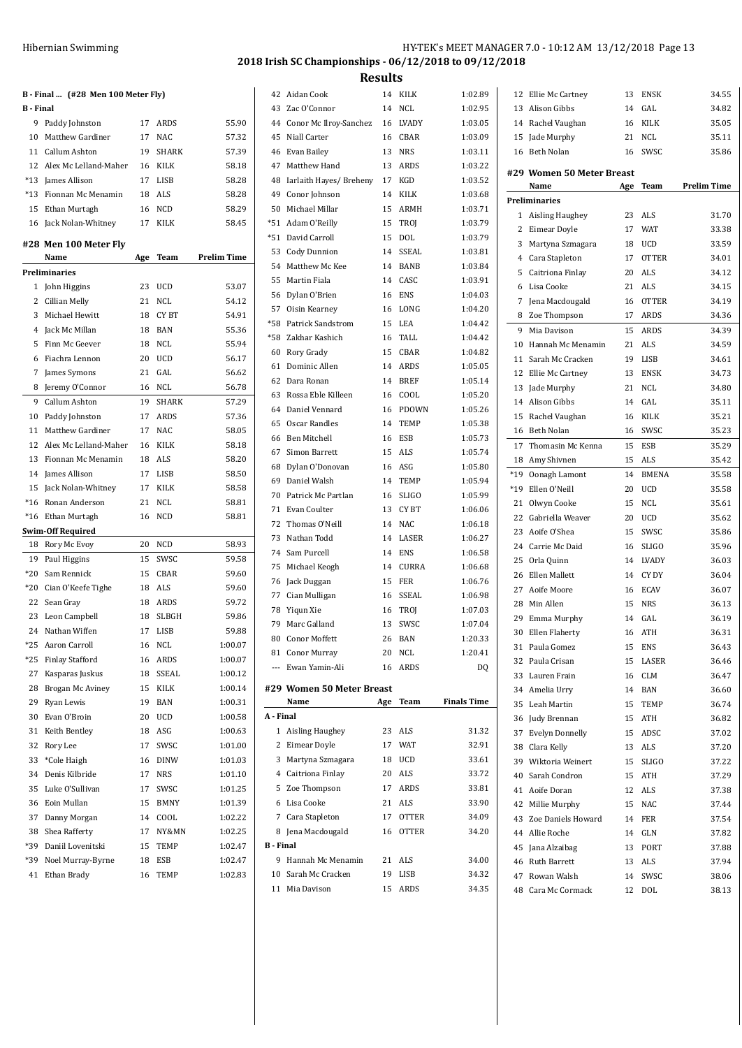|                  | B - Final  (#28 Men 100 Meter Fly) |     |                    |                    |
|------------------|------------------------------------|-----|--------------------|--------------------|
| <b>B</b> - Final |                                    |     |                    |                    |
|                  | 9 Paddy Johnston                   | 17  | ARDS               | 55.90              |
| 10               | Matthew Gardiner                   | 17  | <b>NAC</b>         | 57.32              |
| 11               | Callum Ashton                      | 19  | <b>SHARK</b>       | 57.39              |
|                  | 12 Alex Mc Lelland-Maher           |     | 16 KILK            | 58.18              |
|                  | *13 James Allison                  |     | 17 LISB            | 58.28              |
|                  | *13 Fionnan Mc Menamin             | 18  | ALS                | 58.28              |
|                  | 15 Ethan Murtagh                   | 16  | NCD<br><b>KILK</b> | 58.29<br>58.45     |
|                  | 16 Jack Nolan-Whitney              | 17  |                    |                    |
|                  | #28 Men 100 Meter Fly              |     |                    |                    |
|                  | Name                               | Age | Team               | <b>Prelim Time</b> |
|                  | Preliminaries                      |     |                    |                    |
|                  | 1 John Higgins                     | 23  | UCD                | 53.07              |
|                  | 2 Cillian Melly                    |     | 21 NCL             | 54.12              |
| 3                | Michael Hewitt                     | 18  | CY BT              | 54.91              |
|                  | 4 Jack Mc Millan                   |     | 18 BAN             | 55.36              |
| 5                | Finn Mc Geever                     | 18  | NCL                | 55.94              |
| 6                | Fiachra Lennon                     | 20  | <b>UCD</b>         | 56.17              |
| 7                | James Symons                       | 21  | GAL                | 56.62              |
| 8                | Jeremy O'Connor                    | 16  | NCL                | 56.78              |
| 9                | Callum Ashton                      | 19  | SHARK              | 57.29              |
|                  | 10 Paddy Johnston                  |     | 17 ARDS            | 57.36              |
| 11               | Matthew Gardiner                   |     | 17 NAC             | 58.05              |
| 12               | Alex Mc Lelland-Maher              | 16  | KILK               | 58.18              |
| 13               | Fionnan Mc Menamin                 |     | 18 ALS             | 58.20              |
| 14               | James Allison                      |     | 17 LISB            | 58.50              |
| 15               | Jack Nolan-Whitney                 |     | 17 KILK            | 58.58              |
| $*16$            | Ronan Anderson                     | 21  | NCL                | 58.81              |
|                  | *16 Ethan Murtagh                  | 16  | <b>NCD</b>         | 58.81              |
|                  | <b>Swim-Off Required</b>           |     |                    |                    |
| 18               | Rory Mc Evoy                       | 20  | NCD                | 58.93              |
| 19               | Paul Higgins                       | 15  | SWSC               | 59.58              |
| $*20$            | Sam Rennick                        | 15  | CBAR               | 59.60              |
|                  | *20 Cian O'Keefe Tighe             | 18  | ALS                | 59.60              |
| 22               | Sean Gray                          |     | 18 ARDS            | 59.72              |
|                  | 23 Leon Campbell                   | 18  | SLBGH              | 59.86              |
|                  | 24 Nathan Wiffen                   | 17  | LISB               | 59.88              |
|                  | *25 Aaron Carroll                  |     | 16 NCL             | 1:00.07            |
| *25              | <b>Finlay Stafford</b>             | 16  | ARDS               | 1:00.07            |
| 27               | Kasparas Juskus                    | 18  | SSEAL              | 1:00.12            |
| 28               | Brogan Mc Aviney                   | 15  | KILK               | 1:00.14            |
| 29               | Ryan Lewis                         | 19  | BAN                | 1:00.31            |
| 30               | Evan O'Broin                       | 20  | UCD                | 1:00.58            |
| 31               | Keith Bentley                      | 18  | ASG                | 1:00.63            |
| 32               | Rory Lee                           | 17  | SWSC               | 1:01.00            |
| 33               | *Cole Haigh                        | 16  | DINW               | 1:01.03            |
| 34               | Denis Kilbride                     | 17  | <b>NRS</b>         | 1:01.10            |
| 35               | Luke O'Sullivan                    | 17  | SWSC               | 1:01.25            |
| 36               | Eoin Mullan                        | 15  | <b>BMNY</b>        | 1:01.39            |
| 37               | Danny Morgan                       | 14  | COOL               | 1:02.22            |
| 38               | Shea Rafferty                      | 17  | NY&MN              | 1:02.25            |
|                  | *39 Daniil Lovenitski              | 15  | TEMP               | 1:02.47            |
| *39              | Noel Murray-Byrne                  | 18  | ESB                | 1:02.47            |
| 41               | Ethan Brady                        | 16  | TEMP               | 1:02.83            |

## Hibernian Swimming HY-TEK's MEET MANAGER 7.0 - 10:12 AM 13/12/2018 Page 13 **2018 Irish SC Championships - 06/12/2018 to 09/12/2018**

| 42        | Aidan Cook                        | 14  | KILK         | 1:02.89            |
|-----------|-----------------------------------|-----|--------------|--------------------|
|           | 43 Zac O'Connor                   | 14  | NCL          | 1:02.95            |
|           | 44 Conor Mc Ilroy-Sanchez         | 16  | LVADY        | 1:03.05            |
| 45        | Niall Carter                      | 16  | CBAR         | 1:03.09            |
| 46        | Evan Bailey                       |     | 13 NRS       | 1:03.11            |
|           | 47 Matthew Hand                   |     | 13 ARDS      | 1:03.22            |
|           | 48 Iarlaith Hayes/ Breheny 17 KGD |     |              | 1:03.52            |
|           | 49 Conor Johnson                  | 14  | KILK         | 1:03.68            |
|           | 50 Michael Millar                 | 15  | ARMH         | 1:03.71            |
|           | *51 Adam O'Reilly                 | 15  | <b>TROJ</b>  | 1:03.79            |
|           | *51 David Carroll                 | 15  | <b>DOL</b>   | 1:03.79            |
|           | 53 Cody Dunnion                   | 14  | SSEAL        | 1:03.81            |
|           | 54 Matthew Mc Kee                 |     | 14 BANB      | 1:03.84            |
| 55        | Martin Fiala                      |     | 14 CASC      | 1:03.91            |
|           | 56 Dylan O'Brien                  | 16  | <b>ENS</b>   | 1:04.03            |
|           | 57 Oisin Kearney                  | 16  | LONG         | 1:04.20            |
| *58       | <b>Patrick Sandstrom</b>          | 15  | LEA          | 1:04.42            |
|           | *58 Zakhar Kashich                |     | 16 TALL      | 1:04.42            |
|           | 60 Rory Grady                     |     | 15 CBAR      | 1:04.82            |
|           | 61 Dominic Allen                  |     | 14 ARDS      | 1:05.05            |
|           | 62 Dara Ronan                     |     | 14 BREF      | 1:05.14            |
|           | 63 Rossa Eble Killeen             | 16  | COOL         | 1:05.20            |
|           | 64 Daniel Vennard                 | 16  | PDOWN        | 1:05.26            |
| 65        | Oscar Randles                     | 14  | TEMP         | 1:05.38            |
| 66        | Ben Mitchell                      | 16  | ESB          | 1:05.73            |
| 67        | Simon Barrett                     | 15  | ALS          | 1:05.74            |
| 68        | Dylan O'Donovan                   |     | 16 ASG       | 1:05.80            |
| 69        | Daniel Walsh                      |     | 14 TEMP      | 1:05.94            |
| 70        | Patrick Mc Partlan                | 16  | SLIGO        | 1:05.99            |
|           | 71 Evan Coulter                   |     | 13 CYBT      | 1:06.06            |
|           | 72 Thomas O'Neill                 |     | 14 NAC       | 1:06.18            |
| 73        | Nathan Todd                       |     | 14 LASER     | 1:06.27            |
|           | 74 Sam Purcell                    |     | 14 ENS       | 1:06.58            |
|           | 75 Michael Keogh                  |     | 14 CURRA     | 1:06.68            |
| 76        | Jack Duggan                       | 15  | FER          | 1:06.76            |
|           | 77 Cian Mulligan                  | 16  | SSEAL        | 1:06.98            |
| 78        | Yiqun Xie                         |     | 16 TROJ      | 1:07.03            |
| 79        | Marc Galland                      | 13  | SWSC         | 1:07.04            |
| 80        | <b>Conor Moffett</b>              | 26  | <b>BAN</b>   | 1:20.33            |
|           | 81 Conor Murray                   | 20  | <b>NCL</b>   | 1:20.41            |
| ---       | Ewan Yamin-Ali                    | 16  | <b>ARDS</b>  | DQ                 |
|           |                                   |     |              |                    |
|           | #29 Women 50 Meter Breast         |     |              |                    |
|           | Name                              | Age | Team         | <b>Finals Time</b> |
| A - Final |                                   |     |              |                    |
| 1         | Aisling Haughey                   | 23  | ALS          | 31.32              |
|           | 2 Eimear Doyle                    | 17  | <b>WAT</b>   | 32.91              |
|           | 3 Martyna Szmagara                | 18  | UCD          | 33.61              |
|           | 4 Caitriona Finlay                |     | 20 ALS       | 33.72              |
|           | 5 Zoe Thompson                    |     | 17 ARDS      | 33.81              |
|           | 6 Lisa Cooke                      |     | 21 ALS       | 33.90              |
|           | 7 Cara Stapleton                  |     | 17 OTTER     | 34.09              |
|           | 8 Jena Macdougald                 | 16  | <b>OTTER</b> | 34.20              |
| B - Final |                                   |     |              |                    |
| 9         | Hannah Mc Menamin                 |     | 21 ALS       | 34.00              |
|           | 10 Sarah Mc Cracken               |     | 19 LISB      | 34.32              |
|           | 11 Mia Davison                    | 15  | ARDS         | 34.35              |

| 12          | Ellie Mc Cartney                | 13       | ENSK                       | 34.55              |
|-------------|---------------------------------|----------|----------------------------|--------------------|
| 13          | Alison Gibbs                    | 14       | GAL                        | 34.82              |
|             | 14 Rachel Vaughan               | 16       | KILK                       | 35.05              |
| 15          | Jade Murphy                     | 21       | <b>NCL</b>                 | 35.11              |
| 16          | Beth Nolan                      | 16       | SWSC                       | 35.86              |
|             | #29 Women 50 Meter Breast       |          |                            |                    |
|             | Name                            | Age      | Team                       | <b>Prelim Time</b> |
|             | <b>Preliminaries</b>            |          |                            |                    |
| 1           | Aisling Haughey                 | 23       | <b>ALS</b>                 | 31.70              |
| 2           | Eimear Doyle                    | 17       | <b>WAT</b>                 | 33.38              |
| 3           | Martyna Szmagara                | 18       | <b>UCD</b>                 | 33.59              |
| 4           | Cara Stapleton                  | 17       | <b>OTTER</b>               | 34.01              |
| 5           | Caitriona Finlay                | 20       | <b>ALS</b>                 | 34.12              |
| 6           | Lisa Cooke                      | 21       | ALS                        | 34.15              |
| 7           | Jena Macdougald                 | 16       | <b>OTTER</b>               | 34.19              |
| 8           | Zoe Thompson                    | 17       | ARDS                       | 34.36              |
| 9           | Mia Davison                     | 15       | <b>ARDS</b>                | 34.39              |
| 10          | Hannah Mc Menamin               | 21       | <b>ALS</b>                 | 34.59              |
| 11          | Sarah Mc Cracken                | 19       |                            |                    |
| 12          |                                 | 13       | LISB<br><b>ENSK</b>        | 34.61<br>34.73     |
| 13          | Ellie Mc Cartney<br>Jade Murphy | 21       | <b>NCL</b>                 | 34.80              |
| 14          | Alison Gibbs                    | 14       | GAL                        | 35.11              |
| 15          | Rachel Vaughan                  | 16       | KILK                       | 35.21              |
| 16          | Beth Nolan                      | 16       | SWSC                       |                    |
| 17          |                                 |          | <b>ESB</b>                 | 35.23<br>35.29     |
|             | Thomasin Mc Kenna               | 15<br>15 | ALS                        | 35.42              |
| 18<br>$*19$ | Amy Shivnen                     | 14       |                            |                    |
| $*19$       | Oonagh Lamont<br>Ellen O'Neill  | 20       | <b>BMENA</b><br><b>UCD</b> | 35.58<br>35.58     |
| 21          | Olwyn Cooke                     | 15       | NCL                        | 35.61              |
| 22          | Gabriella Weaver                | 20       | <b>UCD</b>                 | 35.62              |
| 23          | Aoife O'Shea                    | 15       | SWSC                       | 35.86              |
| 24          | Carrie Mc Daid                  | 16       | SLIGO                      | 35.96              |
| 25          | Orla Quinn                      | 14       | <b>LVADY</b>               | 36.03              |
| 26          | Ellen Mallett                   | 14       | CY DY                      | 36.04              |
| 27          | Aoife Moore                     | 16       | <b>ECAV</b>                | 36.07              |
| 28          | Min Allen                       | 15       | <b>NRS</b>                 | 36.13              |
| 29          | Emma Murphy                     | 14       | GAL                        | 36.19              |
| 30          | <b>Ellen Flaherty</b>           | 16       | <b>ATH</b>                 | 36.31              |
| 31          | Paula Gomez                     | 15       | ENS                        | 36.43              |
| 32          | Paula Crisan                    | 15       | LASER                      | 36.46              |
| 33          | Lauren Frain                    | 16       | <b>CLM</b>                 | 36.47              |
| 34          | Amelia Urry                     | 14       | BAN                        | 36.60              |
| 35          | Leah Martin                     | 15       | TEMP                       | 36.74              |
| 36          | Judy Brennan                    | 15       | ATH                        | 36.82              |
| 37          | <b>Evelyn Donnelly</b>          | 15       | ADSC                       | 37.02              |
| 38          | Clara Kelly                     | 13       | <b>ALS</b>                 | 37.20              |
| 39          | Wiktoria Weinert                | 15       | <b>SLIGO</b>               | 37.22              |
| 40          | Sarah Condron                   | 15       | <b>ATH</b>                 | 37.29              |
| 41          | Aoife Doran                     | 12       | <b>ALS</b>                 | 37.38              |
| 42          | Millie Murphy                   | 15       | <b>NAC</b>                 | 37.44              |
| 43          | Zoe Daniels Howard              | 14       | FER                        | 37.54              |
| 44          | Allie Roche                     | 14       | GLN                        | 37.82              |
| 45          | Jana Alzaibag                   | 13       | PORT                       | 37.88              |
| 46          | <b>Ruth Barrett</b>             | 13       | ALS                        | 37.94              |
| 47          | Rowan Walsh                     | 14       | SWSC                       | 38.06              |
| 48          | Cara Mc Cormack                 | 12       | DOL                        | 38.13              |
|             |                                 |          |                            |                    |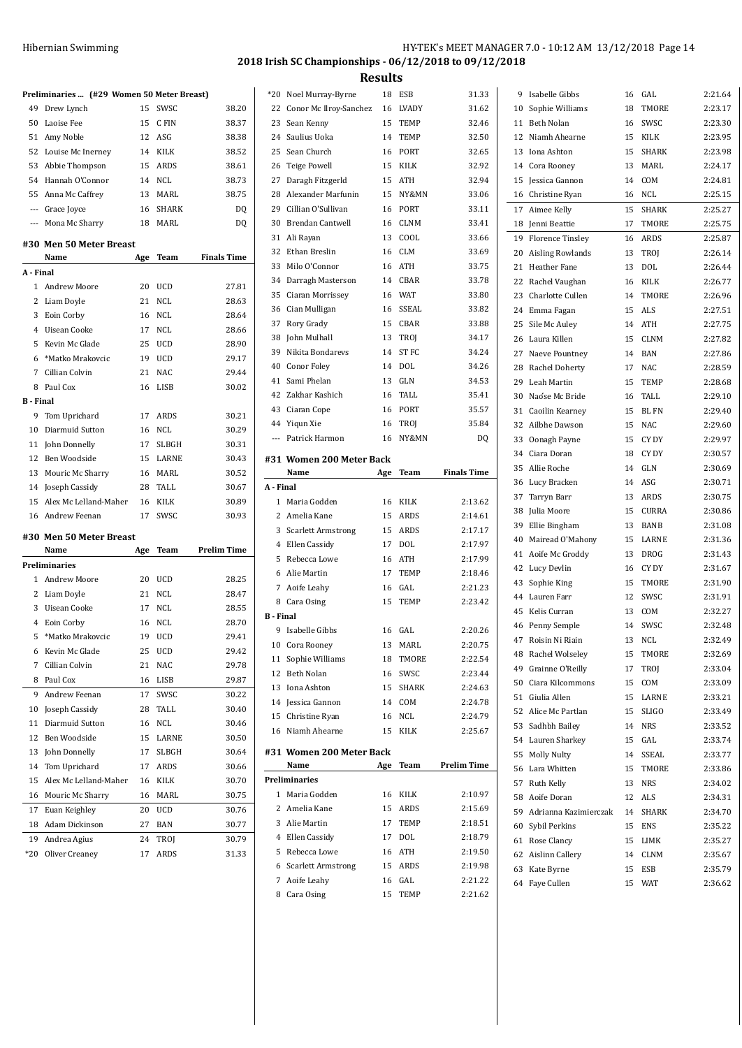| Hibernian Swimming |  |
|--------------------|--|
|--------------------|--|

| Hibernian Swimming | HY-TEK's MEET MANAGER 7.0 - 10:12 AM 13/12/2018 Page 14 |
|--------------------|---------------------------------------------------------|
|                    | 2018 Irish SC Championships - 06/12/2018 to 09/12/2018  |

2:21.64  $2:23.17$  $2: 23.30$ 2:23.95 2:23.98  $2:24.17$  $2: 24.81$  $2.2515$  $2:25.27$ 2:25.75  $2:25.87$  $2:26.14$  $2.2644$  $2:26.77$ 2:26.96  $2:27.51$ 2:27.75  $2: 27.82$  $2:27.86$ 2:28.59  $2: 28.68$  $2:29.10$  $2: 29.40$  $2:29.60$ 2:29.97 2:30.57 2:30.69  $2:30.71$  $2:30.75$  $2:30.86$ 2:31.08 2:31.36 2:31.43 2:31.67 2:31.90 2:31.91 2:32.27 2:32.48 2:32.49 2:32.69 2:33.04 2:33.09 2:33.21 2:33.49 2:33.52 2:33.74 2:33.77 2:33.86 2:34.02 8:34.31  $2:34.70$ 8:35.22 81:35.27 8:35.67 8:35.79 8:36.62

|                     | Preliminaries  (#29 Women 50 Meter Breast) |     |            |                    | $*20$            | Noel Murray-Byrne             | 18       | ESB         | 31.33              | 9  | Isabelle Gibbs                 | 16       | GAL            |
|---------------------|--------------------------------------------|-----|------------|--------------------|------------------|-------------------------------|----------|-------------|--------------------|----|--------------------------------|----------|----------------|
|                     | 49 Drew Lynch                              | 15  | SWSC       | 38.20              | 22               | Conor Mc Ilroy-Sanchez        | 16       | LVADY       | 31.62              | 10 | Sophie Williams                | 18       | TMORE          |
|                     | 50 Laoise Fee                              | 15  | C FIN      | 38.37              |                  | 23 Sean Kenny                 | 15       | TEMP        | 32.46              |    | 11 Beth Nolan                  | 16       | SWSC           |
|                     | 51 Amy Noble                               | 12  | ASG        | 38.38              |                  | 24 Saulius Uoka               | 14       | TEMP        | 32.50              |    | 12 Niamh Ahearne               |          | 15 KILK        |
|                     | 52 Louise Mc Inerney                       | 14  | KILK       | 38.52              |                  | 25 Sean Church                | 16       | PORT        | 32.65              |    | 13 Iona Ashton                 | 15       | <b>SHARK</b>   |
|                     | 53 Abbie Thompson                          | 15  | ARDS       | 38.61              | 26               | <b>Teige Powell</b>           | 15       | KILK        | 32.92              |    | 14 Cora Rooney                 | 13       | MARL           |
|                     | 54 Hannah O'Connor                         | 14  | NCL        | 38.73              | 27               | Daragh Fitzgerld              |          | 15 ATH      | 32.94              |    | 15 Jessica Gannon              | 14       | COM            |
|                     | 55 Anna Mc Caffrey                         | 13  | MARL       | 38.75              | 28               | Alexander Marfunin            | 15       | NY&MN       | 33.06              |    | 16 Christine Ryan              |          | 16 NCL         |
|                     | Grace Joyce                                | 16  | SHARK      | DQ                 | 29               | Cillian O'Sullivan            | 16       | PORT        | 33.11              |    | 17 Aimee Kelly                 | 15       | SHARK          |
| $\qquad \qquad - -$ | Mona Mc Sharry                             | 18  | MARL       | DQ                 | 30               | <b>Brendan Cantwell</b>       | 16       | <b>CLNM</b> | 33.41              |    | 18 Jenni Beattie               | 17       | TMORE          |
|                     |                                            |     |            |                    |                  | 31 Ali Rayan                  | 13       | COOL        | 33.66              |    | 19 Florence Tinsley            |          | 16 ARDS        |
|                     | #30 Men 50 Meter Breast                    |     |            |                    | 32               | Ethan Breslin                 | 16       | <b>CLM</b>  | 33.69              |    | 20 Aisling Rowlands            |          | 13 TROJ        |
|                     | Name                                       | Age | Team       | <b>Finals Time</b> | 33               | Milo O'Connor                 | 16       | ATH         | 33.75              |    | 21 Heather Fane                | 13       | DOL            |
| A - Final           |                                            |     |            |                    | 34               | Darragh Masterson             | 14       | CBAR        | 33.78              | 22 | Rachel Vaughan                 | 16       | KILK           |
|                     | 1 Andrew Moore                             | 20  | UCD        | 27.81              | 35               | Ciaran Morrissey              | 16       | <b>WAT</b>  | 33.80              | 23 | Charlotte Cullen               | 14       | TMORE          |
|                     | 2 Liam Doyle                               |     | 21 NCL     | 28.63              |                  | 36 Cian Mulligan              | 16       | SSEAL       | 33.82              | 24 | Emma Fagan                     |          | 15 ALS         |
|                     | 3 Eoin Corby                               | 16  | NCL        | 28.64              |                  | 37 Rory Grady                 | 15       | CBAR        | 33.88              | 25 | Sile Mc Auley                  |          | 14 ATH         |
| 4                   | Uisean Cooke                               | 17  | NCL        | 28.66              | 38               | John Mulhall                  | 13       | <b>TROI</b> | 34.17              |    | 26 Laura Killen                |          | 15 CLNM        |
| 5                   | Kevin Mc Glade                             | 25  | UCD        | 28.90              | 39               | Nikita Bondarevs              | 14       | ST FC       | 34.24              |    | 27 Naeve Pountney              | 14       | BAN            |
| 6                   | *Matko Mrakovcic                           | 19  | <b>UCD</b> | 29.17              | 40               | Conor Foley                   | 14       | DOL         | 34.26              | 28 | Rachel Doherty                 | 17       | <b>NAC</b>     |
| 7                   | Cillian Colvin                             | 21  | NAC        | 29.44              |                  | 41 Sami Phelan                | 13       | GLN         | 34.53              | 29 | Leah Martin                    | 15       | <b>TEMP</b>    |
|                     | 8 Paul Cox                                 | 16  | LISB       | 30.02              |                  | 42 Zakhar Kashich             | 16       | TALL        | 35.41              | 30 | Naóse Mc Bride                 | 16       | TALL           |
| <b>B</b> - Final    |                                            |     |            |                    |                  | 43 Ciaran Cope                | 16       | PORT        | 35.57              |    | 31 Caoilin Kearney             | 15       | <b>BLFN</b>    |
|                     | 9 Tom Uprichard                            | 17  | ARDS       | 30.21              |                  | 44 Yiqun Xie                  | 16       | <b>TROI</b> | 35.84              |    | 32 Ailbhe Dawson               |          | 15 NAC         |
| 10                  | Diarmuid Sutton                            | 16  | NCL        | 30.29              | $\cdots$         | Patrick Harmon                | 16       | NY&MN       | DQ                 | 33 |                                |          | CY DY          |
| 11                  | John Donnelly                              | 17  | SLBGH      | 30.31              |                  |                               |          |             |                    |    | Oonagh Payne<br>34 Ciara Doran | 15<br>18 | CY DY          |
|                     | 12 Ben Woodside                            | 15  | LARNE      | 30.43              |                  | #31 Women 200 Meter Back      |          |             |                    |    |                                |          |                |
|                     | 13 Mouric Mc Sharry                        | 16  | MARL       | 30.52              |                  | Name                          | Age      | Team        | <b>Finals Time</b> |    | 35 Allie Roche                 | 14       | GLN            |
|                     | 14 Joseph Cassidy                          | 28  | TALL       | 30.67              | A - Final        |                               |          |             |                    | 36 | Lucy Bracken<br>37 Tarryn Barr | 14       | ASG<br>13 ARDS |
|                     |                                            |     |            |                    |                  |                               |          |             |                    |    |                                |          |                |
|                     | 15 Alex Mc Lelland-Maher                   |     | 16 KILK    | 30.89              |                  | 1 Maria Godden                | 16       | KILK        | 2:13.62            |    |                                |          |                |
|                     | 16 Andrew Feenan                           |     | 17 SWSC    | 30.93              |                  | 2 Amelia Kane                 | 15       | ARDS        | 2:14.61            | 38 | Julia Moore                    | 15       | <b>CURRA</b>   |
|                     |                                            |     |            |                    |                  | 3 Scarlett Armstrong          | 15       | ARDS        | 2:17.17            | 39 | Ellie Bingham                  | 13       | <b>BANB</b>    |
|                     | #30 Men 50 Meter Breast                    |     |            |                    |                  | 4 Ellen Cassidy               | 17       | DOL         | 2:17.97            | 40 | Mairead O'Mahony               | 15       | LARNE          |
|                     | Name                                       |     | Age Team   | <b>Prelim Time</b> |                  | 5 Rebecca Lowe                | 16       | ATH         | 2:17.99            |    | 41 Aoife Mc Groddy             | 13       | <b>DROG</b>    |
|                     | Preliminaries                              |     |            |                    |                  | 6 Alie Martin                 | 17       | <b>TEMP</b> | 2:18.46            |    | 42 Lucy Devlin                 | 16       | CY DY          |
|                     | 1 Andrew Moore                             | 20  | UCD        | 28.25              |                  | 7 Aoife Leahy                 | 16       | GAL         | 2:21.23            |    | 43 Sophie King                 | 15       | TMORE          |
|                     | 2 Liam Doyle                               | 21  | NCL        | 28.47              |                  | 8 Cara Osing                  | 15       | TEMP        | 2:23.42            |    | 44 Lauren Farr                 | 12       | SWSC           |
|                     | 3 Uisean Cooke                             | 17  | NCL        | 28.55              | <b>B</b> - Final |                               |          |             |                    |    | 45 Kelis Curran                | 13       | COM            |
|                     | 4 Eoin Corby                               | 16  | NCL        | 28.70              |                  | 9 Isabelle Gibbs              |          | 16 GAL      | 2:20.26            | 46 | Penny Semple                   | 14       | SWSC           |
|                     | 5 *Matko Mrakovcic                         | 19  | UCD        | 29.41              |                  | 10 Cora Rooney                |          | 13 MARL     | 2:20.75            |    | 47 Roisin Ni Riain             |          | 13 NCL         |
| 6                   | Kevin Mc Glade                             | 25  | <b>UCD</b> | 29.42              |                  | 11 Sophie Williams            | 18       | TMORE       | 2:22.54            | 48 | Rachel Wolseley                | 15       | TMORE          |
|                     | 7 Cillian Colvin                           | 21  | NAC        | 29.78              |                  | 12 Beth Nolan                 | 16       | SWSC        | 2:23.44            | 49 | Grainne O'Reilly               | 17       | TROJ           |
|                     | 8 Paul Cox                                 |     | 16 LISB    | 29.87              |                  | 13 Iona Ashton                | 15       | SHARK       | 2:24.63            | 50 | Ciara Kilcommons               |          | 15 COM         |
|                     | 9 Andrew Feenan                            | 17  | SWSC       | 30.22              |                  | 14 Jessica Gannon             | 14       | COM         | 2:24.78            |    | 51 Giulia Allen                |          | 15 LARNE       |
| 10                  | Joseph Cassidy                             | 28  | TALL       | 30.40              |                  | 15 Christine Ryan             | 16       | NCL         | 2:24.79            |    | 52 Alice Mc Partlan            | 15       | <b>SLIGO</b>   |
| 11                  | Diarmuid Sutton                            | 16  | NCL        | 30.46              |                  | 16 Niamh Ahearne              | 15       | KILK        | 2:25.67            |    | 53 Sadhbh Bailey               |          | 14 NRS         |
| 12                  | Ben Woodside                               | 15  | LARNE      | 30.50              |                  |                               |          |             |                    |    | 54 Lauren Sharkey              |          | 15 GAL         |
| 13                  | John Donnelly                              | 17  | SLBGH      | 30.64              |                  | #31 Women 200 Meter Back      |          |             |                    |    | 55 Molly Nulty                 | 14       | SSEAL          |
| 14                  | Tom Uprichard                              | 17  | ARDS       | 30.66              |                  | Name                          |          | Age Team    | <b>Prelim Time</b> |    | 56 Lara Whitten                | 15       | TMORE          |
| 15                  | Alex Mc Lelland-Maher                      | 16  | KILK       | 30.70              |                  | Preliminaries                 |          |             |                    |    | 57 Ruth Kelly                  |          | 13 NRS         |
|                     | 16 Mouric Mc Sharry                        |     | 16 MARL    | 30.75              |                  | 1 Maria Godden                |          | 16 KILK     | 2:10.97            | 58 | Aoife Doran                    |          | 12 ALS         |
| 17                  | Euan Keighley                              |     | 20 UCD     | 30.76              |                  | 2 Amelia Kane                 | 15       | ARDS        | 2:15.69            | 59 | Adrianna Kazimierczak          | 14       | SHARK          |
|                     | 18 Adam Dickinson                          | 27  | BAN        | 30.77              |                  | 3 Alie Martin                 | 17       | TEMP        | 2:18.51            | 60 | Sybil Perkins                  | 15       | ENS            |
| 19                  | Andrea Agius                               | 24  | TROJ       | 30.79              |                  | 4 Ellen Cassidy               | 17       | DOL         | 2:18.79            |    | 61 Rose Clancy                 |          | 15 LIMK        |
|                     | *20 Oliver Creaney                         |     | 17 ARDS    | 31.33              |                  | 5 Rebecca Lowe                | 16       | ATH         | 2:19.50            |    | 62 Aislinn Callery             |          | 14 CLNM        |
|                     |                                            |     |            |                    |                  | 6 Scarlett Armstrong          | 15       | ARDS        | 2:19.98            |    | 63 Kate Byrne                  |          | 15 ESB         |
|                     |                                            |     |            |                    |                  | 7 Aoife Leahy<br>8 Cara Osing | 16<br>15 | GAL<br>TEMP | 2:21.22<br>2:21.62 |    | 64 Faye Cullen                 |          | 15 WAT         |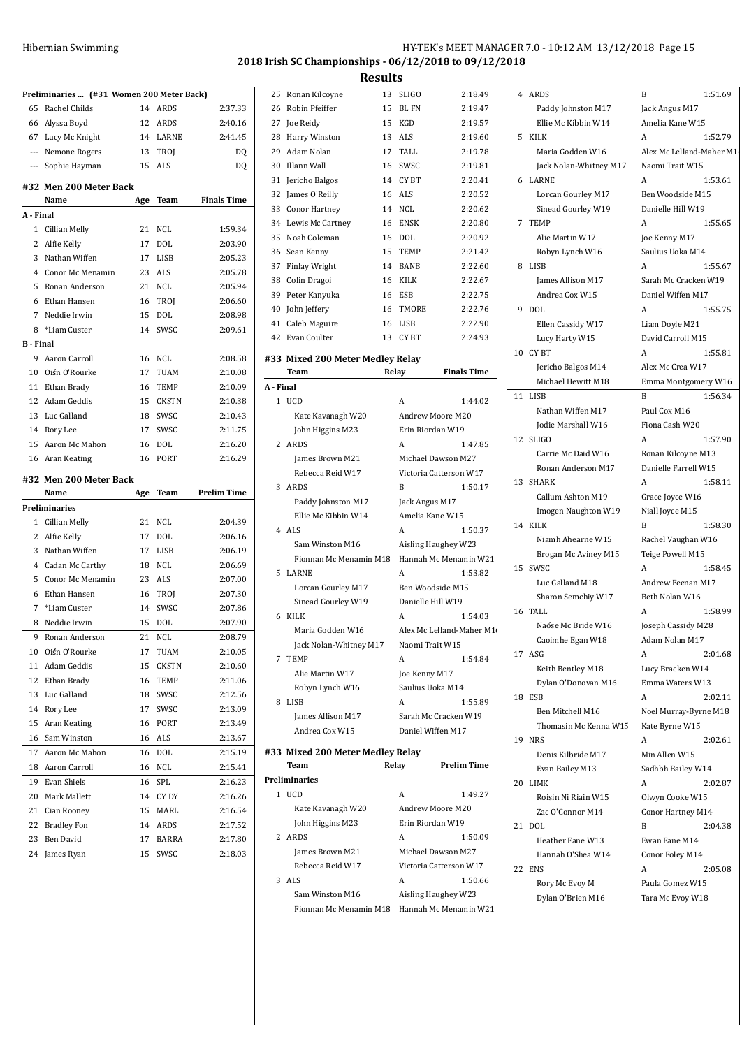|                  | Preliminaries  (#31 Women 200 Meter Back) |          |                    |                    |
|------------------|-------------------------------------------|----------|--------------------|--------------------|
| 65               | Rachel Childs                             |          | 14 ARDS            | 2:37.33            |
|                  | 66 Alyssa Boyd                            |          | 12 ARDS            | 2:40.16            |
|                  | 67 Lucy Mc Knight                         |          | 14 LARNE           | 2:41.45            |
|                  | --- Nemone Rogers                         |          | 13 TROJ            | DQ                 |
|                  | --- Sophie Hayman                         |          | 15 ALS             | DQ                 |
|                  | #32 Men 200 Meter Back<br>Name            | Age      | Team               | <b>Finals Time</b> |
| A - Final        |                                           |          |                    |                    |
|                  | 1 Cillian Melly                           | 21       | <b>NCL</b>         | 1:59.34            |
|                  | 2 Alfie Kelly                             | 17       | <b>DOL</b>         | 2:03.90            |
| 3                | Nathan Wiffen                             | 17       | <b>LISB</b>        | 2:05.23            |
| 4                | Conor Mc Menamin                          | 23       | ALS                | 2:05.78            |
| 5                | Ronan Anderson                            | 21       | <b>NCL</b>         | 2:05.94            |
| 6                | Ethan Hansen                              | 16       | TROJ               | 2:06.60            |
| 7                | Neddie Irwin                              | 15       | DOL                | 2:08.98            |
| 8                | *Liam Custer                              | 14       | SWSC               | 2:09.61            |
| <b>B</b> - Final |                                           |          |                    |                    |
| 9                | Aaron Carroll                             | 16       | <b>NCL</b>         | 2:08.58            |
|                  | 10 Oiśn O'Rourke                          | 17       | TUAM               | 2:10.08            |
|                  | 11 Ethan Brady                            | 16       | TEMP               | 2:10.09            |
|                  | 12 Adam Geddis                            | 15       | <b>CKSTN</b>       | 2:10.38            |
|                  | 13 Luc Galland                            | 18       | SWSC               | 2:10.43            |
|                  | 14 Rory Lee                               | 17       | SWSC               | 2:11.75            |
|                  | 15 Aaron Mc Mahon                         | 16       | DOL                | 2:16.20            |
|                  | 16 Aran Keating                           | 16       | PORT               | 2:16.29            |
|                  |                                           |          |                    |                    |
|                  |                                           |          |                    |                    |
|                  | #32 Men 200 Meter Back                    |          |                    |                    |
|                  | Name                                      | Age      | Team               | <b>Prelim Time</b> |
|                  | Preliminaries                             | 21       |                    |                    |
|                  | 1 Cillian Melly                           |          | NCL                | 2:04.39            |
|                  | 2 Alfie Kelly                             | 17       | <b>DOL</b>         | 2:06.16            |
| 3                | Nathan Wiffen                             | 17       | LISB               | 2:06.19            |
| 4                | Cadan Mc Carthy                           | 18       | <b>NCL</b>         | 2:06.69            |
| 5                | Conor Mc Menamin<br>Ethan Hansen          | 23       | ALS                | 2:07.00<br>2:07.30 |
| 6<br>7           | *Liam Custer                              | 16       | TROI               |                    |
| 8                | Neddie Irwin                              | 14<br>15 | SWSC<br><b>DOL</b> | 2:07.86<br>2:07.90 |
| 9                |                                           |          |                    |                    |
|                  | Ronan Anderson                            |          | 21 NCL             | 2:08.79            |
| 10               | Oiśn O'Rourke                             | 17       | TUAM               | 2:10.05            |
| 11               | Adam Geddis                               | 15<br>16 | CKSTN              | 2:10.60            |
| 12<br>13         | Ethan Brady<br>Luc Galland                | 18       | TEMP               | 2:11.06<br>2:12.56 |
|                  |                                           | 17       | SWSC               |                    |
| 14               | Rory Lee                                  |          | SWSC               | 2:13.09            |
| 15               | Aran Keating                              | 16       | PORT<br><b>ALS</b> | 2:13.49            |
| 16               | Sam Winston                               | 16       |                    | 2:13.67            |
| 17               | Aaron Mc Mahon                            | 16       | DOL                | 2:15.19            |
| 18               | Aaron Carroll                             | 16       | <b>NCL</b>         | 2:15.41            |
| 19               | Evan Shiels                               | 16       | SPL                | 2:16.23            |
| 20               | Mark Mallett                              | 14       | CY DY              | 2:16.26            |
| 21               | Cian Rooney                               | 15       | MARL               | 2:16.54            |
| 22<br>23         | <b>Bradley Fon</b><br>Ben David           | 14<br>17 | ARDS<br>BARRA      | 2:17.52<br>2:17.80 |

## HY-TEK's MEET MANAGER 7.0 - 10:12 AM 13/12/2018 Page 15 **2018 Irish SC Championships - 06/12/2018 to 09/12/2018**

| 25           | Ronan Kilcoyne                               | 13    | <b>SLIGO</b>           | 2:18.49                  |
|--------------|----------------------------------------------|-------|------------------------|--------------------------|
| 26           | Robin Pfeiffer                               | 15    | BL FN                  | 2:19.47                  |
| 27           | Joe Reidy                                    | 15    | KGD                    | 2:19.57                  |
| 28           | Harry Winston                                | 13    | ALS                    | 2:19.60                  |
| 29           | Adam Nolan                                   | 17    | TALL                   | 2:19.78                  |
| 30           | Illann Wall                                  | 16    | SWSC                   | 2:19.81                  |
| 31           | Jericho Balgos                               |       | 14 CYBT                | 2:20.41                  |
| 32           | James O'Reilly                               | 16    | ALS                    | 2:20.52                  |
| 33           | <b>Conor Hartney</b>                         | 14    | <b>NCL</b>             | 2:20.62                  |
| 34           | Lewis Mc Cartney                             | 16    | <b>ENSK</b>            | 2:20.80                  |
| 35           | Noah Coleman                                 | 16    | <b>DOL</b>             | 2:20.92                  |
| 36           | Sean Kenny                                   | 15    | TEMP                   | 2:21.42                  |
| 37           | Finlay Wright                                | 14    | BANB                   | 2:22.60                  |
| 38           | Colin Dragoi                                 | 16    | KILK                   | 2:22.67                  |
| 39           | Peter Kanyuka                                | 16    | ESB                    | 2:22.75                  |
| 40           | John Jeffery                                 | 16    | TMORE                  | 2:22.76                  |
| 41           | Caleb Maguire                                | 16    | LISB                   | 2:22.90                  |
| 42           | Evan Coulter                                 | 13    | <b>CYBT</b>            | 2:24.93                  |
|              |                                              |       |                        |                          |
|              | #33 Mixed 200 Meter Medley Relay<br>Team     | Relay |                        | <b>Finals Time</b>       |
| A - Final    |                                              |       |                        |                          |
| $\mathbf{1}$ | <b>UCD</b>                                   |       | A                      | 1:44.02                  |
|              | Kate Kavanagh W20                            |       | Andrew Moore M20       |                          |
|              | John Higgins M23                             |       | Erin Riordan W19       |                          |
| 2            | ARDS                                         |       | A                      | 1:47.85                  |
|              | James Brown M21                              |       | Michael Dawson M27     |                          |
|              | Rebecca Reid W17                             |       | Victoria Catterson W17 |                          |
| 3            | ARDS                                         |       | B                      | 1:50.17                  |
|              | Paddy Johnston M17                           |       | Jack Angus M17         |                          |
|              | Ellie Mc Kibbin W14                          |       | Amelia Kane W15        |                          |
|              | 4 ALS                                        |       | A                      | 1:50.37                  |
|              | Sam Winston M16                              |       | Aisling Haughey W23    |                          |
|              | Fionnan Mc Menamin M18                       |       |                        | Hannah Mc Menamin W21    |
| 5            | <b>LARNE</b>                                 |       | A                      | 1:53.82                  |
|              | Lorcan Gourley M17                           |       | Ben Woodside M15       |                          |
|              | Sinead Gourley W19                           |       | Danielle Hill W19      |                          |
| 6            | <b>KILK</b>                                  |       | A                      | 1:54.03                  |
|              | Maria Godden W16                             |       |                        | Alex Mc Lelland-Maher M1 |
|              | Jack Nolan-Whitney M17                       |       | Naomi Trait W15        |                          |
| 7            | <b>TEMP</b>                                  |       | A                      | 1:54.84                  |
|              | Alie Martin W17                              |       | Joe Kenny M17          |                          |
|              | Robyn Lynch W16                              |       | Saulius Uoka M14       |                          |
| 8            | LISB                                         |       | A                      | 1:55.89                  |
|              | James Allison M17                            |       | Sarah Mc Cracken W19   |                          |
|              | Andrea Cox W15                               |       | Daniel Wiffen M17      |                          |
|              |                                              |       |                        |                          |
|              | #33 Mixed 200 Meter Medley Relay<br>Team     | Relay |                        | <b>Prelim Time</b>       |
|              | <b>Preliminaries</b>                         |       |                        |                          |
| $\mathbf{1}$ | <b>UCD</b>                                   |       | A                      | 1:49.27                  |
|              | Kate Kavanagh W20                            |       | Andrew Moore M20       |                          |
|              | John Higgins M23                             |       | Erin Riordan W19       |                          |
| 2            | ARDS                                         |       | A                      | 1:50.09                  |
|              | James Brown M21                              |       | Michael Dawson M27     |                          |
|              | Rebecca Reid W17                             |       |                        | Victoria Catterson W17   |
| 3            | <b>ALS</b>                                   |       | A                      | 1:50.66                  |
|              | Sam Winston M16                              |       | Aisling Haughey W23    |                          |
|              | Fionnan Mc Menamin M18 Hannah Mc Menamin W21 |       |                        |                          |
|              |                                              |       |                        |                          |

|    | 4 ARDS                 | B<br>1:51.69             |
|----|------------------------|--------------------------|
|    | Paddy Johnston M17     | Jack Angus M17           |
|    |                        |                          |
|    | Ellie Mc Kibbin W14    | Amelia Kane W15          |
| 5  | <b>KILK</b>            | A<br>1:52.79             |
|    | Maria Godden W16       | Alex Mc Lelland-Maher M1 |
|    | Jack Nolan-Whitney M17 | Naomi Trait W15          |
| 6  | LARNE                  | 1:53.61<br>A             |
|    | Lorcan Gourley M17     | Ben Woodside M15         |
|    | Sinead Gourley W19     | Danielle Hill W19        |
| 7  | <b>TEMP</b>            | 1:55.65<br>A             |
|    | Alie Martin W17        | Joe Kenny M17            |
|    | Robyn Lynch W16        | Saulius Uoka M14         |
| 8  | LISB                   | A<br>1:55.67             |
|    | James Allison M17      | Sarah Mc Cracken W19     |
|    | Andrea Cox W15         | Daniel Wiffen M17        |
|    |                        |                          |
| 9  | DOL                    | 1:55.75<br>A             |
|    | Ellen Cassidy W17      | Liam Doyle M21           |
|    | Lucy Harty W15         | David Carroll M15        |
| 10 | <b>CYBT</b>            | A<br>1:55.81             |
|    | Jericho Balgos M14     | Alex Mc Crea W17         |
|    | Michael Hewitt M18     | Emma Montgomery W16      |
| 11 | <b>LISB</b>            | B<br>1:56.34             |
|    | Nathan Wiffen M17      | Paul Cox M16             |
|    | Jodie Marshall W16     | Fiona Cash W20           |
| 12 | <b>SLIGO</b>           | A<br>1:57.90             |
|    | Carrie Mc Daid W16     | Ronan Kilcoyne M13       |
|    | Ronan Anderson M17     | Danielle Farrell W15     |
| 13 | <b>SHARK</b>           | A<br>1:58.11             |
|    | Callum Ashton M19      |                          |
|    |                        | Grace Joyce W16          |
|    | Imogen Naughton W19    | Niall Joyce M15          |
| 14 | <b>KILK</b>            | 1:58.30<br>B             |
|    | Niamh Ahearne W15      | Rachel Vaughan W16       |
|    | Brogan Mc Aviney M15   | Teige Powell M15         |
| 15 | SWSC                   | A<br>1:58.45             |
|    | Luc Galland M18        | Andrew Feenan M17        |
|    | Sharon Semchiy W17     | Beth Nolan W16           |
| 16 | <b>TALL</b>            | A<br>1:58.99             |
|    | Naose Mc Bride W16     | Joseph Cassidy M28       |
|    | Caoimhe Egan W18       | Adam Nolan M17           |
|    | 17 ASG                 | A<br>2:01.68             |
|    | Keith Bentley M18      | Lucy Bracken W14         |
|    | Dylan O'Donovan M16    | Emma Waters W13          |
| 18 | <b>ESB</b>             | A<br>2:02.11             |
|    | Ben Mitchell M16       | Noel Murray-Byrne M18    |
|    | Thomasin Mc Kenna W15  |                          |
|    |                        | Kate Byrne W15           |
| 19 | <b>NRS</b>             | Α<br>2:02.61             |
|    | Denis Kilbride M17     | Min Allen W15            |
|    | Evan Bailey M13        | Sadhbh Bailey W14        |
| 20 | LIMK                   | Α<br>2:02.87             |
|    | Roisin Ni Riain W15    | Olwyn Cooke W15          |
|    | Zac O'Connor M14       | Conor Hartney M14        |
| 21 | DOL                    | B<br>2:04.38             |
|    | Heather Fane W13       | Ewan Fane M14            |
|    | Hannah O'Shea W14      | Conor Foley M14          |
| 22 | <b>ENS</b>             | A<br>2:05.08             |
|    | Rory Mc Evoy M         | Paula Gomez W15          |
|    | Dylan O'Brien M16      | Tara Mc Evoy W18         |
|    |                        |                          |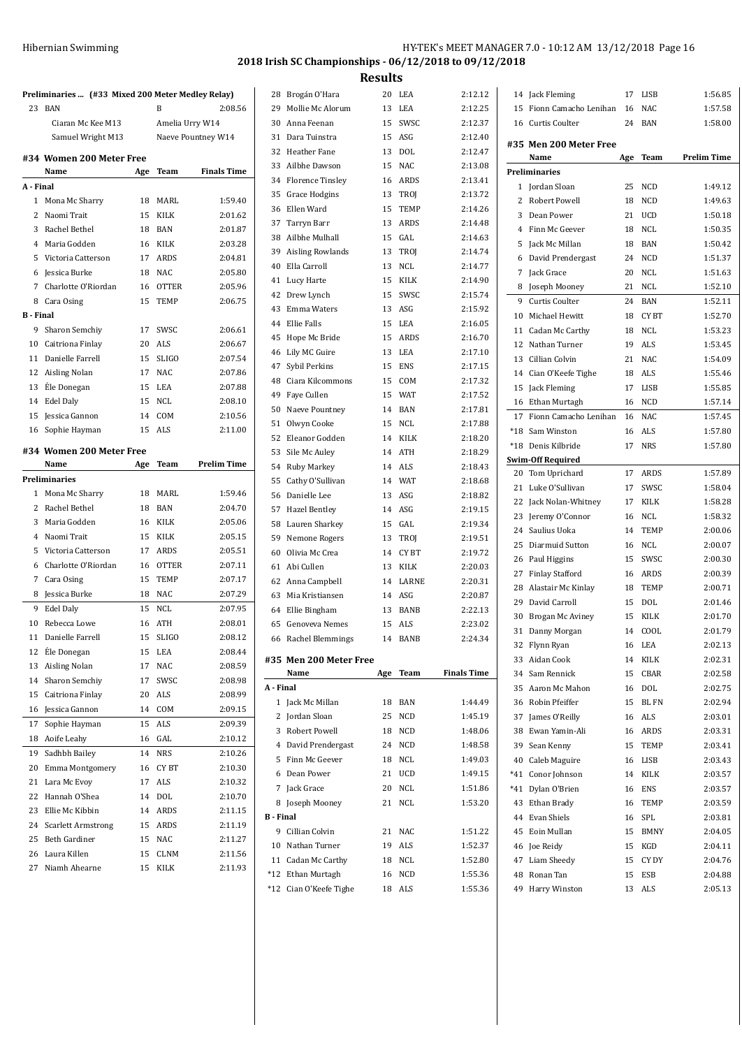| Hibernian Swimming | HY-TEK's MEET MANAGER 7.0 - 10:12 AM 13/12/2018 Page 16 |
|--------------------|---------------------------------------------------------|
|                    | 2018 Irish SC Championships - 06/12/2018 to 09/12/2018  |
|                    | <b>Results</b>                                          |

**Preliminaries ... (#33 Mixed 200 Meter Medley Relay)** 23 BAN B 2:08.56 Ciaran Mc Kee M13 Amelia Urry W14 Samuel Wright M13 Naeve Pountney W14 **#34 Women 200 Meter Free Name Age Team Finals Time A - Final** Mona Mc Sharry 18 MARL 1:59.40 Naomi Trait 15 KILK 2:01.62 Rachel Bethel 18 BAN 2:01.87 Maria Godden 16 KILK 2:03.28 Victoria Catterson 17 ARDS 2:04.81 Jessica Burke 18 NAC 2:05.80 Charlotte O'Riordan 16 OTTER 2:05.96 Cara Osing 15 TEMP 2:06.75 **B - Final** Sharon Semchiy 17 SWSC 2:06.61 Caitriona Finlay 20 ALS 2:06.67 Danielle Farrell 15 SLIGO 2:07.54 Aisling Nolan 17 NAC 2:07.86 EÉle Donegan 15 LEA 2:07.88 Edel Daly 15 NCL 2:08.10 Jessica Gannon 14 COM 2:10.56 Sophie Hayman 15 ALS 2:11.00 **#34 Women 200 Meter Free Name Age Team Prelim Time Preliminaries** Mona Mc Sharry 18 MARL 1:59.46 Rachel Bethel 18 BAN 2:04.70 Maria Godden 16 KILK 2:05.06 Naomi Trait 15 KILK 2:05.15 Victoria Catterson 17 ARDS 2:05.51 Charlotte O'Riordan 16 OTTER 2:07.11 Cara Osing 15 TEMP 2:07.17 Jessica Burke 18 NAC 2:07.29 Edel Daly 15 NCL 2:07.95 Rebecca Lowe 16 ATH 2:08.01 Danielle Farrell 15 SLIGO 2:08.12 EÉle Donegan 15 LEA 2:08.44 Aisling Nolan 17 NAC 2:08.59 Sharon Semchiy 17 SWSC 2:08.98 Caitriona Finlay 20 ALS 2:08.99 Jessica Gannon 14 COM 2:09.15 17 Sophie Hayman 15 ALS 2:09.39 Aoife Leahy 16 GAL 2:10.12 Sadhbh Bailey 14 NRS 2:10.26 Emma Montgomery 16 CY BT 2:10.30 Lara Mc Evoy 17 ALS 2:10.32 Hannah O'Shea 14 DOL 2:10.70 Ellie Mc Kibbin 14 ARDS 2:11.15 24 Scarlett Armstrong 15 ARDS 2:11.19 Beth Gardiner 15 NAC 2:11.27 Laura Killen 15 CLNM 2:11.56 Niamh Ahearne 15 KILK 2:11.93

| 28           | Brogán O'Hara                               | 20  | LEA        | 2:12.12            |
|--------------|---------------------------------------------|-----|------------|--------------------|
| 29           | Mollie Mc Alorum                            | 13  | LEA        | 2:12.25            |
|              | 30 Anna Feenan                              | 15  | SWSC       | 2:12.37            |
|              | 31 Dara Tuinstra                            |     | 15 ASG     | 2:12.40            |
|              | 32 Heather Fane                             |     | 13 DOL     | 2:12.47            |
|              | 33 Ailbhe Dawson                            |     | 15 NAC     | 2:13.08            |
|              |                                             |     |            |                    |
|              | 34 Florence Tinsley                         |     | 16 ARDS    | 2:13.41            |
| 35           | Grace Hodgins                               |     | 13 TROJ    | 2:13.72            |
| 36           | Ellen Ward                                  | 15  | TEMP       | 2:14.26            |
|              | 37 Tarryn Barr                              | 13  | ARDS       | 2:14.48            |
| 38           | Ailbhe Mulhall                              | 15  | GAL        | 2:14.63            |
|              | 39 Aisling Rowlands                         | 13  | TROJ       | 2:14.74            |
|              | 40 Ella Carroll                             | 13  | <b>NCL</b> | 2:14.77            |
|              | 41 Lucy Harte                               | 15  | KILK       | 2:14.90            |
|              | 42 Drew Lynch                               | 15  | SWSC       | 2:15.74            |
|              | 43 Emma Waters                              |     | 13 ASG     | 2:15.92            |
|              | 44 Ellie Falls                              |     | 15 LEA     | 2:16.05            |
|              | 45 Hope Mc Bride                            |     | 15 ARDS    | 2:16.70            |
|              | 46 Lily MC Guire                            |     | 13 LEA     | 2:17.10            |
| 47           | Sybil Perkins                               |     | 15 ENS     | 2:17.15            |
| 48           | Ciara Kilcommons                            | 15  | COM        | 2:17.32            |
| 49           | Faye Cullen                                 | 15  | <b>WAT</b> | 2:17.52            |
| 50           | Naeve Pountney                              | 14  | BAN        | 2:17.81            |
| 51           | Olwyn Cooke                                 | 15  | NCL        | 2:17.88            |
| 52           | Eleanor Godden                              |     | 14 KILK    | 2:18.20            |
| 53           | Sile Mc Auley                               |     | 14 ATH     | 2:18.29            |
|              | 54 Ruby Markey                              |     | 14 ALS     | 2:18.43            |
| 55           | Cathy O'Sullivan                            |     | 14 WAT     | 2:18.68            |
| 56           | Danielle Lee                                |     | 13 ASG     | 2:18.82            |
|              | 57 Hazel Bentley                            |     | 14 ASG     | 2:19.15            |
| 58           | Lauren Sharkey                              | 15  | GAL        | 2:19.34            |
| 59           | Nemone Rogers                               |     | 13 TROJ    | 2:19.51            |
|              | 60 Olivia Mc Crea                           |     | 14 CYBT    | 2:19.72            |
|              | 61 Abi Cullen                               | 13  | KILK       | 2:20.03            |
|              | 62 Anna Campbell                            |     | 14 LARNE   | 2:20.31            |
| 63           | Mia Kristiansen                             |     | 14 ASG     | 2:20.87            |
|              | 64 Ellie Bingham                            |     | 13 BANB    | 2:22.13            |
|              | 65 Genoveva Nemes                           |     | 15 ALS     | 2:23.02            |
| 66           | Rachel Blemmings                            |     | 14 BANB    | 2:24.34            |
|              |                                             |     |            |                    |
|              | #35 Men 200 Meter Free                      |     | Team       | <b>Finals Time</b> |
| A - Final    | Name                                        | Age |            |                    |
| $\mathbf{1}$ | Jack Mc Millan                              | 18  | <b>BAN</b> | 1:44.49            |
|              |                                             | 25  |            | 1:45.19            |
|              | 2 Jordan Sloan                              |     | NCD        |                    |
|              | 3 Robert Powell                             | 18  | NCD        | 1:48.06            |
|              | 4 David Prendergast                         | 24  | <b>NCD</b> | 1:48.58            |
|              | 5 Finn Mc Geever                            | 18  | NCL        | 1:49.03            |
|              | 6 Dean Power                                | 21  | UCD        | 1:49.15            |
|              | 7 Jack Grace                                | 20  | <b>NCL</b> | 1:51.86            |
| 8            | Joseph Mooney                               | 21  | NCL        | 1:53.20            |
| B - Final    |                                             |     |            |                    |
| 9            | Cillian Colvin                              | 21  | NAC        | 1:51.22            |
|              | 10 Nathan Turner                            | 19  | ALS        | 1:52.37            |
|              | 11 Cadan Mc Carthy                          | 18  | NCL        | 1:52.80            |
|              |                                             |     |            |                    |
|              | *12 Ethan Murtagh<br>*12 Cian O'Keefe Tighe | 16  | <b>NCD</b> | 1:55.36<br>1:55.36 |

| 14       | Jack Fleming             | 17       | LISB        | 1:56.85            |
|----------|--------------------------|----------|-------------|--------------------|
| 15       | Fionn Camacho Lenihan    | 16       | <b>NAC</b>  | 1:57.58            |
| 16       | Curtis Coulter           | 24       | BAN         | 1:58.00            |
|          | #35 Men 200 Meter Free   |          |             |                    |
|          | Name                     | Age      | Team        | <b>Prelim Time</b> |
|          | <b>Preliminaries</b>     |          |             |                    |
|          | 1 Jordan Sloan           | 25       | <b>NCD</b>  | 1:49.12            |
| 2        | Robert Powell            | 18       | <b>NCD</b>  | 1:49.63            |
| 3        | Dean Power               | 21       | <b>UCD</b>  | 1:50.18            |
| 4        | Finn Mc Geever           | 18       | <b>NCL</b>  | 1:50.35            |
| 5        | Jack Mc Millan           | 18       | <b>BAN</b>  | 1:50.42            |
| 6        | David Prendergast        | 24       | <b>NCD</b>  | 1:51.37            |
| 7        | Jack Grace               | 20       | <b>NCL</b>  | 1:51.63            |
| 8        | Joseph Mooney            | 21       | NCL         | 1:52.10            |
| 9        | Curtis Coulter           | 24       | BAN         | 1:52.11            |
| 10       | Michael Hewitt           | 18       | CY BT       | 1:52.70            |
| 11       | Cadan Mc Carthy          | 18       | NCL         | 1:53.23            |
| 12       | Nathan Turner            | 19       | <b>ALS</b>  | 1:53.45            |
| 13       | Cillian Colvin           | 21       | <b>NAC</b>  | 1:54.09            |
| 14       | Cian O'Keefe Tighe       | 18       | ALS         | 1:55.46            |
| 15       |                          | 17       | LISB        | 1:55.85            |
|          | Jack Fleming             |          |             |                    |
| 16       | Ethan Murtagh            | 16       | <b>NCD</b>  | 1:57.14            |
| 17       | Fionn Camacho Lenihan    | 16       | NAC         | 1:57.45            |
| *18      | Sam Winston              | 16       | ALS         | 1:57.80            |
| $*18$    | Denis Kilbride           | 17       | <b>NRS</b>  | 1:57.80            |
| 20       | <b>Swim-Off Required</b> | 17       | ARDS        | 1:57.89            |
| 21       | Tom Uprichard            |          |             |                    |
|          | Luke O'Sullivan          | 17       | SWSC        | 1:58.04            |
| 22<br>23 | Jack Nolan-Whitney       | 17<br>16 | KILK<br>NCL | 1:58.28<br>1:58.32 |
|          | Jeremy O'Connor          |          |             |                    |
| 24       | Saulius Uoka             | 14       | <b>TEMP</b> | 2:00.06            |
| 25       | Diarmuid Sutton          | 16       | NCL         | 2:00.07            |
| 26       | Paul Higgins             | 15       | SWSC        | 2:00.30            |
| 27       | <b>Finlay Stafford</b>   | 16       | ARDS        | 2:00.39            |
| 28       | Alastair Mc Kinlay       | 18       | <b>TEMP</b> | 2:00.71            |
| 29       | David Carroll            | 15       | <b>DOL</b>  | 2:01.46            |
| 30       | Brogan Mc Aviney         | 15       | KILK        | 2:01.70            |
| 31       | Danny Morgan             | 14       | COOL        | 2:01.79            |
| 32       | Flynn Ryan               | 16       | LEA         | 2:02.13            |
| 33       | Aidan Cook               | 14       | KILK        | 2:02.31            |
| 34       | Sam Rennick              | 15       | CBAR        | 2:02.58            |
| 35       | Aaron Mc Mahon           | 16       | DOL         | 2:02.75            |
| 36       | Robin Pfeiffer           | 15       | <b>BLFN</b> | 2:02.94            |
| 37       | James O'Reilly           | 16       | ALS         | 2:03.01            |
| 38       | Ewan Yamin-Ali           | 16       | <b>ARDS</b> | 2:03.31            |
| 39       | Sean Kenny               | 15       | TEMP        | 2:03.41            |
| 40       | Caleb Maguire            | 16       | <b>LISB</b> | 2:03.43            |
| $*41$    | Conor Johnson            | 14       | KILK        | 2:03.57            |
| *41      | Dylan O'Brien            | 16       | <b>ENS</b>  | 2:03.57            |
| 43       | Ethan Brady              | 16       | TEMP        | 2:03.59            |
| 44       | Evan Shiels              | 16       | SPL         | 2:03.81            |
| 45       | Eoin Mullan              | 15       | <b>BMNY</b> | 2:04.05            |
| 46       | Joe Reidy                | 15       | KGD         | 2:04.11            |
| 47       | Liam Sheedy              | 15       | CY DY       | 2:04.76            |
| 48       | Ronan Tan                | 15       | ESB         | 2:04.88            |
| 49       | Harry Winston            | 13       | ALS         | 2:05.13            |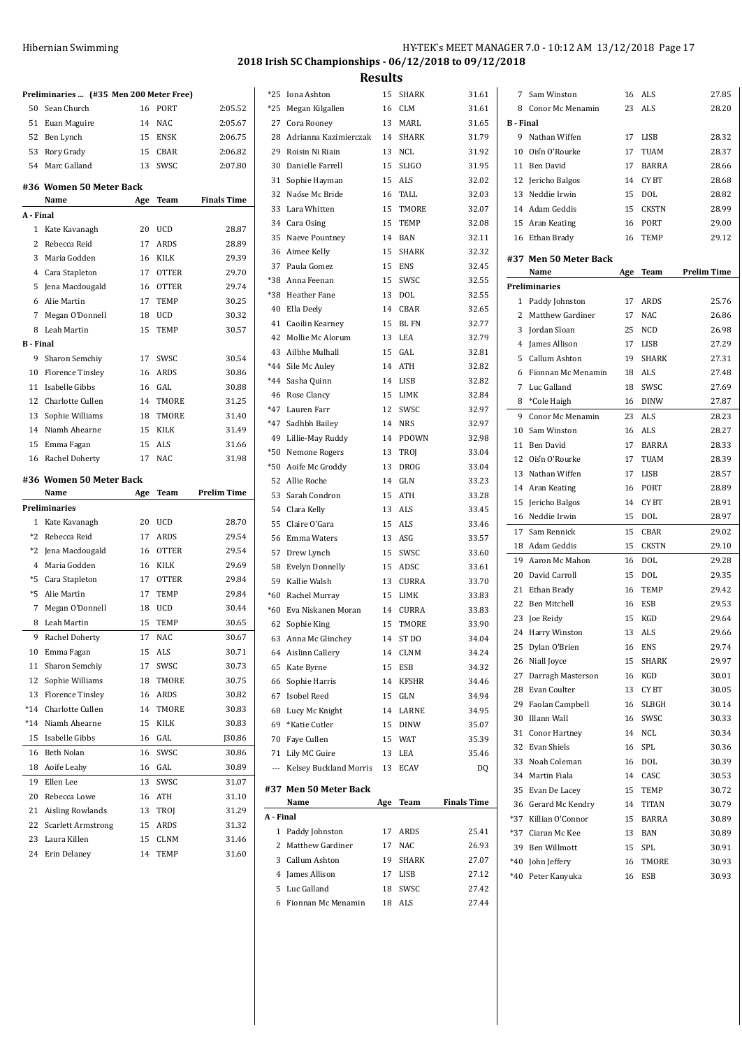| Preliminaries  (#35 Men 200 Meter Free) |                                 |          |              |                    |  |  |  |
|-----------------------------------------|---------------------------------|----------|--------------|--------------------|--|--|--|
| 50                                      | Sean Church                     | 16       | PORT         | 2:05.52            |  |  |  |
|                                         | 51 Euan Maguire                 | 14       | <b>NAC</b>   | 2:05.67            |  |  |  |
|                                         | 52 Ben Lynch                    | 15       | ENSK         | 2:06.75            |  |  |  |
|                                         | 53 Rory Grady                   | 15       | CBAR         | 2:06.82            |  |  |  |
|                                         | 54 Marc Galland                 | 13       | SWSC         | 2:07.80            |  |  |  |
|                                         | #36 Women 50 Meter Back<br>Name | Age      | Team         | <b>Finals Time</b> |  |  |  |
| A - Final                               |                                 |          |              |                    |  |  |  |
| 1                                       | Kate Kavanagh                   | 20       | <b>UCD</b>   | 28.87              |  |  |  |
| 2                                       | Rebecca Reid                    | 17       | <b>ARDS</b>  | 28.89              |  |  |  |
| 3                                       | Maria Godden                    | 16       | <b>KILK</b>  | 29.39              |  |  |  |
| $\overline{4}$                          | Cara Stapleton                  | 17       | <b>OTTER</b> | 29.70              |  |  |  |
| 5                                       | Jena Macdougald                 | 16       | <b>OTTER</b> | 29.74              |  |  |  |
| 6                                       | Alie Martin                     | 17       | <b>TEMP</b>  | 30.25              |  |  |  |
| 7                                       | Megan O'Donnell                 | 18       | UCD          | 30.32              |  |  |  |
| 8                                       | Leah Martin                     | 15       | <b>TEMP</b>  | 30.57              |  |  |  |
| <b>B</b> Final                          |                                 |          |              |                    |  |  |  |
| 9                                       | Sharon Semchiy                  | 17       | SWSC         | 30.54              |  |  |  |
| 10                                      | <b>Florence Tinsley</b>         | 16       | <b>ARDS</b>  | 30.86              |  |  |  |
| 11                                      | Isabelle Gibbs                  | 16       | GAL          | 30.88              |  |  |  |
| 12                                      | Charlotte Cullen                | 14       | <b>TMORE</b> | 31.25              |  |  |  |
| 13                                      | Sophie Williams                 | 18       | <b>TMORE</b> | 31.40              |  |  |  |
| 14                                      | Niamh Ahearne                   | 15       | KILK         | 31.49              |  |  |  |
| 15                                      | Emma Fagan                      | 15       | <b>ALS</b>   | 31.66              |  |  |  |
| 16                                      | Rachel Doherty                  | 17       | <b>NAC</b>   | 31.98              |  |  |  |
|                                         |                                 |          |              |                    |  |  |  |
|                                         | #36 Women 50 Meter Back         |          |              |                    |  |  |  |
|                                         | Name                            | Age      | Team         | <b>Prelim Time</b> |  |  |  |
|                                         | <b>Preliminaries</b>            |          |              |                    |  |  |  |
| 1                                       | Kate Kavanagh                   | 20       | <b>UCD</b>   | 28.70              |  |  |  |
| $*2$                                    | Rebecca Reid                    | 17       | <b>ARDS</b>  | 29.54              |  |  |  |
| *2                                      | Jena Macdougald                 | 16       | <b>OTTER</b> | 29.54              |  |  |  |
| 4                                       | Maria Godden                    | 16       | KILK         | 29.69              |  |  |  |
| *5                                      | Cara Stapleton                  | 17       | <b>OTTER</b> | 29.84              |  |  |  |
| *5                                      | Alie Martin                     | 17       | TEMP         | 29.84              |  |  |  |
| 7                                       | Megan O'Donnell                 | 18       | <b>UCD</b>   | 30.44              |  |  |  |
| 8                                       | Leah Martin                     | 15       | <b>TEMP</b>  | 30.65              |  |  |  |
| 9                                       | Rachel Doherty                  | 17       | NAC          | 30.67              |  |  |  |
| 10                                      | Emma Fagan                      | 15       | ALS          | 30.71              |  |  |  |
| 11                                      | Sharon Semchiy                  | 17       | SWSC         | 30.73              |  |  |  |
| 12                                      | Sophie Williams                 | 18       | TMORE        | 30.75              |  |  |  |
| 13                                      | <b>Florence Tinsley</b>         | 16       | ARDS         | 30.82              |  |  |  |
| *14                                     | Charlotte Cullen                | 14       | TMORE        | 30.83              |  |  |  |
| *14                                     | Niamh Ahearne                   | 15       | KILK         | 30.83              |  |  |  |
| 15                                      | Isabelle Gibbs                  | 16       | GAL          | J30.86             |  |  |  |
| 16                                      | Beth Nolan                      | 16       | SWSC         | 30.86              |  |  |  |
| 18                                      | Aoife Leahy                     | 16       | GAL          | 30.89              |  |  |  |
| 19                                      | Ellen Lee                       | 13       | SWSC         | 31.07              |  |  |  |
| 20                                      | Rebecca Lowe                    | 16       | ATH          | 31.10              |  |  |  |
| 21                                      | Aisling Rowlands                | 13       | TROJ         | 31.29              |  |  |  |
| 22                                      | <b>Scarlett Armstrong</b>       | 15       | ARDS         | 31.32              |  |  |  |
| 23<br>24                                | Laura Killen<br>Erin Delaney    | 15<br>14 | CLNM<br>TEMP | 31.46<br>31.60     |  |  |  |

| $*25$          | Iona Ashton              | 15  | SHARK            | 31.61              | 7                 | Sam Winston            |
|----------------|--------------------------|-----|------------------|--------------------|-------------------|------------------------|
| $*25$          | Megan Kilgallen          | 16  | <b>CLM</b>       | 31.61              |                   | 8 Conor Mc Mer         |
| 27             | Cora Rooney              | 13  | MARL             | 31.65              | <b>B</b> - Final  |                        |
|                | 28 Adrianna Kazimierczak | 14  | SHARK            | 31.79              | 9                 | Nathan Wiffer          |
| 29             | Roisin Ni Riain          | 13  | NCL              | 31.92              | 10                | Oiśn O'Rourk           |
| 30             | Danielle Farrell         | 15  | <b>SLIGO</b>     | 31.95              | 11                | <b>Ben David</b>       |
| 31             | Sophie Hayman            | 15  | ALS              | 32.02              | 12                | Jericho Balgo:         |
| 32             | Naóse Mc Bride           | 16  | TALL             | 32.03              | 13                | Neddie Irwin           |
|                | 33 Lara Whitten          | 15  | TMORE            | 32.07              |                   | 14 Adam Geddis         |
|                | 34 Cara Osing            | 15  | TEMP             | 32.08              |                   | 15 Aran Keating        |
|                | 35 Naeve Pountney        | 14  | BAN              | 32.11              |                   | 16 Ethan Brady         |
|                | 36 Aimee Kelly           | 15  | <b>SHARK</b>     | 32.32              |                   |                        |
|                | 37 Paula Gomez           | 15  | <b>ENS</b>       | 32.45              |                   | #37 Men 50 Met<br>Name |
|                | *38 Anna Feenan          | 15  | SWSC             | 32.55              |                   | Preliminaries          |
|                | *38 Heather Fane         | 13  | DOL              | 32.55              |                   |                        |
|                | 40 Ella Deely            | 14  | CBAR             | 32.65              | $\mathbf{1}$<br>2 | Paddy Johnsto          |
|                | 41 Caoilin Kearney       | 15  | BL FN            | 32.77              |                   | Matthew Gard           |
|                | 42 Mollie Mc Alorum      | 13  | LEA              | 32.79              | 3                 | Jordan Sloan           |
|                | 43 Ailbhe Mulhall        | 15  | GAL              | 32.81              | 4                 | James Allison          |
|                | *44 Sile Mc Auley        | 14  | <b>ATH</b>       | 32.82              | 5                 | Callum Ashto           |
|                | *44 Sasha Quinn          | 14  | <b>LISB</b>      | 32.82              | 6                 | Fionnan Mc M           |
|                | 46 Rose Clancy           | 15  | LIMK             | 32.84              | 7                 | Luc Galland            |
|                | *47 Lauren Farr          | 12  | SWSC             | 32.97              | 8                 | *Cole Haigh            |
|                | *47 Sadhbh Bailey        | 14  | <b>NRS</b>       | 32.97              | 9                 | Conor Mc Mer           |
|                | 49 Lillie-May Ruddy      | 14  | PDOWN            | 32.98              | 10                | Sam Winston            |
|                | *50 Nemone Rogers        | 13  | TROJ             | 33.04              | 11                | Ben David              |
|                | *50 Aoife Mc Groddy      | 13  | <b>DROG</b>      | 33.04              |                   | 12 Oiśn O'Rourk        |
|                | 52 Allie Roche           | 14  | GLN              | 33.23              | 13                | Nathan Wiffer          |
|                | 53 Sarah Condron         | 15  | <b>ATH</b>       | 33.28              | 14                | Aran Keating           |
|                | 54 Clara Kelly           | 13  | <b>ALS</b>       | 33.45              | 15                | Jericho Balgo:         |
| 55             | Claire O'Gara            | 15  | <b>ALS</b>       | 33.46              | 16                | Neddie Irwin           |
|                | 56 Emma Waters           | 13  | ASG              | 33.57              | 17                | Sam Rennick            |
| 57             | Drew Lynch               | 15  | SWSC             | 33.60              | 18                | Adam Geddis            |
|                | 58 Evelyn Donnelly       | 15  | ADSC             | 33.61              | 19                | Aaron Mc Mal           |
|                | 59 Kallie Walsh          | 13  | CURRA            | 33.70              | 20                | David Carroll          |
| $*60$          | Rachel Murray            | 15  | LIMK             | 33.83              | 21                | Ethan Brady            |
|                | *60 Eva Niskanen Moran   | 14  | CURRA            | 33.83              | 22                | Ben Mitchell           |
|                | 62 Sophie King           | 15  | TMORE            | 33.90              |                   | 23 Joe Reidy           |
|                |                          | 14  | ST <sub>DO</sub> | 34.04              |                   | 24 Harry Winsto        |
|                | 63 Anna Mc Glinchey      |     |                  |                    |                   | 25 Dylan O'Brien       |
|                | 64 Aislinn Callery       | 14  | CLNM             | 34.24              |                   | 26 Niall Joyce         |
|                | 65 Kate Byrne            | 15  | ESB              | 34.32              | 27                | Darragh Mast           |
|                | 66 Sophie Harris         | 14  | <b>KFSHR</b>     | 34.46              | 28                | Evan Coulter           |
|                | 67 Isobel Reed           | 15  | GLN              | 34.94              |                   | 29 Faolan Campl        |
|                | 68 Lucy Mc Knight        | 14  | LARNE            | 34.95              |                   | 30 Illann Wall         |
|                | 69 *Katie Cutler         | 15  | <b>DINW</b>      | 35.07              |                   | 31 Conor Hartne        |
|                | 70 Faye Cullen           | 15  | <b>WAT</b>       | 35.39              |                   | 32 Evan Shiels         |
|                | 71 Lily MC Guire         | 13  | LEA              | 35.46              |                   | 33 Noah Colema:        |
| $\overline{a}$ | Kelsey Buckland Morris   | 13  | ECAV             | DQ                 |                   | 34 Martin Fiala        |
|                | #37 Men 50 Meter Back    |     |                  |                    |                   | 35 Evan De Lace        |
|                | Name                     | Age | Team             | <b>Finals Time</b> |                   | 36 Gerard Mc Ke        |
| A - Final      |                          |     |                  |                    |                   | *37 Killian O'Coni     |
|                | 1 Paddy Johnston         | 17  | ARDS             | 25.41              |                   | *37 Ciaran Mc Ke       |
|                | 2 Matthew Gardiner       | 17  | NAC              | 26.93              |                   | 39 Ben Willmott        |
|                | 3 Callum Ashton          | 19  | SHARK            | 27.07              |                   | *40 John Jeffery       |
|                | 4 James Allison          | 17  | LISB             | 27.12              |                   | *40 Peter Kanyuk       |
|                | 5 Luc Galland            | 18  | SWSC             | 27.42              |                   |                        |
| 6              | Fionnan Mc Menamin       | 18  | ALS              | 27.44              |                   |                        |
|                |                          |     |                  |                    |                   |                        |

| 7                | Sam Winston           | 16  | ALS          | 27.85              |
|------------------|-----------------------|-----|--------------|--------------------|
| 8                | Conor Mc Menamin      | 23  | ALS          | 28.20              |
| <b>B</b> - Final |                       |     |              |                    |
| 9                | Nathan Wiffen         | 17  | LISB         | 28.32              |
|                  | 10 Oisn O'Rourke      | 17  | TUAM         | 28.37              |
|                  | 11 Ben David          | 17  | <b>BARRA</b> | 28.66              |
|                  | 12 Jericho Balgos     |     | 14 CYBT      | 28.68              |
| 13               | Neddie Irwin          | 15  | DOL          | 28.82              |
|                  | 14 Adam Geddis        | 15  | <b>CKSTN</b> | 28.99              |
|                  | 15 Aran Keating       |     | 16 PORT      | 29.00              |
|                  | 16 Ethan Brady        | 16  | TEMP         | 29.12              |
|                  |                       |     |              |                    |
|                  | #37 Men 50 Meter Back |     |              |                    |
|                  | Name                  | Age | Team         | <b>Prelim Time</b> |
|                  | Preliminaries         |     |              |                    |
|                  | 1 Paddy Johnston      | 17  | ARDS         | 25.76              |
|                  | 2 Matthew Gardiner    | 17  | NAC          | 26.86              |
| 3                | <b>Jordan Sloan</b>   | 25  | NCD          | 26.98              |
| $\overline{4}$   | James Allison         | 17  | <b>LISB</b>  | 27.29              |
| 5                | Callum Ashton         | 19  | <b>SHARK</b> | 27.31              |
| 6                | Fionnan Mc Menamin    |     | 18 ALS       | 27.48              |
| 7                | Luc Galland           | 18  | SWSC         | 27.69              |
| 8                | *Cole Haigh           | 16  | DINW         | 27.87              |
| 9                | Conor Mc Menamin      |     | 23 ALS       | 28.23              |
| 10               | Sam Winston           | 16  | ALS          | 28.27              |
| 11               | Ben David             | 17  | BARRA        | 28.33              |
| 12               | Oiśn O'Rourke         | 17  | TUAM         | 28.39              |
| 13               | Nathan Wiffen         | 17  | LISB         | 28.57              |
| 14               | Aran Keating          | 16  | PORT         | 28.89              |
| 15               | Jericho Balgos        |     | 14 CYBT      | 28.91              |
| 16               | Neddie Irwin          | 15  | DOL          | 28.97              |
| 17               | Sam Rennick           | 15  | CBAR         | 29.02              |
| 18               | Adam Geddis           | 15  | <b>CKSTN</b> | 29.10              |
| 19               | Aaron Mc Mahon        | 16  | <b>DOL</b>   | 29.28              |
| 20               | David Carroll         | 15  | <b>DOL</b>   | 29.35              |
| 21               | Ethan Brady           | 16  | <b>TEMP</b>  | 29.42              |
| 22               | Ben Mitchell          | 16  | ESB          | 29.53              |
| 23               | Joe Reidy             | 15  | KGD          | 29.64              |
| 24               | Harry Winston         | 13  | <b>ALS</b>   | 29.66              |
| 25               | Dylan O'Brien         | 16  | ENS          | 29.74              |
| 26               | Niall Joyce           | 15  | SHARK        | 29.97              |
| 27               | Darragh Masterson     | 16  | KGD          | 30.01              |
| 28               | Evan Coulter          | 13  | CY BT        | 30.05              |
| 29               | Faolan Campbell       | 16  | SLBGH        | 30.14              |
| 30               | Illann Wall           | 16  | SWSC         | 30.33              |
| 31               | Conor Hartney         | 14  | NCL          | 30.34              |
| 32               | Evan Shiels           | 16  | SPL          | 30.36              |
| 33               | Noah Coleman          | 16  | DOL          | 30.39              |
| 34               | Martin Fiala          | 14  | CASC         | 30.53              |
| 35               | Evan De Lacey         | 15  | TEMP         | 30.72              |
| 36               | Gerard Mc Kendry      | 14  | TITAN        | 30.79              |
| *37              | Killian O'Connor      | 15  | <b>BARRA</b> | 30.89              |
| $*37$            | Ciaran Mc Kee         | 13  | <b>BAN</b>   | 30.89              |
| 39               | Ben Willmott          | 15  | SPL          | 30.91              |
| $*40$            | John Jeffery          | 16  | TMORE        | 30.93              |
| $*40$            | Peter Kanyuka         | 16  | ESB          | 30.93              |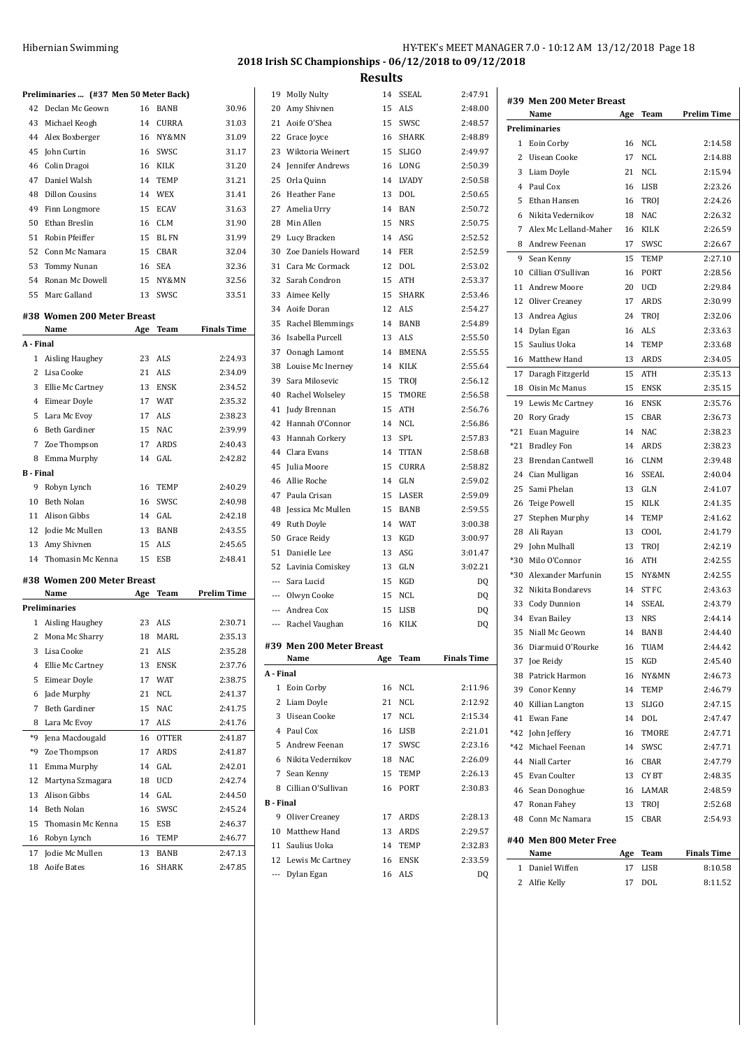| Hibernian Swimming | HY-TEK's MEET MANAGER 7.0 - 10:12 AM 13/12/2018 Page 18 |  |
|--------------------|---------------------------------------------------------|--|
|                    | 2018 Irish SC Championships - 06/12/2018 to 09/12/2018  |  |

|           | Preliminaries  (#37 Men 50 Meter Back) |    |          |                    |                  | 19 Molly Nulty           |    | 14 SSEAL     | 2:47.91            | #39 Men 200 Meter Breast |    |             |                    |
|-----------|----------------------------------------|----|----------|--------------------|------------------|--------------------------|----|--------------|--------------------|--------------------------|----|-------------|--------------------|
|           | 42 Declan Mc Geown                     |    | 16 BANB  | 30.96              |                  | 20 Amy Shivnen           |    | 15 ALS       | 2:48.00            | Name                     |    | Age Team    | <b>Prelim Time</b> |
|           | 43 Michael Keogh                       |    | 14 CURRA | 31.03              |                  | 21 Aoife O'Shea          | 15 | SWSC         | 2:48.57            | <b>Preliminaries</b>     |    |             |                    |
|           | 44 Alex Boxberger                      |    | 16 NY&MN | 31.09              |                  | 22 Grace Joyce           | 16 | SHARK        | 2:48.89            | 1 Eoin Corby             |    | 16 NCL      | 2:14.58            |
|           | 45 John Curtin                         |    | 16 SWSC  | 31.17              |                  | 23 Wiktoria Weinert      | 15 | <b>SLIGO</b> | 2:49.97            | 2 Uisean Cooke           |    | 17 NCL      | 2:14.88            |
|           | 46 Colin Dragoi                        |    | 16 KILK  | 31.20              |                  | 24 Jennifer Andrews      | 16 | LONG         | 2:50.39            | 3 Liam Doyle             |    | 21 NCL      | 2:15.94            |
|           | 47 Daniel Walsh                        | 14 | TEMP     | 31.21              |                  | 25 Orla Quinn            | 14 | LVADY        | 2:50.58            | 4 Paul Cox               |    | 16 LISB     | 2:23.26            |
| 48        | Dillon Cousins                         | 14 | WEX      | 31.41              |                  | 26 Heather Fane          | 13 | <b>DOL</b>   | 2:50.65            | 5 Ethan Hansen           |    | 16 TROJ     | 2:24.26            |
|           | 49 Finn Longmore                       |    | 15 ECAV  | 31.63              |                  | 27 Amelia Urry           | 14 | BAN          | 2:50.72            | 6 Nikita Vedernikov      |    | 18 NAC      | 2:26.32            |
|           | 50 Ethan Breslin                       |    | 16 CLM   | 31.90              |                  | 28 Min Allen             |    | 15 NRS       | 2:50.75            |                          |    | 16 KILK     | 2:26.59            |
|           | 51 Robin Pfeiffer                      |    | 15 BL FN | 31.99              |                  | 29 Lucy Bracken          |    | 14 ASG       | 2:52.52            | 7 Alex Mc Lelland-Maher  |    |             |                    |
|           | 52 Conn Mc Namara                      |    | 15 CBAR  | 32.04              |                  | 30 Zoe Daniels Howard    |    | 14 FER       | 2:52.59            | 8 Andrew Feenan          |    | 17 SWSC     | 2:26.67            |
|           | 53 Tommy Nunan                         |    | 16 SEA   | 32.36              |                  | 31 Cara Mc Cormack       |    | 12 DOL       | 2:53.02            | 9 Sean Kenny             |    | 15 TEMP     | 2:27.10            |
|           | 54 Ronan Mc Dowell                     |    | 15 NY&MN | 32.56              |                  | 32 Sarah Condron         |    | 15 ATH       | 2:53.37            | 10 Cillian O'Sullivan    | 16 | PORT        | 2:28.56            |
|           | 55 Marc Galland                        |    | 13 SWSC  | 33.51              |                  | 33 Aimee Kelly           |    | 15 SHARK     | 2:53.46            | 11 Andrew Moore          | 20 | UCD         | 2:29.84            |
|           |                                        |    |          |                    |                  | 34 Aoife Doran           |    | 12 ALS       | 2:54.27            | 12 Oliver Creaney        |    | 17 ARDS     | 2:30.99            |
|           | #38 Women 200 Meter Breast             |    |          |                    |                  | 35 Rachel Blemmings      | 14 | BANB         | 2:54.89            | 13 Andrea Agius          |    | 24 TROJ     | 2:32.06            |
|           | Name                                   |    | Age Team | <b>Finals Time</b> |                  | 36 Isabella Purcell      |    | 13 ALS       | 2:55.50            | 14 Dylan Egan            | 16 | ALS         | 2:33.63            |
| A - Final |                                        |    |          |                    |                  | 37 Oonagh Lamont         | 14 | BMENA        | 2:55.55            | 15 Saulius Uoka          | 14 | TEMP        | 2:33.68            |
|           | 1 Aisling Haughey                      |    | 23 ALS   | 2:24.93            |                  | 38 Louise Mc Inerney     |    | 14 KILK      | 2:55.64            | 16 Matthew Hand          |    | 13 ARDS     | 2:34.05            |
|           | 2 Lisa Cooke                           |    | 21 ALS   | 2:34.09            |                  | 39 Sara Milosevic        |    | 15 TROJ      | 2:56.12            | 17 Daragh Fitzgerld      |    | 15 ATH      | 2:35.13            |
|           | 3 Ellie Mc Cartney                     |    | 13 ENSK  | 2:34.52            |                  |                          |    |              |                    | 18 Oisin Mc Manus        |    | 15 ENSK     | 2:35.15            |
|           | 4 Eimear Doyle                         |    | 17 WAT   | 2:35.32            |                  | 40 Rachel Wolseley       |    | 15 TMORE     | 2:56.58            | 19 Lewis Mc Cartney      | 16 | <b>ENSK</b> | 2:35.76            |
|           | 5 Lara Mc Evoy                         |    | 17 ALS   | 2:38.23            |                  | 41 Judy Brennan          |    | 15 ATH       | 2:56.76            | 20 Rory Grady            |    | 15 CBAR     | 2:36.73            |
| 6         | Beth Gardiner                          |    | 15 NAC   | 2:39.99            |                  | 42 Hannah O'Connor       |    | 14 NCL       | 2:56.86            | *21 Euan Maguire         |    | 14 NAC      | 2:38.23            |
|           | 7 Zoe Thompson                         |    | 17 ARDS  | 2:40.43            |                  | 43 Hannah Corkery        |    | 13 SPL       | 2:57.83            | *21 Bradley Fon          |    | 14 ARDS     | 2:38.23            |
|           | 8 Emma Murphy                          |    | 14 GAL   | 2:42.82            |                  | 44 Clara Evans           |    | 14 TITAN     | 2:58.68            | 23 Brendan Cantwell      |    | 16 CLNM     | 2:39.48            |
| B - Final |                                        |    |          |                    |                  | 45 Julia Moore           | 15 | CURRA        | 2:58.82            | 24 Cian Mulligan         | 16 | SSEAL       | 2:40.04            |
|           | 9 Robyn Lynch                          |    | 16 TEMP  | 2:40.29            |                  | 46 Allie Roche           | 14 | GLN          | 2:59.02            | 25 Sami Phelan           | 13 | GLN         | 2:41.07            |
|           | 10 Beth Nolan                          |    | 16 SWSC  | 2:40.98            |                  | 47 Paula Crisan          | 15 | LASER        | 2:59.09            | 26 Teige Powell          | 15 | KILK        | 2:41.35            |
|           | 11 Alison Gibbs                        |    | 14 GAL   | 2:42.18            |                  | 48 Jessica Mc Mullen     | 15 | BANB         | 2:59.55            | 27 Stephen Murphy        | 14 | TEMP        | 2:41.62            |
|           | 12 Jodie Mc Mullen                     |    | 13 BANB  | 2:43.55            |                  | 49 Ruth Doyle            | 14 | WAT          | 3:00.38            | 28 Ali Rayan             | 13 | COOL        | 2:41.79            |
|           | 13 Amy Shivnen                         |    | 15 ALS   | 2:45.65            |                  | 50 Grace Reidy           | 13 | KGD          | 3:00.97            | 29 John Mulhall          | 13 | TROJ        | 2:42.19            |
|           | 14 Thomasin Mc Kenna                   |    | 15 ESB   | 2:48.41            |                  | 51 Danielle Lee          |    | 13 ASG       | 3:01.47            |                          |    | ATH         |                    |
|           |                                        |    |          |                    |                  | 52 Lavinia Comiskey      |    | 13 GLN       | 3:02.21            | *30 Milo O'Connor        | 16 |             | 2:42.55            |
|           | #38 Women 200 Meter Breast             |    |          |                    |                  | --- Sara Lucid           |    | 15 KGD       | DQ                 | *30 Alexander Marfunin   |    | 15 NY&MN    | 2:42.55            |
|           | Name                                   |    | Age Team | <b>Prelim Time</b> |                  | --- Olwyn Cooke          |    | 15 NCL       | <b>DQ</b>          | 32 Nikita Bondarevs      |    | 14 ST FC    | 2:43.63            |
|           | Preliminaries                          |    |          |                    |                  | --- Andrea Cox           |    | 15 LISB      | DQ                 | 33 Cody Dunnion          |    | 14 SSEAL    | 2:43.79            |
|           | 1 Aisling Haughey                      |    | 23 ALS   | 2:30.71            |                  | --- Rachel Vaughan       |    | 16 KILK      | DQ                 | 34 Evan Bailey           |    | 13 NRS      | 2:44.14            |
|           | 2 Mona Mc Sharry                       |    | 18 MARL  | 2:35.13            |                  |                          |    |              |                    | 35 Niall Mc Geown        |    | 14 BANB     | 2:44.40            |
|           | 3 Lisa Cooke                           |    | 21 ALS   | 2:35.28            |                  | #39 Men 200 Meter Breast |    |              |                    | 36 Diarmuid O'Rourke     | 16 | TUAM        | 2:44.42            |
| 4         | Ellie Mc Cartney                       |    | 13 ENSK  | 2:37.76            |                  | Name                     |    | Age Team     | <b>Finals Time</b> | 37 Joe Reidy             |    | 15 KGD      | 2:45.40            |
|           | 5 Eimear Doyle                         |    | 17 WAT   | 2:38.75            | A - Final        |                          |    |              |                    | 38 Patrick Harmon        |    | 16 NY&MN    | 2:46.73            |
|           | 6 Jade Murphy                          |    | 21 NCL   | 2:41.37            |                  | 1 Eoin Corby             |    | 16 NCL       | 2:11.96            | 39 Conor Kenny           |    | 14 TEMP     | 2:46.79            |
|           | 7 Beth Gardiner                        |    | 15 NAC   | 2:41.75            |                  | 2 Liam Doyle             |    | 21 NCL       | 2:12.92            | 40 Killian Langton       |    | 13 SLIGO    | 2:47.15            |
|           | 8 Lara Mc Evoy                         |    | 17 ALS   | 2:41.76            |                  | 3 Uisean Cooke           |    | 17 NCL       | 2:15.34            | 41 Ewan Fane             |    | 14 DOL      | 2:47.47            |
|           | *9 Jena Macdougald                     |    | 16 OTTER | 2:41.87            |                  | 4 Paul Cox               |    | 16 LISB      | 2:21.01            | *42 John Jeffery         |    | 16 TMORE    | 2:47.71            |
|           | *9 Zoe Thompson                        |    | 17 ARDS  | 2:41.87            |                  | 5 Andrew Feenan          |    | 17 SWSC      | 2:23.16            | *42 Michael Feenan       |    | 14 SWSC     | 2:47.71            |
|           | 11 Emma Murphy                         |    | 14 GAL   | 2:42.01            |                  | 6 Nikita Vedernikov      |    | 18 NAC       | 2:26.09            | 44 Niall Carter          |    | 16 CBAR     | 2:47.79            |
|           | 12 Martyna Szmagara                    |    | 18 UCD   | 2:42.74            |                  | 7 Sean Kenny             |    | 15 TEMP      | 2:26.13            | 45 Evan Coulter          |    | 13 CYBT     | 2:48.35            |
|           | 13 Alison Gibbs                        |    | 14 GAL   | 2:44.50            |                  | 8 Cillian O'Sullivan     |    | 16 PORT      | 2:30.83            | 46 Sean Donoghue         |    | 16 LAMAR    | 2:48.59            |
|           | 14 Beth Nolan                          |    | 16 SWSC  | 2:45.24            | <b>B</b> - Final |                          |    |              |                    | 47 Ronan Fahey           |    | 13 TROJ     | 2:52.68            |
|           | 15 Thomasin Mc Kenna                   |    | 15 ESB   | 2:46.37            |                  | 9 Oliver Creaney         |    | 17 ARDS      | 2:28.13            | 48 Conn Mc Namara        |    | 15 CBAR     | 2:54.93            |
|           |                                        |    |          |                    |                  | 10 Matthew Hand          |    | 13 ARDS      | 2:29.57            |                          |    |             |                    |
|           | 16 Robyn Lynch                         |    | 16 TEMP  | 2:46.77            |                  | 11 Saulius Uoka          | 14 | TEMP         | 2:32.83            | #40 Men 800 Meter Free   |    |             |                    |
|           | 17 Jodie Mc Mullen                     |    | 13 BANB  | 2:47.13            |                  | 12 Lewis Mc Cartney      | 16 | ENSK         | 2:33.59            | Name                     |    | Age Team    | <b>Finals Time</b> |
|           | 18 Aoife Bates                         |    | 16 SHARK | 2:47.85            |                  | --- Dylan Egan           |    | 16 ALS       | DQ                 | 1 Daniel Wiffen          |    | 17 LISB     | 8:10.58            |
|           |                                        |    |          |                    |                  |                          |    |              |                    | 2 Alfie Kelly            |    | 17 DOL      | 8:11.52            |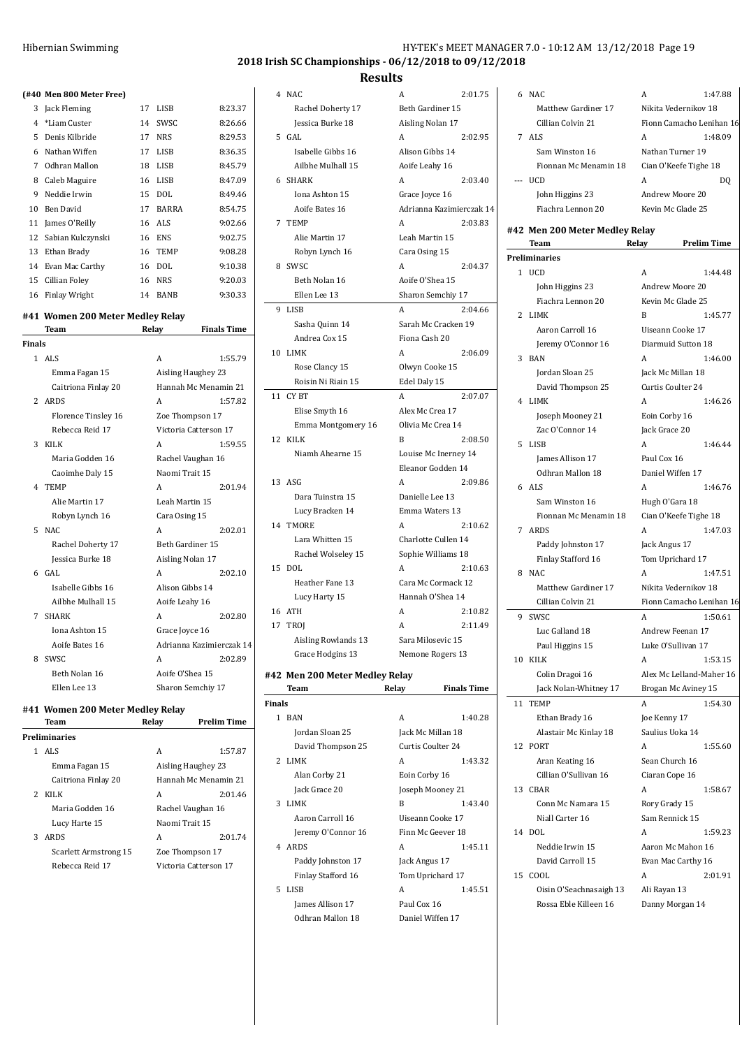## Hibernian Swimming Hy-TEK's MEET MANAGER 7.0 - 10:12 AM 13/12/2018 Page 19:12

**2018 Irish SC Championships - 06/12/2018 to 09/12/2018**

## **Results**

|  | (#40 Men 800 Meter Free) |  |
|--|--------------------------|--|

|                                                                 | (#40 Men 800 Meter Free)      |    |                           |         |  |
|-----------------------------------------------------------------|-------------------------------|----|---------------------------|---------|--|
| 3                                                               | Jack Fleming                  | 17 | LISB                      | 8:23.37 |  |
| 4                                                               | *Liam Custer                  | 14 | SWSC                      | 8:26.66 |  |
| 5                                                               | Denis Kilbride                | 17 | <b>NRS</b>                | 8:29.53 |  |
| 6                                                               | Nathan Wiffen                 | 17 | LISB                      | 8:36.35 |  |
| 7                                                               | Odhran Mallon                 | 18 | LISB                      | 8:45.79 |  |
| 8                                                               | Caleb Maguire                 | 16 | <b>LISB</b>               | 8:47.09 |  |
| 9                                                               | Neddie Irwin                  | 15 | DOL                       | 8:49.46 |  |
| 10                                                              | <b>Ben David</b>              | 17 | <b>BARRA</b>              | 8:54.75 |  |
| 11                                                              | James O'Reilly                | 16 | <b>ALS</b>                | 9:02.66 |  |
| 12                                                              | Sabian Kulczynski             | 16 | <b>ENS</b>                | 9:02.75 |  |
|                                                                 | 13 Ethan Brady                | 16 | <b>TEMP</b>               | 9:08.28 |  |
|                                                                 | 14 Evan Mac Carthy            | 16 | DOL                       | 9:10.38 |  |
|                                                                 | 15 Cillian Foley              | 16 | <b>NRS</b>                | 9:20.03 |  |
|                                                                 | 16 Finlay Wright              | 14 | BANB                      | 9:30.33 |  |
|                                                                 |                               |    |                           |         |  |
| #41 Women 200 Meter Medley Relay<br>Relay<br><b>Finals Time</b> |                               |    |                           |         |  |
|                                                                 | Team                          |    |                           |         |  |
| Finals                                                          | $1$ ALS                       |    | A                         | 1:55.79 |  |
|                                                                 |                               |    |                           |         |  |
|                                                                 | Emma Fagan 15                 |    | Aisling Haughey 23        |         |  |
|                                                                 | Caitriona Finlay 20<br>2 ARDS |    | Hannah Mc Menamin 21<br>A | 1:57.82 |  |
|                                                                 |                               |    |                           |         |  |
|                                                                 | Florence Tinsley 16           |    | Zoe Thompson 17           |         |  |
|                                                                 | Rebecca Reid 17               |    | Victoria Catterson 17     |         |  |
| 3                                                               | KILK                          |    | A                         | 1:59.55 |  |
|                                                                 | Maria Godden 16               |    | Rachel Vaughan 16         |         |  |
|                                                                 | Caoimhe Daly 15               |    | Naomi Trait 15            |         |  |
|                                                                 | 4 TEMP                        |    | A                         | 2:01.94 |  |
|                                                                 | Alie Martin 17                |    | Leah Martin 15            |         |  |
|                                                                 | Robyn Lynch 16                |    | Cara Osing 15             |         |  |
| 5                                                               | NAC                           |    | A                         | 2:02.01 |  |
|                                                                 | Rachel Doherty 17             |    | Beth Gardiner 15          |         |  |
|                                                                 | Jessica Burke 18              |    | Aisling Nolan 17          |         |  |
| 6                                                               | GAL                           |    | A                         | 2:02.10 |  |
|                                                                 | Isabelle Gibbs 16             |    | Alison Gibbs 14           |         |  |
|                                                                 | Ailbhe Mulhall 15             |    | Aoife Leahy 16            |         |  |
| $7^{\circ}$                                                     | <b>SHARK</b>                  |    | A                         | 2:02.80 |  |
|                                                                 | Iona Ashton 15                |    | Grace Joyce 16            |         |  |
|                                                                 | Aoife Bates 16                |    | Adrianna Kazimierczak 14  |         |  |
| 8                                                               | SWSC                          |    | A                         | 2:02.89 |  |
|                                                                 | Beth Nolan 16                 |    | Aoife O'Shea 15           |         |  |
|                                                                 | Ellen Lee 13                  |    | Sharon Semchiy 17         |         |  |

# **#41 Women 200 Meter Medley Relay**

|   | Team                  | Relay           | <b>Prelim Time</b>    |
|---|-----------------------|-----------------|-----------------------|
|   | Preliminaries         |                 |                       |
|   | $1$ ALS               | A               | 1:57.87               |
|   | Emma Fagan 15         |                 | Aisling Haughey 23    |
|   | Caitriona Finlay 20   |                 | Hannah Mc Menamin 21  |
|   | 2 KILK                | А               | 2:01.46               |
|   | Maria Godden 16       |                 | Rachel Vaughan 16     |
|   | Lucy Harte 15         | Naomi Trait 15  |                       |
| 3 | <b>ARDS</b>           | А               | 2:01.74               |
|   | Scarlett Armstrong 15 | Zoe Thompson 17 |                       |
|   | Rebecca Reid 17       |                 | Victoria Catterson 17 |
|   |                       |                 |                       |

|                 | Team                           | Relay<br><b>Finals Time</b> |
|-----------------|--------------------------------|-----------------------------|
|                 | #42 Men 200 Meter Medley Relay |                             |
|                 | Grace Hodgins 13               | Nemone Rogers 13            |
|                 | Aisling Rowlands 13            | Sara Milosevic 15           |
| 17              | TROJ                           | 2:11.49                     |
|                 |                                | A<br>2:10.82<br>A           |
| 16              | Lucy Harty 15<br><b>ATH</b>    | Hannah O'Shea 14            |
|                 | Heather Fane 13                | Cara Mc Cormack 12          |
| 15              | <b>DOL</b>                     | A<br>2:10.63                |
|                 | Rachel Wolseley 15             | Sophie Williams 18          |
|                 | Lara Whitten 15                | Charlotte Cullen 14         |
| 14              | <b>TMORE</b>                   | A<br>2:10.62                |
|                 | Lucy Bracken 14                | Emma Waters 13              |
|                 | Dara Tuinstra 15               | Danielle Lee 13             |
|                 | 13 ASG                         | A<br>2:09.86                |
|                 |                                | Eleanor Godden 14           |
|                 | Niamh Ahearne 15               | Louise Mc Inerney 14        |
| 12              | <b>KILK</b>                    | B<br>2:08.50                |
|                 | Emma Montgomery 16             | Olivia Mc Crea 14           |
|                 | Elise Smyth 16                 | Alex Mc Crea 17             |
| 11              | CY BT                          | A<br>2:07.07                |
|                 | Roisin Ni Riain 15             | Edel Daly 15                |
|                 | Rose Clancy 15                 | Olwyn Cooke 15              |
| 10 <sup>1</sup> | LIMK                           | A<br>2:06.09                |
|                 | Andrea Cox 15                  | Fiona Cash 20               |
|                 | Sasha Quinn 14                 | Sarah Mc Cracken 19         |
| 9               | <b>LISB</b>                    | A<br>2:04.66                |
|                 | Ellen Lee 13                   | Sharon Semchiy 17           |
|                 | Beth Nolan 16                  | Aoife O'Shea 15             |
| 8               | SWSC                           | A<br>2:04.37                |
|                 | Robyn Lynch 16                 | Cara Osing 15               |
|                 | Alie Martin 17                 | Leah Martin 15              |
| 7               | <b>TEMP</b>                    | A<br>2:03.83                |
|                 | Aoife Bates 16                 | Adrianna Kazimierczak 14    |
|                 | Iona Ashton 15                 | Grace Joyce 16              |
| 6               | SHARK                          | A<br>2:03.40                |
|                 | Ailbhe Mulhall 15              | Aoife Leahy 16              |
|                 | Isabelle Gibbs 16              | Alison Gibbs 14             |
| 5               | GAL                            | A<br>2:02.95                |
|                 | Jessica Burke 18               | Aisling Nolan 17            |
|                 | Rachel Doherty 17              | Beth Gardiner 15            |
| 4               | NAC                            | A<br>2:01.75                |

| nals |                    |                   |         |  |
|------|--------------------|-------------------|---------|--|
| 1    | <b>RAN</b>         | А                 | 1:40.28 |  |
|      | Jordan Sloan 25    | Jack Mc Millan 18 |         |  |
|      | David Thompson 25  | Curtis Coulter 24 |         |  |
|      | 2 LIMK             | A                 | 1:43.32 |  |
|      | Alan Corby 21      | Eoin Corby 16     |         |  |
|      | Jack Grace 20      | Joseph Mooney 21  |         |  |
| 3    | LIMK               | R                 | 1:43.40 |  |
|      | Aaron Carroll 16   | Uiseann Cooke 17  |         |  |
|      | Jeremy O'Connor 16 | Finn Mc Geever 18 |         |  |
| 4    | ARDS               | A                 | 1:45.11 |  |
|      | Paddy Johnston 17  | Jack Angus 17     |         |  |
|      | Finlay Stafford 16 | Tom Uprichard 17  |         |  |
| 5.   | LISB               | A                 | 1:45.51 |  |
|      | James Allison 17   | Paul Cox 16       |         |  |
|      | Odhran Mallon 18   | Daniel Wiffen 17  |         |  |

**Finals**

 $\sim$ 

| 6  | NAC                            | A                        | 1:47.88            |
|----|--------------------------------|--------------------------|--------------------|
|    | Matthew Gardiner 17            | Nikita Vedernikov 18     |                    |
|    | Cillian Colvin 21              | Fionn Camacho Lenihan 16 |                    |
| 7  | ALS                            | Α                        | 1:48.09            |
|    | Sam Winston 16                 | Nathan Turner 19         |                    |
|    |                                |                          |                    |
|    | Fionnan Mc Menamin 18          | Cian O'Keefe Tighe 18    |                    |
|    | <b>UCD</b>                     | А                        | DQ                 |
|    | John Higgins 23                | Andrew Moore 20          |                    |
|    | Fiachra Lennon 20              | Kevin Mc Glade 25        |                    |
|    | #42 Men 200 Meter Medley Relay |                          |                    |
|    | Team                           | Relay                    | <b>Prelim Time</b> |
|    | Preliminaries                  |                          |                    |
|    | 1 UCD                          | A                        | 1:44.48            |
|    |                                |                          |                    |
|    | John Higgins 23                | Andrew Moore 20          |                    |
|    | Fiachra Lennon 20              | Kevin Mc Glade 25        |                    |
| 2  | LIMK                           | B                        | 1:45.77            |
|    | Aaron Carroll 16               | Uiseann Cooke 17         |                    |
|    | Jeremy O'Connor 16             | Diarmuid Sutton 18       |                    |
| 3  | <b>BAN</b>                     | A                        | 1:46.00            |
|    | Jordan Sloan 25                | Jack Mc Millan 18        |                    |
|    | David Thompson 25              | Curtis Coulter 24        |                    |
| 4  | LIMK                           | Α                        | 1:46.26            |
|    | Joseph Mooney 21               | Eoin Corby 16            |                    |
|    | Zac O'Connor 14                | Jack Grace 20            |                    |
| 5  | LISB                           | A                        | 1:46.44            |
|    | James Allison 17               | Paul Cox 16              |                    |
|    | Odhran Mallon 18               | Daniel Wiffen 17         |                    |
|    |                                |                          |                    |
|    | $6$ ALS                        | A                        | 1:46.76            |
|    | Sam Winston 16                 | Hugh O'Gara 18           |                    |
|    | Fionnan Mc Menamin 18          | Cian O'Keefe Tighe 18    |                    |
|    | 7 ARDS                         | A                        | 1:47.03            |
|    | Paddy Johnston 17              | Jack Angus 17            |                    |
|    | Finlay Stafford 16             | Tom Uprichard 17         |                    |
| 8  | NAC                            | A                        | 1:47.51            |
|    | <b>Matthew Gardiner 17</b>     | Nikita Vedernikov 18     |                    |
|    | Cillian Colvin 21              | Fionn Camacho Lenihan 16 |                    |
| 9  | SWSC                           | A                        | 1:50.61            |
|    | Luc Galland 18                 | Andrew Feenan 17         |                    |
|    | Paul Higgins 15                | Luke O'Sullivan 17       |                    |
| 10 | KILK                           | A                        | 1:53.15            |
|    | Colin Dragoi 16                | Alex Mc Lelland-Maher 16 |                    |
|    | Jack Nolan-Whitney 17          | Brogan Mc Aviney 15      |                    |
| 11 | <b>TEMP</b>                    | A                        | 1:54.30            |
|    |                                |                          |                    |
|    | Ethan Brady 16                 | Joe Kenny 17             |                    |
|    | Alastair Mc Kinlay 18          | Saulius Uoka 14          |                    |
| 12 | PORT                           | A                        | 1:55.60            |
|    | Aran Keating 16                | Sean Church 16           |                    |
|    | Cillian O'Sullivan 16          | Ciaran Cope 16           |                    |
| 13 | CBAR                           | A                        | 1:58.67            |
|    | Conn Mc Namara 15              | Rory Grady 15            |                    |
|    | Niall Carter 16                | Sam Rennick 15           |                    |
| 14 | DOL                            | Α                        | 1:59.23            |
|    | Neddie Irwin 15                | Aaron Mc Mahon 16        |                    |
|    | David Carroll 15               | Evan Mac Carthy 16       |                    |
| 15 | COOL                           | А                        | 2:01.91            |
|    | Oisin O'Seachnasaigh 13        | Ali Rayan 13             |                    |
|    | Rossa Eble Killeen 16          | Danny Morgan 14          |                    |
|    |                                |                          |                    |